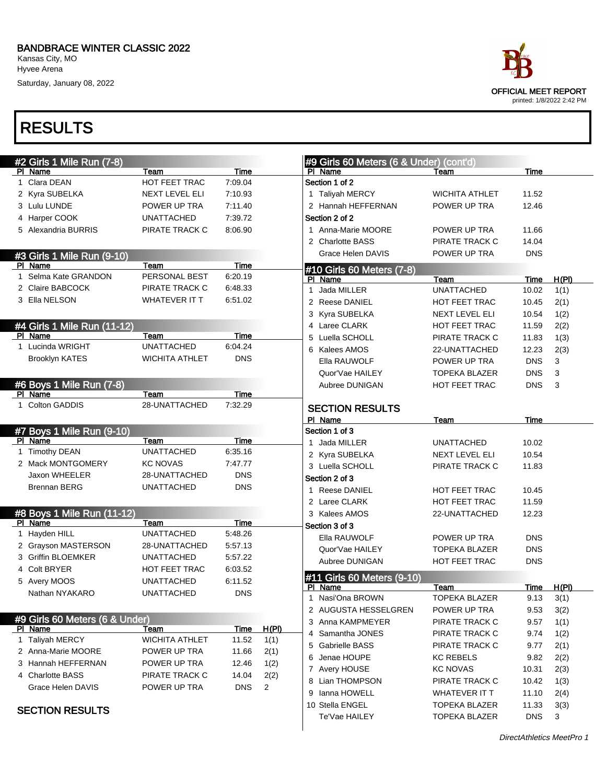Saturday, January 08, 2022



| #2 Girls 1 Mile Run (7-8)      |                       |             |                | #9 Girls 60 Meters (6 & Under) (cont'd) |                       |            |       |
|--------------------------------|-----------------------|-------------|----------------|-----------------------------------------|-----------------------|------------|-------|
| PI Name                        | Team                  | Time        |                | PI Name                                 | Team                  | Time       |       |
| Clara DEAN<br>1                | HOT FEET TRAC         | 7:09.04     |                | Section 1 of 2                          |                       |            |       |
| 2 Kyra SUBELKA                 | NEXT LEVEL ELI        | 7:10.93     |                | 1 Taliyah MERCY                         | <b>WICHITA ATHLET</b> | 11.52      |       |
| 3 Lulu LUNDE                   | POWER UP TRA          | 7:11.40     |                | 2 Hannah HEFFERNAN                      | POWER UP TRA          | 12.46      |       |
| 4 Harper COOK                  | <b>UNATTACHED</b>     | 7:39.72     |                | Section 2 of 2                          |                       |            |       |
| 5 Alexandria BURRIS            | PIRATE TRACK C        | 8:06.90     |                | 1 Anna-Marie MOORE                      | POWER UP TRA          | 11.66      |       |
|                                |                       |             |                | 2 Charlotte BASS                        | PIRATE TRACK C        | 14.04      |       |
| #3 Girls 1 Mile Run (9-10)     |                       |             |                | Grace Helen DAVIS                       | POWER UP TRA          | <b>DNS</b> |       |
| PI Name                        | Team                  | Time        |                | #10 Girls 60 Meters (7-8)               |                       |            |       |
| Selma Kate GRANDON<br>1        | PERSONAL BEST         | 6:20.19     |                | PI Name                                 | Team                  | Time       | H(PI) |
| 2 Claire BABCOCK               | PIRATE TRACK C        | 6:48.33     |                | Jada MILLER<br>$\mathbf{1}$             | <b>UNATTACHED</b>     | 10.02      | 1(1)  |
| 3 Ella NELSON                  | <b>WHATEVER IT T</b>  | 6:51.02     |                | 2 Reese DANIEL                          | <b>HOT FEET TRAC</b>  | 10.45      | 2(1)  |
|                                |                       |             |                | 3 Kyra SUBELKA                          | NEXT LEVEL ELI        | 10.54      | 1(2)  |
| #4 Girls 1 Mile Run (11-12)    |                       |             |                | 4 Laree CLARK                           | HOT FEET TRAC         | 11.59      | 2(2)  |
| PI Name                        | <b>Team</b>           | <b>Time</b> |                | Luella SCHOLL<br>5                      | PIRATE TRACK C        | 11.83      | 1(3)  |
| 1 Lucinda WRIGHT               | <b>UNATTACHED</b>     | 6:04.24     |                | 6 Kalees AMOS                           | 22-UNATTACHED         | 12.23      | 2(3)  |
| <b>Brooklyn KATES</b>          | <b>WICHITA ATHLET</b> | <b>DNS</b>  |                | Ella RAUWOLF                            | POWER UP TRA          | <b>DNS</b> | 3     |
|                                |                       |             |                | Quor'Vae HAILEY                         | <b>TOPEKA BLAZER</b>  | <b>DNS</b> | 3     |
| #6 Boys 1 Mile Run (7-8)       |                       |             |                | Aubree DUNIGAN                          | HOT FEET TRAC         | <b>DNS</b> | 3     |
| PI Name                        | Team                  | Time        |                |                                         |                       |            |       |
| 1 Colton GADDIS                | 28-UNATTACHED         | 7:32.29     |                | <b>SECTION RESULTS</b>                  |                       |            |       |
|                                |                       |             |                | PI Name                                 | Team                  | Time       |       |
| #7 Boys 1 Mile Run (9-10)      |                       |             |                | Section 1 of 3                          |                       |            |       |
| PI Name                        | Team                  | <b>Time</b> |                | 1 Jada MILLER                           | <b>UNATTACHED</b>     | 10.02      |       |
| 1 Timothy DEAN                 | <b>UNATTACHED</b>     | 6:35.16     |                | 2 Kyra SUBELKA                          | NEXT LEVEL ELI        | 10.54      |       |
| 2 Mack MONTGOMERY              | <b>KC NOVAS</b>       | 7:47.77     |                | 3 Luella SCHOLL                         | PIRATE TRACK C        | 11.83      |       |
| Jaxon WHEELER                  | 28-UNATTACHED         | <b>DNS</b>  |                | Section 2 of 3                          |                       |            |       |
| <b>Brennan BERG</b>            | <b>UNATTACHED</b>     | <b>DNS</b>  |                | 1 Reese DANIEL                          | HOT FEET TRAC         | 10.45      |       |
|                                |                       |             |                | 2 Laree CLARK                           | HOT FEET TRAC         | 11.59      |       |
| #8 Boys 1 Mile Run (11-12)     |                       |             |                | 3 Kalees AMOS                           | 22-UNATTACHED         | 12.23      |       |
| PI Name                        | Team                  | <b>Time</b> |                | Section 3 of 3                          |                       |            |       |
| 1 Hayden HILL                  | <b>UNATTACHED</b>     | 5:48.26     |                | Ella RAUWOLF                            | POWER UP TRA          | <b>DNS</b> |       |
| 2 Grayson MASTERSON            | 28-UNATTACHED         | 5:57.13     |                | Quor'Vae HAILEY                         | <b>TOPEKA BLAZER</b>  | <b>DNS</b> |       |
| <b>Griffin BLOEMKER</b><br>3   | <b>UNATTACHED</b>     | 5:57.22     |                | Aubree DUNIGAN                          | HOT FEET TRAC         | <b>DNS</b> |       |
| <b>Colt BRYER</b>              | HOT FEET TRAC         | 6:03.52     |                | #11 Girls 60 Meters (9-10)              |                       |            |       |
| 5 Avery MOOS                   | <b>UNATTACHED</b>     | 6:11.52     |                | PI Name                                 | <u>Team</u>           | Time       | H(PI) |
| Nathan NYAKARO                 | <b>UNATTACHED</b>     | <b>DNS</b>  |                | 1 Nasi'Ona BROWN                        | <b>TOPEKA BLAZER</b>  | 9.13       | 3(1)  |
|                                |                       |             |                | 2 AUGUSTA HESSELGREN                    | POWER UP TRA          | 9.53       | 3(2)  |
| #9 Girls 60 Meters (6 & Under) |                       |             |                | 3 Anna KAMPMEYER                        | PIRATE TRACK C        | 9.57       | 1(1)  |
| PI Name                        | Team                  | <b>Time</b> | <b>H(PI)</b>   | Samantha JONES<br>4                     | PIRATE TRACK C        | 9.74       | 1(2)  |
| 1 Taliyah MERCY                | <b>WICHITA ATHLET</b> | 11.52       | 1(1)           | <b>Gabrielle BASS</b><br>5              | PIRATE TRACK C        | 9.77       | 2(1)  |
| 2 Anna-Marie MOORE             | POWER UP TRA          | 11.66       | 2(1)           | Jenae HOUPE<br>6                        | <b>KC REBELS</b>      | 9.82       | 2(2)  |
| 3 Hannah HEFFERNAN             | POWER UP TRA          | 12.46       | 1(2)           | 7 Avery HOUSE                           | <b>KC NOVAS</b>       | 10.31      | 2(3)  |
| 4 Charlotte BASS               | PIRATE TRACK C        | 14.04       | 2(2)           | 8 Lian THOMPSON                         | PIRATE TRACK C        | 10.42      | 1(3)  |
| Grace Helen DAVIS              | POWER UP TRA          | <b>DNS</b>  | $\overline{2}$ | 9 Ianna HOWELL                          | WHATEVER IT T         | 11.10      | 2(4)  |
|                                |                       |             |                | 10 Stella ENGEL                         | <b>TOPEKA BLAZER</b>  | 11.33      | 3(3)  |
| <b>SECTION RESULTS</b>         |                       |             |                | Te'Vae HAILEY                           | <b>TOPEKA BLAZER</b>  | <b>DNS</b> | 3     |
|                                |                       |             |                |                                         |                       |            |       |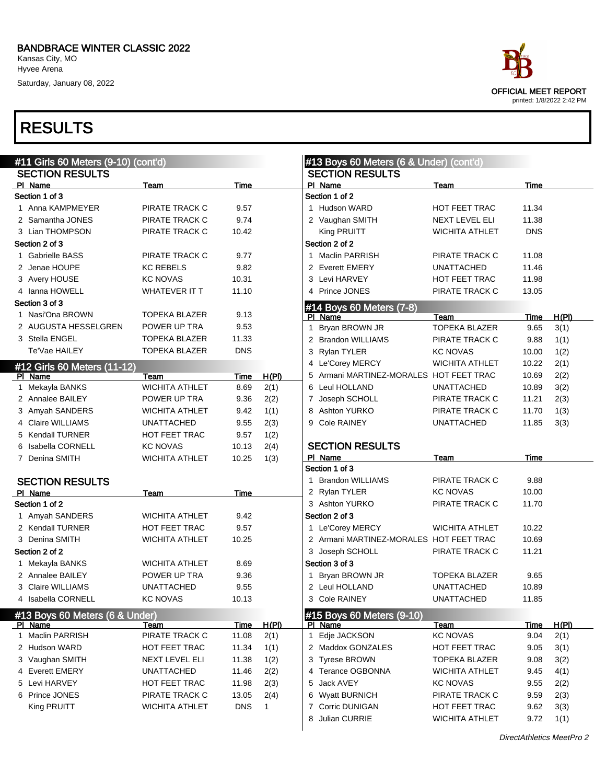Kansas City, MO Hyvee Arena Saturday, January 08, 2022

### RESULTS



OFFICIAL MEET REPORT printed: 1/8/2022 2:42 PM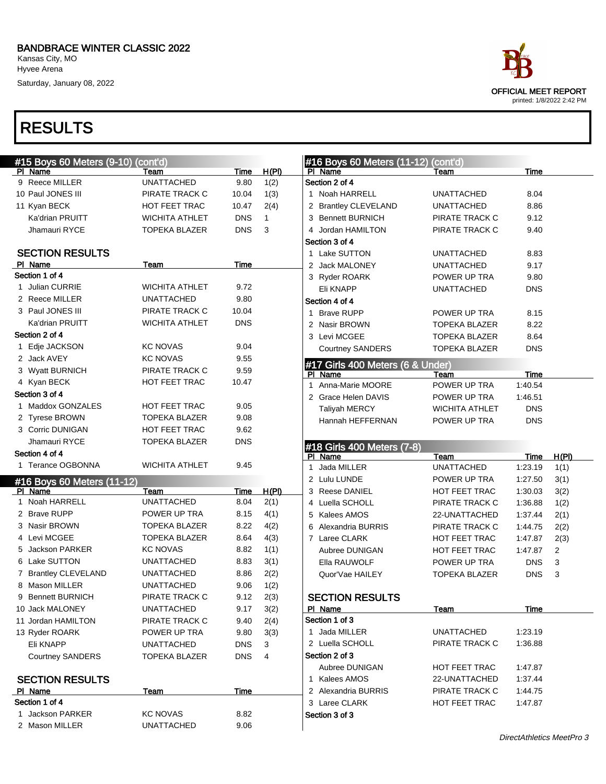Kansas City, MO Hyvee Arena Saturday, January 08, 2022

### RESULTS

| ace                                                      |
|----------------------------------------------------------|
| <b>OFFICIAL MEET REPORT</b><br>printed: 1/8/2022 2:42 PM |
|                                                          |

| #15 Boys 60 Meters (9-10) (cont'd) |                       |            |              | #16 Boys 60 Meters (11-12) (cont'd) |                       |            |       |
|------------------------------------|-----------------------|------------|--------------|-------------------------------------|-----------------------|------------|-------|
| PI Name                            | Team                  | Time       | <u>H(PI)</u> | PI Name                             | Team                  | Time       |       |
| 9 Reece MILLER                     | <b>UNATTACHED</b>     | 9.80       | 1(2)         | Section 2 of 4                      |                       |            |       |
| 10 Paul JONES III                  | PIRATE TRACK C        | 10.04      | 1(3)         | 1 Noah HARRELL                      | <b>UNATTACHED</b>     | 8.04       |       |
| 11 Kyan BECK                       | HOT FEET TRAC         | 10.47      | 2(4)         | 2 Brantley CLEVELAND                | <b>UNATTACHED</b>     | 8.86       |       |
| Ka'drian PRUITT                    | <b>WICHITA ATHLET</b> | <b>DNS</b> | $\mathbf 1$  | 3 Bennett BURNICH                   | PIRATE TRACK C        | 9.12       |       |
| Jhamauri RYCE                      | <b>TOPEKA BLAZER</b>  | <b>DNS</b> | 3            | 4 Jordan HAMILTON                   | PIRATE TRACK C        | 9.40       |       |
|                                    |                       |            |              | Section 3 of 4                      |                       |            |       |
| <b>SECTION RESULTS</b>             |                       |            |              | 1 Lake SUTTON                       | <b>UNATTACHED</b>     | 8.83       |       |
| PI Name                            | Team                  | Time       |              | 2 Jack MALONEY                      | <b>UNATTACHED</b>     | 9.17       |       |
| Section 1 of 4                     |                       |            |              | 3 Ryder ROARK                       | POWER UP TRA          | 9.80       |       |
| 1 Julian CURRIE                    | <b>WICHITA ATHLET</b> | 9.72       |              | Eli KNAPP                           | <b>UNATTACHED</b>     | <b>DNS</b> |       |
| 2 Reece MILLER                     | <b>UNATTACHED</b>     | 9.80       |              | Section 4 of 4                      |                       |            |       |
| 3 Paul JONES III                   | PIRATE TRACK C        | 10.04      |              | 1 Brave RUPP                        | POWER UP TRA          | 8.15       |       |
| Ka'drian PRUITT                    | <b>WICHITA ATHLET</b> | <b>DNS</b> |              | 2 Nasir BROWN                       | <b>TOPEKA BLAZER</b>  | 8.22       |       |
| Section 2 of 4                     |                       |            |              | 3 Levi MCGEE                        | <b>TOPEKA BLAZER</b>  | 8.64       |       |
| 1 Edje JACKSON                     | <b>KC NOVAS</b>       | 9.04       |              | <b>Courtney SANDERS</b>             | <b>TOPEKA BLAZER</b>  | <b>DNS</b> |       |
| 2 Jack AVEY                        | <b>KC NOVAS</b>       | 9.55       |              | #17 Girls 400 Meters (6 & Under)    |                       |            |       |
| 3 Wyatt BURNICH                    | PIRATE TRACK C        | 9.59       |              | PI Name                             | Team                  | Time       |       |
| 4 Kyan BECK                        | HOT FEET TRAC         | 10.47      |              | 1 Anna-Marie MOORE                  | POWER UP TRA          | 1:40.54    |       |
| Section 3 of 4                     |                       |            |              | 2 Grace Helen DAVIS                 | POWER UP TRA          | 1:46.51    |       |
| 1 Maddox GONZALES                  | HOT FEET TRAC         | 9.05       |              | <b>Taliyah MERCY</b>                | <b>WICHITA ATHLET</b> | <b>DNS</b> |       |
| 2 Tyrese BROWN                     | <b>TOPEKA BLAZER</b>  | 9.08       |              | Hannah HEFFERNAN                    | POWER UP TRA          | <b>DNS</b> |       |
| 3 Corric DUNIGAN                   | <b>HOT FEET TRAC</b>  | 9.62       |              |                                     |                       |            |       |
| Jhamauri RYCE                      | <b>TOPEKA BLAZER</b>  | <b>DNS</b> |              | #18 Girls 400 Meters (7-8)          |                       |            |       |
| Section 4 of 4                     |                       |            |              | PI Name                             | Team                  | Time       | H(PI) |
| 1 Terance OGBONNA                  | <b>WICHITA ATHLET</b> | 9.45       |              | 1 Jada MILLER                       | <b>UNATTACHED</b>     | 1:23.19    | 1(1)  |
| #16 Boys 60 Meters (11-12)         |                       |            |              | 2 Lulu LUNDE                        | POWER UP TRA          | 1:27.50    | 3(1)  |
| PI Name                            | Team                  | Time       | H(PI)        | 3 Reese DANIEL                      | HOT FEET TRAC         | 1:30.03    | 3(2)  |
| 1 Noah HARRELL                     | <b>UNATTACHED</b>     | 8.04       | 2(1)         | 4 Luella SCHOLL                     | PIRATE TRACK C        | 1:36.88    | 1(2)  |
| 2 Brave RUPP                       | POWER UP TRA          | 8.15       | 4(1)         | 5 Kalees AMOS                       | 22-UNATTACHED         | 1:37.44    | 2(1)  |
| 3 Nasir BROWN                      | <b>TOPEKA BLAZER</b>  | 8.22       | 4(2)         | 6 Alexandria BURRIS                 | PIRATE TRACK C        | 1:44.75    | 2(2)  |
| 4 Levi MCGEE                       | <b>TOPEKA BLAZER</b>  | 8.64       | 4(3)         | 7 Laree CLARK                       | HOT FEET TRAC         | 1:47.87    | 2(3)  |
| 5 Jackson PARKER                   | <b>KC NOVAS</b>       | 8.82       | 1(1)         | Aubree DUNIGAN                      | HOT FEET TRAC         | 1:47.87    | 2     |
| 6 Lake SUTTON                      | <b>UNATTACHED</b>     | 8.83       | 3(1)         | Ella RAUWOLF                        | POWER UP TRA          | <b>DNS</b> | 3     |
| 7 Brantley CLEVELAND               | <b>UNATTACHED</b>     | 8.86       | 2(2)         | Quor'Vae HAILEY                     | <b>TOPEKA BLAZER</b>  | <b>DNS</b> | 3     |
| 8 Mason MILLER                     | <b>UNATTACHED</b>     | 9.06       | 1(2)         |                                     |                       |            |       |
| 9 Bennett BURNICH                  | PIRATE TRACK C        | 9.12       | 2(3)         | <b>SECTION RESULTS</b>              |                       |            |       |
| 10 Jack MALONEY                    | <b>UNATTACHED</b>     | 9.17       | 3(2)         | PI Name                             | Team                  | Time       |       |
| 11 Jordan HAMILTON                 | PIRATE TRACK C        | 9.40       | 2(4)         | Section 1 of 3                      |                       |            |       |
| 13 Ryder ROARK                     | POWER UP TRA          | 9.80       | 3(3)         | 1 Jada MILLER                       | <b>UNATTACHED</b>     | 1:23.19    |       |
| Eli KNAPP                          | <b>UNATTACHED</b>     | <b>DNS</b> | 3            | 2 Luella SCHOLL                     | PIRATE TRACK C        | 1:36.88    |       |
| <b>Courtney SANDERS</b>            | <b>TOPEKA BLAZER</b>  | <b>DNS</b> | 4            | Section 2 of 3                      |                       |            |       |
|                                    |                       |            |              | Aubree DUNIGAN                      | HOT FEET TRAC         | 1:47.87    |       |
| <b>SECTION RESULTS</b>             |                       |            |              | 1 Kalees AMOS                       | 22-UNATTACHED         | 1:37.44    |       |
| PI Name                            | <b>Team</b>           | Time       |              | 2 Alexandria BURRIS                 | PIRATE TRACK C        | 1:44.75    |       |
| Section 1 of 4                     |                       |            |              | 3 Laree CLARK                       | HOT FEET TRAC         | 1:47.87    |       |
| 1 Jackson PARKER                   | <b>KC NOVAS</b>       | 8.82       |              | Section 3 of 3                      |                       |            |       |
| 2 Mason MILLER                     | <b>UNATTACHED</b>     | 9.06       |              |                                     |                       |            |       |
|                                    |                       |            |              |                                     |                       |            |       |

DirectAthletics MeetPro 3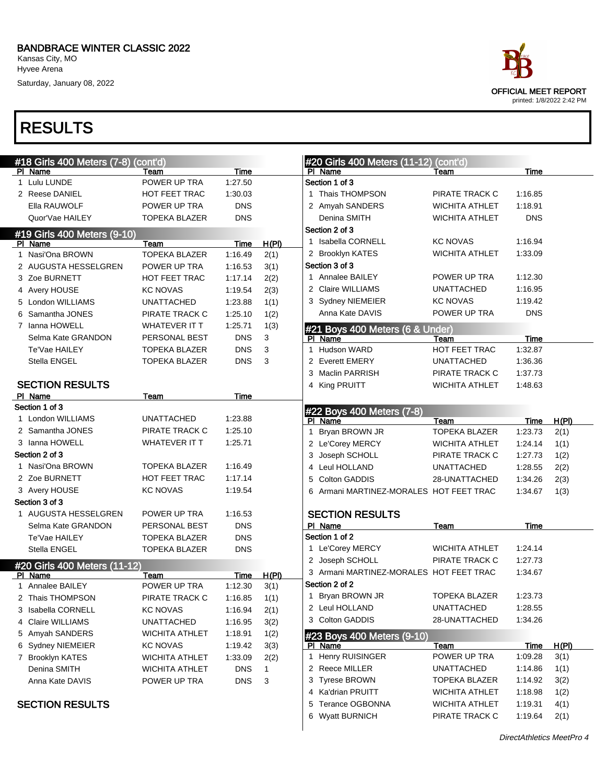Saturday, January 08, 2022

|   | #18 Girls 400 Meters (7-8) (cont'd) |                       |            |              | #20 Girls 400 Meters (11-12) (cont'd)   |                       |             |       |
|---|-------------------------------------|-----------------------|------------|--------------|-----------------------------------------|-----------------------|-------------|-------|
|   | PI Name                             | Team                  | Time       |              | PI Name                                 | Team                  | Time        |       |
|   | 1 Lulu LUNDE                        | POWER UP TRA          | 1:27.50    |              | Section 1 of 3                          |                       |             |       |
|   | 2 Reese DANIEL                      | HOT FEET TRAC         | 1:30.03    |              | 1 Thais THOMPSON                        | PIRATE TRACK C        | 1:16.85     |       |
|   | Ella RAUWOLF                        | POWER UP TRA          | <b>DNS</b> |              | 2 Amyah SANDERS                         | <b>WICHITA ATHLET</b> | 1:18.91     |       |
|   | Quor'Vae HAILEY                     | <b>TOPEKA BLAZER</b>  | <b>DNS</b> |              | Denina SMITH                            | WICHITA ATHLET        | <b>DNS</b>  |       |
|   | #19 Girls 400 Meters (9-10)         |                       |            |              | Section 2 of 3                          |                       |             |       |
|   | PI Name                             | Team                  | Time       | H(PI)        | 1 Isabella CORNELL                      | <b>KC NOVAS</b>       | 1:16.94     |       |
|   | 1 Nasi'Ona BROWN                    | <b>TOPEKA BLAZER</b>  | 1:16.49    | 2(1)         | 2 Brooklyn KATES                        | <b>WICHITA ATHLET</b> | 1:33.09     |       |
|   | 2 AUGUSTA HESSELGREN                | POWER UP TRA          | 1:16.53    | 3(1)         | Section 3 of 3                          |                       |             |       |
|   | 3 Zoe BURNETT                       | <b>HOT FEET TRAC</b>  | 1:17.14    | 2(2)         | 1 Annalee BAILEY                        | POWER UP TRA          | 1:12.30     |       |
|   | 4 Avery HOUSE                       | <b>KC NOVAS</b>       | 1:19.54    | 2(3)         | 2 Claire WILLIAMS                       | <b>UNATTACHED</b>     | 1:16.95     |       |
|   | 5 London WILLIAMS                   | <b>UNATTACHED</b>     | 1:23.88    | 1(1)         | 3 Sydney NIEMEIER                       | <b>KC NOVAS</b>       | 1:19.42     |       |
| 6 | Samantha JONES                      | PIRATE TRACK C        | 1:25.10    | 1(2)         | Anna Kate DAVIS                         | POWER UP TRA          | <b>DNS</b>  |       |
|   | 7 Ianna HOWELL                      | WHATEVER IT T         | 1:25.71    | 1(3)         | #21 Boys 400 Meters (6 & Under)         |                       |             |       |
|   | Selma Kate GRANDON                  | PERSONAL BEST         | <b>DNS</b> | 3            | PI Name                                 | Team                  | <b>Time</b> |       |
|   | Te'Vae HAILEY                       | <b>TOPEKA BLAZER</b>  | <b>DNS</b> | 3            | <b>Hudson WARD</b><br>1                 | HOT FEET TRAC         | 1:32.87     |       |
|   | Stella ENGEL                        | <b>TOPEKA BLAZER</b>  | <b>DNS</b> | 3            | 2 Everett EMERY                         | <b>UNATTACHED</b>     | 1:36.36     |       |
|   |                                     |                       |            |              | 3 Maclin PARRISH                        | PIRATE TRACK C        | 1:37.73     |       |
|   | <b>SECTION RESULTS</b>              |                       |            |              | 4 King PRUITT                           | <b>WICHITA ATHLET</b> | 1:48.63     |       |
|   | PI Name                             | Team                  | Time       |              |                                         |                       |             |       |
|   | Section 1 of 3                      |                       |            |              | #22 Boys 400 Meters (7-8)               |                       |             |       |
|   | 1 London WILLIAMS                   | <b>UNATTACHED</b>     | 1:23.88    |              | PI Name                                 | Team                  | Time        | H(PI) |
|   | 2 Samantha JONES                    | PIRATE TRACK C        | 1:25.10    |              | Bryan BROWN JR<br>1                     | <b>TOPEKA BLAZER</b>  | 1:23.73     | 2(1)  |
|   | 3 Ianna HOWELL                      | WHATEVER IT T         | 1:25.71    |              | 2 Le'Corey MERCY                        | WICHITA ATHLET        | 1:24.14     | 1(1)  |
|   | Section 2 of 3                      |                       |            |              | 3 Joseph SCHOLL                         | PIRATE TRACK C        | 1:27.73     | 1(2)  |
|   | 1 Nasi'Ona BROWN                    | <b>TOPEKA BLAZER</b>  | 1:16.49    |              | 4 Leul HOLLAND                          | <b>UNATTACHED</b>     | 1:28.55     | 2(2)  |
|   | 2 Zoe BURNETT                       | HOT FEET TRAC         | 1:17.14    |              | 5 Colton GADDIS                         | 28-UNATTACHED         | 1:34.26     | 2(3)  |
|   | 3 Avery HOUSE                       | <b>KC NOVAS</b>       | 1:19.54    |              | 6 Armani MARTINEZ-MORALES HOT FEET TRAC |                       | 1:34.67     | 1(3)  |
|   | Section 3 of 3                      |                       |            |              |                                         |                       |             |       |
|   | 1 AUGUSTA HESSELGREN                | POWER UP TRA          | 1:16.53    |              | <b>SECTION RESULTS</b>                  |                       |             |       |
|   | Selma Kate GRANDON                  | PERSONAL BEST         | <b>DNS</b> |              | PI Name                                 | Team                  | <b>Time</b> |       |
|   | Te'Vae HAILEY                       | <b>TOPEKA BLAZER</b>  | <b>DNS</b> |              | Section 1 of 2                          |                       |             |       |
|   | Stella ENGEL                        | <b>TOPEKA BLAZER</b>  | <b>DNS</b> |              | 1 Le'Corey MERCY                        | <b>WICHITA ATHLET</b> | 1:24.14     |       |
|   | #20 Girls 400 Meters (11-12)        |                       |            |              | 2 Joseph SCHOLL                         | PIRATE TRACK C        | 1:27.73     |       |
|   | PI Name                             | Team                  | Time       | H(PI)        | 3 Armani MARTINEZ-MORALES HOT FEET TRAC |                       | 1:34.67     |       |
|   | 1 Annalee BAILEY                    | POWER UP TRA          | 1:12.30    | 3(1)         | Section 2 of 2                          |                       |             |       |
|   | 2 Thais THOMPSON                    | PIRATE TRACK C        | 1:16.85    | 1(1)         | 1 Bryan BROWN JR                        | <b>TOPEKA BLAZER</b>  | 1:23.73     |       |
|   | 3 Isabella CORNELL                  | KC NOVAS              | 1:16.94    | 2(1)         | 2 Leul HOLLAND                          | UNATTACHED            | 1:28.55     |       |
|   | 4 Claire WILLIAMS                   | <b>UNATTACHED</b>     | 1:16.95    | 3(2)         | 3 Colton GADDIS                         | 28-UNATTACHED         | 1:34.26     |       |
|   | 5 Amyah SANDERS                     | WICHITA ATHLET        | 1:18.91    | 1(2)         | #23 Boys 400 Meters (9-10)              |                       |             |       |
|   | 6 Sydney NIEMEIER                   | KC NOVAS              | 1:19.42    | 3(3)         | <b>PI</b> Name                          | <b>Team</b>           | <u>Time</u> | H(PI) |
|   | 7 Brooklyn KATES                    | <b>WICHITA ATHLET</b> | 1:33.09    | 2(2)         | 1 Henry RUISINGER                       | POWER UP TRA          | 1:09.28     | 3(1)  |
|   | Denina SMITH                        | <b>WICHITA ATHLET</b> | <b>DNS</b> | $\mathbf{1}$ | 2 Reece MILLER                          | <b>UNATTACHED</b>     | 1:14.86     | 1(1)  |
|   | Anna Kate DAVIS                     | POWER UP TRA          | <b>DNS</b> | 3            | 3 Tyrese BROWN                          | <b>TOPEKA BLAZER</b>  | 1:14.92     | 3(2)  |
|   |                                     |                       |            |              | 4 Ka'drian PRUITT                       | <b>WICHITA ATHLET</b> | 1:18.98     | 1(2)  |
|   | <b>SECTION RESULTS</b>              |                       |            |              | 5 Terance OGBONNA                       | <b>WICHITA ATHLET</b> | 1:19.31     | 4(1)  |
|   |                                     |                       |            |              | 6 Wyatt BURNICH                         | PIRATE TRACK C        | 1:19.64     | 2(1)  |
|   |                                     |                       |            |              |                                         |                       |             |       |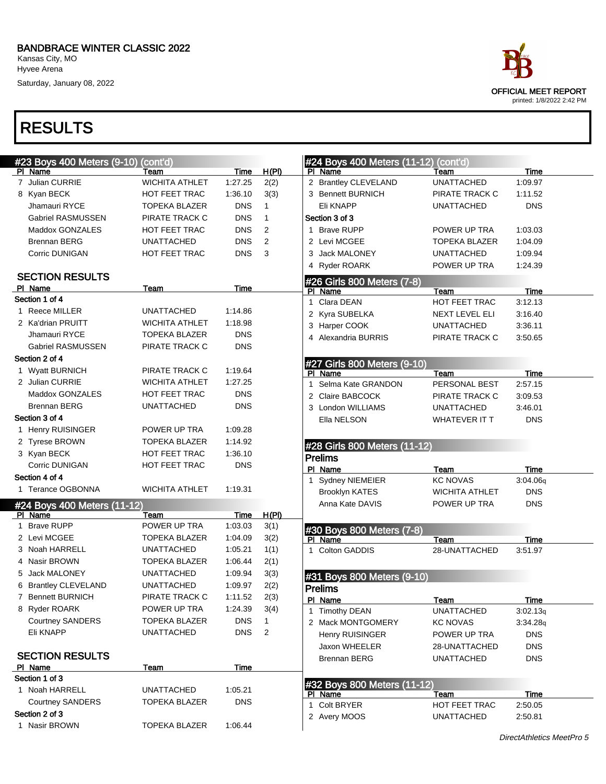Saturday, January 08, 2022



| #23 Boys 400 Meters (9-10) (cont'd) |                       |            |              | #24 Boys 400 Meters (11-12) (cont'd) |                       |             |
|-------------------------------------|-----------------------|------------|--------------|--------------------------------------|-----------------------|-------------|
| PI Name                             | Team                  | Time       | H(PI)        | PI Name                              | Team                  | <b>Time</b> |
| 7 Julian CURRIE                     | <b>WICHITA ATHLET</b> | 1:27.25    | 2(2)         | 2 Brantley CLEVELAND                 | <b>UNATTACHED</b>     | 1:09.97     |
| 8 Kyan BECK                         | <b>HOT FEET TRAC</b>  | 1:36.10    | 3(3)         | 3 Bennett BURNICH                    | PIRATE TRACK C        | 1:11.52     |
| Jhamauri RYCE                       | <b>TOPEKA BLAZER</b>  | <b>DNS</b> | 1            | Eli KNAPP                            | <b>UNATTACHED</b>     | <b>DNS</b>  |
| <b>Gabriel RASMUSSEN</b>            | PIRATE TRACK C        | <b>DNS</b> | $\mathbf{1}$ | Section 3 of 3                       |                       |             |
| Maddox GONZALES                     | <b>HOT FEET TRAC</b>  | <b>DNS</b> | 2            | 1 Brave RUPP                         | POWER UP TRA          | 1:03.03     |
| <b>Brennan BERG</b>                 | <b>UNATTACHED</b>     | <b>DNS</b> | 2            | 2 Levi MCGEE                         | <b>TOPEKA BLAZER</b>  | 1:04.09     |
| Corric DUNIGAN                      | HOT FEET TRAC         | <b>DNS</b> | 3            | 3 Jack MALONEY                       | <b>UNATTACHED</b>     | 1:09.94     |
|                                     |                       |            |              | 4 Ryder ROARK                        | POWER UP TRA          | 1:24.39     |
| <b>SECTION RESULTS</b>              |                       |            |              | #26 Girls 800 Meters (7-8)           |                       |             |
| PI Name                             | Team                  | Time       |              | PI Name                              | Team                  | <b>Time</b> |
| Section 1 of 4                      |                       |            |              | 1 Clara DEAN                         | HOT FEET TRAC         | 3:12.13     |
| 1 Reece MILLER                      | <b>UNATTACHED</b>     | 1:14.86    |              | 2 Kyra SUBELKA                       | NEXT LEVEL ELI        | 3:16.40     |
| 2 Ka'drian PRUITT                   | <b>WICHITA ATHLET</b> | 1:18.98    |              | 3 Harper COOK                        | <b>UNATTACHED</b>     | 3:36.11     |
| Jhamauri RYCE                       | <b>TOPEKA BLAZER</b>  | <b>DNS</b> |              | 4 Alexandria BURRIS                  | PIRATE TRACK C        | 3:50.65     |
| <b>Gabriel RASMUSSEN</b>            | PIRATE TRACK C        | <b>DNS</b> |              |                                      |                       |             |
| Section 2 of 4                      |                       |            |              | #27 Girls 800 Meters (9-10)          |                       |             |
| 1 Wyatt BURNICH                     | PIRATE TRACK C        | 1:19.64    |              | PI Name                              | Team                  | Time        |
| 2 Julian CURRIE                     | <b>WICHITA ATHLET</b> | 1:27.25    |              | 1 Selma Kate GRANDON                 | PERSONAL BEST         | 2:57.15     |
| Maddox GONZALES                     | <b>HOT FEET TRAC</b>  | <b>DNS</b> |              | 2 Claire BABCOCK                     | PIRATE TRACK C        | 3:09.53     |
| <b>Brennan BERG</b>                 | <b>UNATTACHED</b>     | <b>DNS</b> |              | 3 London WILLIAMS                    | <b>UNATTACHED</b>     | 3:46.01     |
| Section 3 of 4                      |                       |            |              | Ella NELSON                          | <b>WHATEVER IT T</b>  | <b>DNS</b>  |
| 1 Henry RUISINGER                   | POWER UP TRA          | 1:09.28    |              |                                      |                       |             |
| 2 Tyrese BROWN                      | <b>TOPEKA BLAZER</b>  | 1:14.92    |              | #28 Girls 800 Meters (11-12)         |                       |             |
| 3 Kyan BECK                         | HOT FEET TRAC         | 1:36.10    |              | <b>Prelims</b>                       |                       |             |
| Corric DUNIGAN                      | HOT FEET TRAC         | <b>DNS</b> |              | PI Name                              | Team                  | Time        |
| Section 4 of 4                      |                       |            |              | 1 Sydney NIEMEIER                    | <b>KC NOVAS</b>       | 3:04.06q    |
| 1 Terance OGBONNA                   | <b>WICHITA ATHLET</b> | 1:19.31    |              | <b>Brooklyn KATES</b>                | <b>WICHITA ATHLET</b> | <b>DNS</b>  |
| #24 Boys 400 Meters (11-12)         |                       |            |              | Anna Kate DAVIS                      | POWER UP TRA          | <b>DNS</b>  |
| PI Name                             | Team                  | Time       | H(PI)        |                                      |                       |             |
| 1 Brave RUPP                        | POWER UP TRA          | 1:03.03    | 3(1)         | #30 Boys 800 Meters (7-8)            |                       |             |
| 2 Levi MCGEE                        | <b>TOPEKA BLAZER</b>  | 1:04.09    | 3(2)         | PI Name                              | Team                  | <b>Time</b> |
| 3 Noah HARRELL                      | <b>UNATTACHED</b>     | 1:05.21    | 1(1)         | 1 Colton GADDIS                      | 28-UNATTACHED         | 3:51.97     |
| 4 Nasir BROWN                       | <b>TOPEKA BLAZER</b>  | 1:06.44    | 2(1)         |                                      |                       |             |
| 5 Jack MALONEY                      | <b>UNATTACHED</b>     | 1:09.94    | 3(3)         | #31 Boys 800 Meters (9-10)           |                       |             |
| 6 Brantley CLEVELAND                | <b>UNATTACHED</b>     | 1:09.97    | 2(2)         | <b>Prelims</b>                       |                       |             |
| 7 Bennett BURNICH                   | PIRATE TRACK C        | 1:11.52    | 2(3)         | PI Name                              | Team                  | Time        |
| 8 Ryder ROARK                       | POWER UP TRA          | 1:24.39    | 3(4)         | 1 Timothy DEAN                       | <b>UNATTACHED</b>     | 3:02.13q    |
| <b>Courtney SANDERS</b>             | <b>TOPEKA BLAZER</b>  | <b>DNS</b> | $\mathbf{1}$ | 2 Mack MONTGOMERY                    | <b>KC NOVAS</b>       | 3:34.28q    |
| Eli KNAPP                           | <b>UNATTACHED</b>     | <b>DNS</b> | 2            | Henry RUISINGER                      | POWER UP TRA          | <b>DNS</b>  |
|                                     |                       |            |              | Jaxon WHEELER                        | 28-UNATTACHED         | <b>DNS</b>  |
| <b>SECTION RESULTS</b>              |                       |            |              | <b>Brennan BERG</b>                  | <b>UNATTACHED</b>     | <b>DNS</b>  |
| PI Name<br>Section 1 of 3           | Team                  | Time       |              |                                      |                       |             |
| 1 Noah HARRELL                      | <b>UNATTACHED</b>     | 1:05.21    |              | #32 Boys 800 Meters (11-12)          |                       |             |
| <b>Courtney SANDERS</b>             | <b>TOPEKA BLAZER</b>  | <b>DNS</b> |              | PI Name                              | Team                  | <b>Time</b> |
| Section 2 of 3                      |                       |            |              | 1 Colt BRYER                         | HOT FEET TRAC         | 2:50.05     |
| 1 Nasir BROWN                       | <b>TOPEKA BLAZER</b>  | 1:06.44    |              | 2 Avery MOOS                         | <b>UNATTACHED</b>     | 2:50.81     |
|                                     |                       |            |              |                                      |                       |             |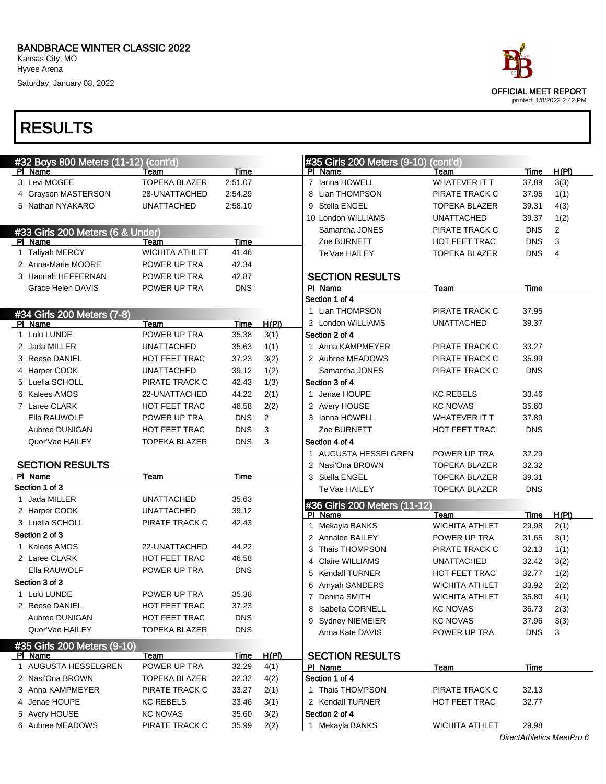Kansas City, MO Hyvee Arena

Saturday, January 08, 2022

#32 Boys 800 Meters (11-12

#33 Girls 200 Meters (6 & U

#34 Girls 200 Meters (7-8)

SECTION RESULTS

#35 Girls 200 Meters (9-10)

1 AUGUSTA HESSELGREN 2 Nasi'Ona BROWN 3 Anna KAMPMEYER 4 Jenae HOUPE 5 Avery HOUSE 6 Aubree MEADOWS

4 Grayson MASTERSON 5 Nathan NYAKARO

### RESULTS

Pl Name 3 Levi MCGEE

Pl Name

PI Name 1 Lulu LUNDE 2 Jada MILLER 3 Reese DANIEL 4 Harper COOK 5 Luella SCHOLL 6 Kalees AMOS 7 Laree CLARK Ella RAUWOLF Aubree DUNIGAN Quor'Vae HAILEY

Pl Name Section 1 of 3 1 Jada MILLER 2 Harper COOK 3 Luella SCHOLL Section 2 of 3 1 Kalees AMOS 2 Laree CLARK Ella RAUWOLF

Section 3 of 3 1 Lulu LUNDE 2 Reese DANIEL Aubree DUNIGAN Quor'Vae HAILEY

PI Name

1 Taliyah MERCY 2 Anna-Marie MOORE 3 Hannah HEFFERNAN Grace Helen DAVIS



| $2)$ (cont'd)         |             |              | #35 Girls 200 Meters (9-10) (cont'd) |                       |             |       |
|-----------------------|-------------|--------------|--------------------------------------|-----------------------|-------------|-------|
| Team                  | Time        |              | PI.<br>Name                          | Team                  | Time        | H(PI) |
| <b>TOPEKA BLAZER</b>  | 2:51.07     |              | 7 Ianna HOWELL                       | WHATEVER IT T         | 37.89       | 3(3)  |
| 28-UNATTACHED         | 2:54.29     |              | Lian THOMPSON<br>8                   | PIRATE TRACK C        | 37.95       | 1(1)  |
| <b>UNATTACHED</b>     | 2:58.10     |              | Stella ENGEL<br>9                    | TOPEKA BLAZER         | 39.31       | 4(3)  |
|                       |             |              | 10 London WILLIAMS                   | <b>UNATTACHED</b>     | 39.37       | 1(2)  |
| nder)                 |             |              | Samantha JONES                       | PIRATE TRACK C        | <b>DNS</b>  | 2     |
| Team                  | <b>Time</b> |              | Zoe BURNETT                          | HOT FEET TRAC         | <b>DNS</b>  | 3     |
| <b>WICHITA ATHLET</b> | 41.46       |              | Te'Vae HAILEY                        | TOPEKA BLAZER         | <b>DNS</b>  | 4     |
| POWER UP TRA          | 42.34       |              |                                      |                       |             |       |
| POWER UP TRA          | 42.87       |              | <b>SECTION RESULTS</b>               |                       |             |       |
| POWER UP TRA          | <b>DNS</b>  |              | PI Name                              | Team                  | Time        |       |
|                       |             |              | Section 1 of 4                       |                       |             |       |
|                       |             |              | 1 Lian THOMPSON                      | PIRATE TRACK C        | 37.95       |       |
| Team                  | Time        | H(PI)        | 2 London WILLIAMS                    | <b>UNATTACHED</b>     | 39.37       |       |
| POWER UP TRA          | 35.38       | 3(1)         | Section 2 of 4                       |                       |             |       |
| <b>UNATTACHED</b>     | 35.63       | 1(1)         | 1 Anna KAMPMEYER                     | PIRATE TRACK C        | 33.27       |       |
| HOT FEET TRAC         | 37.23       | 3(2)         | 2 Aubree MEADOWS                     | PIRATE TRACK C        | 35.99       |       |
| <b>UNATTACHED</b>     | 39.12       | 1(2)         | Samantha JONES                       | PIRATE TRACK C        | <b>DNS</b>  |       |
| PIRATE TRACK C        | 42.43       | 1(3)         | Section 3 of 4                       |                       |             |       |
| 22-UNATTACHED         | 44.22       | 2(1)         | 1 Jenae HOUPE                        | <b>KC REBELS</b>      | 33.46       |       |
| <b>HOT FEET TRAC</b>  | 46.58       | 2(2)         | 2 Avery HOUSE                        | <b>KC NOVAS</b>       | 35.60       |       |
| POWER UP TRA          | <b>DNS</b>  | 2            | 3 Ianna HOWELL                       | <b>WHATEVER IT T</b>  | 37.89       |       |
| HOT FEET TRAC         | <b>DNS</b>  | 3            | Zoe BURNETT                          | HOT FEET TRAC         | <b>DNS</b>  |       |
| <b>TOPEKA BLAZER</b>  | <b>DNS</b>  | 3            | Section 4 of 4                       |                       |             |       |
|                       |             |              | 1 AUGUSTA HESSELGREN                 | POWER UP TRA          | 32.29       |       |
|                       |             |              | 2 Nasi'Ona BROWN                     | TOPEKA BLAZER         | 32.32       |       |
| Team                  | Time        |              | 3 Stella ENGEL                       | <b>TOPEKA BLAZER</b>  | 39.31       |       |
|                       |             |              | Te'Vae HAILEY                        | <b>TOPEKA BLAZER</b>  | <b>DNS</b>  |       |
| <b>UNATTACHED</b>     | 35.63       |              | #36 Girls 200 Meters (11-12)         |                       |             |       |
| <b>UNATTACHED</b>     | 39.12       |              | PI Name                              | Team                  | Time        | H(PI) |
| PIRATE TRACK C        | 42.43       |              | Mekayla BANKS<br>1.                  | <b>WICHITA ATHLET</b> | 29.98       | 2(1)  |
|                       |             |              | 2 Annalee BAILEY                     | POWER UP TRA          | 31.65       | 3(1)  |
| 22-UNATTACHED         | 44.22       |              | Thais THOMPSON<br>3                  | PIRATE TRACK C        | 32.13       | 1(1)  |
| <b>HOT FEET TRAC</b>  | 46.58       |              | Claire WILLIAMS<br>4                 | <b>UNATTACHED</b>     | 32.42       | 3(2)  |
| POWER UP TRA          | <b>DNS</b>  |              | Kendall TURNER<br>5                  | <b>HOT FEET TRAC</b>  | 32.77       | 1(2)  |
|                       |             |              | 6 Amyah SANDERS                      | <b>WICHITA ATHLET</b> | 33.92       | 2(2)  |
| POWER UP TRA          | 35.38       |              | 7 Denina SMITH                       | <b>WICHITA ATHLET</b> | 35.80       | 4(1)  |
| HOT FEET TRAC         | 37.23       |              | 8 Isabella CORNELL                   | <b>KC NOVAS</b>       | 36.73       | 2(3)  |
| HOT FEET TRAC         | <b>DNS</b>  |              | 9 Sydney NIEMEIER                    | <b>KC NOVAS</b>       | 37.96       | 3(3)  |
| <b>TOPEKA BLAZER</b>  | <b>DNS</b>  |              | Anna Kate DAVIS                      | POWER UP TRA          | <b>DNS</b>  | 3     |
|                       |             |              |                                      |                       |             |       |
| <b>Team</b>           | <b>Time</b> | <u>H(PI)</u> | <b>SECTION RESULTS</b>               |                       |             |       |
| POWER UP TRA          | 32.29       | 4(1)         | PI Name                              | <b>Team</b>           | <u>Time</u> |       |
| <b>TOPEKA BLAZER</b>  | 32.32       | 4(2)         | Section 1 of 4                       |                       |             |       |
| PIRATE TRACK C        | 33.27       | 2(1)         | 1 Thais THOMPSON                     | PIRATE TRACK C        | 32.13       |       |
| <b>KC REBELS</b>      | 33.46       | 3(1)         | 2 Kendall TURNER                     | HOT FEET TRAC         | 32.77       |       |
| <b>KC NOVAS</b>       | 35.60       | 3(2)         | Section 2 of 4                       |                       |             |       |
| PIRATE TRACK C        | 35.99       | 2(2)         | 1 Mekayla BANKS                      | <b>WICHITA ATHLET</b> | 29.98       |       |
|                       |             |              |                                      |                       |             |       |

DirectAthletics MeetPro 6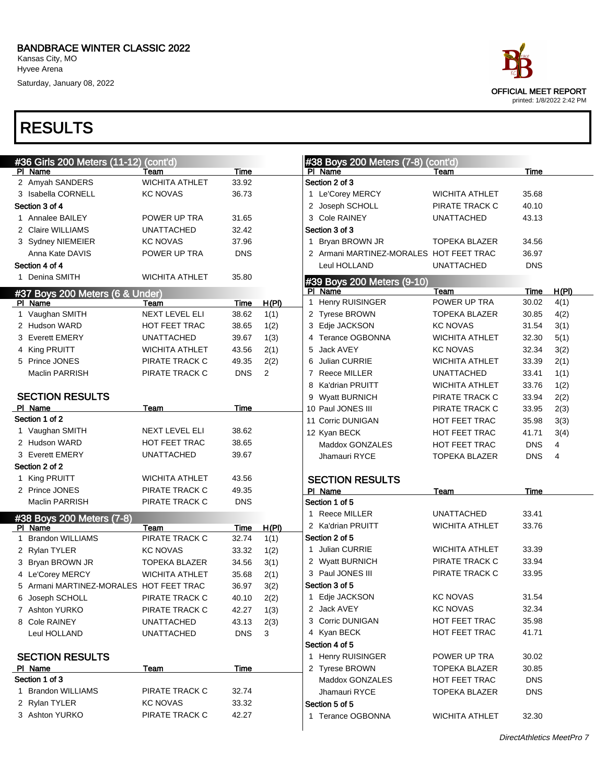Saturday, January 08, 2022

| #36 Girls 200 Meters (11-12) (cont'd)   |                       |            |       | #38 Boys 200 Meters (7-8) (cont'd)      |                                    |            |                |
|-----------------------------------------|-----------------------|------------|-------|-----------------------------------------|------------------------------------|------------|----------------|
| PI Name                                 | Team                  | Time       |       | PI Name                                 | Team                               | Time       |                |
| 2 Amyah SANDERS                         | <b>WICHITA ATHLET</b> | 33.92      |       | Section 2 of 3                          |                                    |            |                |
| 3 Isabella CORNELL                      | <b>KC NOVAS</b>       | 36.73      |       | 1 Le'Corey MERCY                        | <b>WICHITA ATHLET</b>              | 35.68      |                |
| Section 3 of 4                          |                       |            |       | 2 Joseph SCHOLL                         | PIRATE TRACK C                     | 40.10      |                |
| 1 Annalee BAILEY                        | POWER UP TRA          | 31.65      |       | 3 Cole RAINEY                           | <b>UNATTACHED</b>                  | 43.13      |                |
| 2 Claire WILLIAMS                       | <b>UNATTACHED</b>     | 32.42      |       | Section 3 of 3                          |                                    |            |                |
| 3 Sydney NIEMEIER                       | <b>KC NOVAS</b>       | 37.96      |       | 1 Bryan BROWN JR                        | <b>TOPEKA BLAZER</b>               | 34.56      |                |
| Anna Kate DAVIS                         | POWER UP TRA          | <b>DNS</b> |       | 2 Armani MARTINEZ-MORALES HOT FEET TRAC |                                    | 36.97      |                |
| Section 4 of 4                          |                       |            |       | Leul HOLLAND                            | <b>UNATTACHED</b>                  | <b>DNS</b> |                |
| 1 Denina SMITH                          | <b>WICHITA ATHLET</b> | 35.80      |       | #39 Boys 200 Meters (9-10)              |                                    |            |                |
| #37 Boys 200 Meters (6 & Under)         |                       |            |       | PI Name                                 | Team                               | Time       | H(PI)          |
| PI Name                                 | Team                  | Time       | H(PI) | 1 Henry RUISINGER                       | POWER UP TRA                       | 30.02      | 4(1)           |
| 1 Vaughan SMITH                         | <b>NEXT LEVEL ELI</b> | 38.62      | 1(1)  | 2 Tyrese BROWN                          | <b>TOPEKA BLAZER</b>               | 30.85      | 4(2)           |
| 2 Hudson WARD                           | <b>HOT FEET TRAC</b>  | 38.65      | 1(2)  | 3 Edje JACKSON                          | <b>KC NOVAS</b>                    | 31.54      | 3(1)           |
| 3 Everett EMERY                         | <b>UNATTACHED</b>     | 39.67      | 1(3)  | 4 Terance OGBONNA                       | <b>WICHITA ATHLET</b>              | 32.30      | 5(1)           |
| 4 King PRUITT                           | <b>WICHITA ATHLET</b> | 43.56      | 2(1)  | Jack AVEY<br>5                          | <b>KC NOVAS</b>                    | 32.34      | 3(2)           |
| 5 Prince JONES                          | PIRATE TRACK C        | 49.35      | 2(2)  | <b>Julian CURRIE</b><br>6               | <b>WICHITA ATHLET</b>              | 33.39      | 2(1)           |
| Maclin PARRISH                          | PIRATE TRACK C        | <b>DNS</b> | 2     | <b>Reece MILLER</b><br>7                | <b>UNATTACHED</b>                  | 33.41      | 1(1)           |
|                                         |                       |            |       | 8 Ka'drian PRUITT                       | <b>WICHITA ATHLET</b>              | 33.76      | 1(2)           |
| <b>SECTION RESULTS</b>                  |                       |            |       | 9 Wyatt BURNICH                         | PIRATE TRACK C                     | 33.94      | 2(2)           |
| PI Name                                 | Team                  | Time       |       | 10 Paul JONES III                       | PIRATE TRACK C                     | 33.95      | 2(3)           |
| Section 1 of 2                          |                       |            |       | 11 Corric DUNIGAN                       | HOT FEET TRAC                      | 35.98      | 3(3)           |
| 1 Vaughan SMITH                         | <b>NEXT LEVEL ELI</b> | 38.62      |       | 12 Kyan BECK                            | <b>HOT FEET TRAC</b>               | 41.71      | 3(4)           |
| 2 Hudson WARD                           | <b>HOT FEET TRAC</b>  | 38.65      |       | Maddox GONZALES                         | <b>HOT FEET TRAC</b>               | <b>DNS</b> | 4              |
| 3 Everett EMERY                         | <b>UNATTACHED</b>     | 39.67      |       | Jhamauri RYCE                           | <b>TOPEKA BLAZER</b>               | <b>DNS</b> | $\overline{4}$ |
| Section 2 of 2                          |                       |            |       |                                         |                                    |            |                |
| 1 King PRUITT                           | <b>WICHITA ATHLET</b> | 43.56      |       | <b>SECTION RESULTS</b>                  |                                    |            |                |
| 2 Prince JONES                          | PIRATE TRACK C        | 49.35      |       | PI Name                                 | Team                               | Time       |                |
| Maclin PARRISH                          | PIRATE TRACK C        | <b>DNS</b> |       | Section 1 of 5                          |                                    |            |                |
| #38 Boys 200 Meters (7-8)               |                       |            |       | 1 Reece MILLER                          | <b>UNATTACHED</b>                  | 33.41      |                |
| PI Name                                 | Team                  | Time       | H(PI) | 2 Ka'drian PRUITT                       | <b>WICHITA ATHLET</b>              | 33.76      |                |
| 1 Brandon WILLIAMS                      | PIRATE TRACK C        | 32.74      | 1(1)  | Section 2 of 5                          |                                    |            |                |
| 2 Rylan TYLER                           | <b>KC NOVAS</b>       | 33.32      | 1(2)  | 1 Julian CURRIE                         | <b>WICHITA ATHLET</b>              | 33.39      |                |
| 3 Bryan BROWN JR                        | <b>TOPEKA BLAZER</b>  | 34.56      | 3(1)  | 2 Wyatt BURNICH                         | PIRATE TRACK C<br>PIRATE TRACK C   | 33.94      |                |
| 4 Le'Corey MERCY                        | <b>WICHITA ATHLET</b> | 35.68      | 2(1)  | 3 Paul JONES III                        |                                    | 33.95      |                |
| 5 Armani MARTINEZ-MORALES HOT FEET TRAC |                       | 36.97      | 3(2)  | Section 3 of 5                          |                                    |            |                |
| 6 Joseph SCHOLL                         | PIRATE TRACK C        | 40.10      | 2(2)  | 1 Edje JACKSON                          | <b>KC NOVAS</b><br><b>KC NOVAS</b> | 31.54      |                |
| 7 Ashton YURKO                          | PIRATE TRACK C        | 42.27      | 1(3)  | 2 Jack AVEY                             |                                    | 32.34      |                |
| 8 Cole RAINEY                           | <b>UNATTACHED</b>     | 43.13      | 2(3)  | 3 Corric DUNIGAN<br>4 Kyan BECK         | HOT FEET TRAC                      | 35.98      |                |
| Leul HOLLAND                            | <b>UNATTACHED</b>     | <b>DNS</b> | 3     |                                         | HOT FEET TRAC                      | 41.71      |                |
| <b>SECTION RESULTS</b>                  |                       |            |       | Section 4 of 5<br>1 Henry RUISINGER     | POWER UP TRA                       | 30.02      |                |
| PI Name                                 | Team                  | Time       |       | 2 Tyrese BROWN                          | TOPEKA BLAZER                      | 30.85      |                |
| Section 1 of 3                          |                       |            |       | Maddox GONZALES                         | HOT FEET TRAC                      | <b>DNS</b> |                |
| 1 Brandon WILLIAMS                      | PIRATE TRACK C        | 32.74      |       | Jhamauri RYCE                           | <b>TOPEKA BLAZER</b>               | <b>DNS</b> |                |
| 2 Rylan TYLER                           | <b>KC NOVAS</b>       | 33.32      |       | Section 5 of 5                          |                                    |            |                |
| 3 Ashton YURKO                          | PIRATE TRACK C        | 42.27      |       | 1 Terance OGBONNA                       | <b>WICHITA ATHLET</b>              | 32.30      |                |
|                                         |                       |            |       |                                         |                                    |            |                |

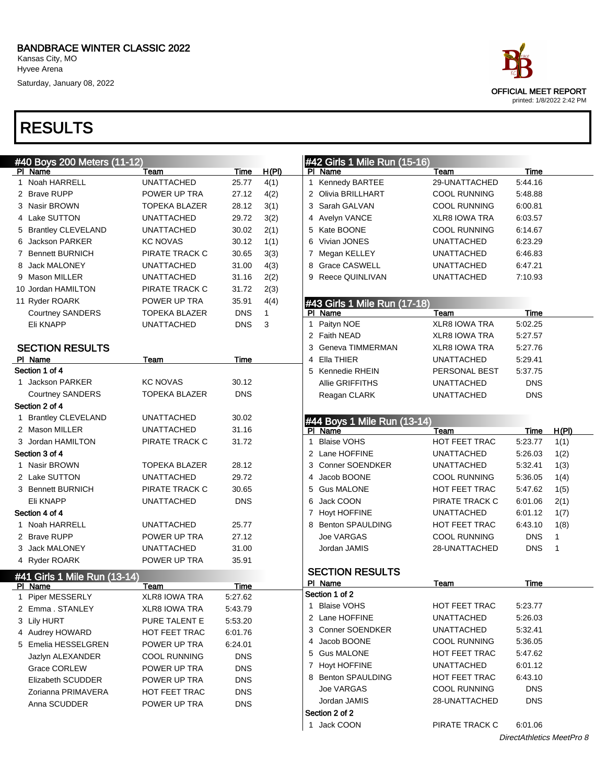Kansas City, MO Hyvee Arena

Saturday, January 08, 2022

### RESULTS

|   | #40 Boys 200 Meters (11-12)  |                      |            |       |   | #42 Girls 1 Mile Run (15-16)           |                      |            |              |
|---|------------------------------|----------------------|------------|-------|---|----------------------------------------|----------------------|------------|--------------|
|   | PI Name                      | Team                 | Time       | H(PI) |   | PI Name                                | Team                 | Time       |              |
|   | 1 Noah HARRELL               | <b>UNATTACHED</b>    | 25.77      | 4(1)  |   | 1 Kennedy BARTEE                       | 29-UNATTACHED        | 5:44.16    |              |
|   | 2 Brave RUPP                 | POWER UP TRA         | 27.12      | 4(2)  | 2 | Olivia BRILLHART                       | <b>COOL RUNNING</b>  | 5:48.88    |              |
|   | 3 Nasir BROWN                | <b>TOPEKA BLAZER</b> | 28.12      | 3(1)  | 3 | Sarah GALVAN                           | <b>COOL RUNNING</b>  | 6:00.81    |              |
|   | 4 Lake SUTTON                | <b>UNATTACHED</b>    | 29.72      | 3(2)  | 4 | Avelyn VANCE                           | <b>XLR8 IOWA TRA</b> | 6:03.57    |              |
|   | 5 Brantley CLEVELAND         | <b>UNATTACHED</b>    | 30.02      | 2(1)  | 5 | Kate BOONE                             | <b>COOL RUNNING</b>  | 6:14.67    |              |
|   | 6 Jackson PARKER             | <b>KC NOVAS</b>      | 30.12      | 1(1)  | 6 | Vivian JONES                           | <b>UNATTACHED</b>    | 6:23.29    |              |
|   | 7 Bennett BURNICH            | PIRATE TRACK C       | 30.65      | 3(3)  |   | 7 Megan KELLEY                         | <b>UNATTACHED</b>    | 6:46.83    |              |
| 8 | <b>Jack MALONEY</b>          | <b>UNATTACHED</b>    | 31.00      | 4(3)  | 8 | <b>Grace CASWELL</b>                   | <b>UNATTACHED</b>    | 6:47.21    |              |
|   | 9 Mason MILLER               | <b>UNATTACHED</b>    | 31.16      | 2(2)  | 9 | Reece QUINLIVAN                        | <b>UNATTACHED</b>    | 7:10.93    |              |
|   | 10 Jordan HAMILTON           | PIRATE TRACK C       | 31.72      | 2(3)  |   |                                        |                      |            |              |
|   | 11 Ryder ROARK               | POWER UP TRA         | 35.91      | 4(4)  |   | #43 Girls 1 Mile Run (17-18)           |                      |            |              |
|   | <b>Courtney SANDERS</b>      | <b>TOPEKA BLAZER</b> | <b>DNS</b> | 1     |   | PI Name                                | Team                 | Time       |              |
|   | Eli KNAPP                    | <b>UNATTACHED</b>    | <b>DNS</b> | 3     | 1 | Paityn NOE                             | <b>XLR8 IOWA TRA</b> | 5:02.25    |              |
|   |                              |                      |            |       | 2 | Faith NEAD                             | <b>XLR8 IOWA TRA</b> | 5:27.57    |              |
|   | <b>SECTION RESULTS</b>       |                      |            |       | 3 | Geneva TIMMERMAN                       | <b>XLR8 IOWA TRA</b> | 5:27.76    |              |
|   | PI Name                      | Team                 | Time       |       | 4 | Ella THIER                             | <b>UNATTACHED</b>    | 5:29.41    |              |
|   | Section 1 of 4               |                      |            |       | 5 | Kennedie RHEIN                         | PERSONAL BEST        | 5:37.75    |              |
|   | 1 Jackson PARKER             | <b>KC NOVAS</b>      | 30.12      |       |   | <b>Allie GRIFFITHS</b>                 | <b>UNATTACHED</b>    | <b>DNS</b> |              |
|   | <b>Courtney SANDERS</b>      | <b>TOPEKA BLAZER</b> | <b>DNS</b> |       |   | Reagan CLARK                           | <b>UNATTACHED</b>    | <b>DNS</b> |              |
|   | Section 2 of 4               |                      |            |       |   |                                        |                      |            |              |
|   | 1 Brantley CLEVELAND         | <b>UNATTACHED</b>    | 30.02      |       |   |                                        |                      |            |              |
|   | 2 Mason MILLER               | <b>UNATTACHED</b>    | 31.16      |       |   | #44 Boys 1 Mile Run (13-14)<br>PI Name | Team                 | Time       | <u>H(PI)</u> |
|   | 3 Jordan HAMILTON            | PIRATE TRACK C       | 31.72      |       | 1 | <b>Blaise VOHS</b>                     | HOT FEET TRAC        | 5:23.77    | 1(1)         |
|   | Section 3 of 4               |                      |            |       | 2 | Lane HOFFINE                           | <b>UNATTACHED</b>    | 5:26.03    | 1(2)         |
|   | 1 Nasir BROWN                | <b>TOPEKA BLAZER</b> | 28.12      |       | 3 | <b>Conner SOENDKER</b>                 | <b>UNATTACHED</b>    | 5:32.41    | 1(3)         |
|   | 2 Lake SUTTON                | <b>UNATTACHED</b>    | 29.72      |       | 4 | Jacob BOONE                            | <b>COOL RUNNING</b>  | 5:36.05    | 1(4)         |
|   | 3 Bennett BURNICH            | PIRATE TRACK C       | 30.65      |       | 5 | <b>Gus MALONE</b>                      | HOT FEET TRAC        | 5:47.62    | 1(5)         |
|   | Eli KNAPP                    | <b>UNATTACHED</b>    | <b>DNS</b> |       | 6 | Jack COON                              | PIRATE TRACK C       | 6:01.06    | 2(1)         |
|   | Section 4 of 4               |                      |            |       |   | 7 Hoyt HOFFINE                         | <b>UNATTACHED</b>    | 6:01.12    | 1(7)         |
|   | 1 Noah HARRELL               | <b>UNATTACHED</b>    | 25.77      |       |   | <b>Benton SPAULDING</b>                | HOT FEET TRAC        | 6:43.10    | 1(8)         |
|   | 2 Brave RUPP                 | POWER UP TRA         | 27.12      |       |   | Joe VARGAS                             | <b>COOL RUNNING</b>  | <b>DNS</b> | $\mathbf{1}$ |
|   | 3 Jack MALONEY               | <b>UNATTACHED</b>    | 31.00      |       |   | Jordan JAMIS                           | 28-UNATTACHED        | <b>DNS</b> | $\mathbf{1}$ |
|   |                              | POWER UP TRA         | 35.91      |       |   |                                        |                      |            |              |
|   | 4 Ryder ROARK                |                      |            |       |   | <b>SECTION RESULTS</b>                 |                      |            |              |
|   | #41 Girls 1 Mile Run (13-14) |                      |            |       |   | PI Name                                | Team                 | Time       |              |
|   | PI Name                      | Team                 | Time       |       |   | Section 1 of 2                         |                      |            |              |
|   | 1 Piper MESSERLY             | <b>XLR8 IOWA TRA</b> | 5:27.62    |       |   | 1 Blaise VOHS                          | <b>HOT FEET TRAC</b> | 5:23.77    |              |
|   | 2 Emma. STANLEY              | XLR8 IOWA TRA        | 5:43.79    |       |   | 2 Lane HOFFINE                         | UNATTACHED           | 5:26.03    |              |
|   | 3 Lily HURT                  | PURE TALENT E        | 5:53.20    |       |   | 3 Conner SOENDKER                      | UNATTACHED           | 5:32.41    |              |
|   | 4 Audrey HOWARD              | HOT FEET TRAC        | 6:01.76    |       |   | 4 Jacob BOONE                          | <b>COOL RUNNING</b>  | 5:36.05    |              |
|   | 5 Emelia HESSELGREN          | POWER UP TRA         | 6:24.01    |       |   | 5 Gus MALONE                           | <b>HOT FEET TRAC</b> | 5:47.62    |              |
|   | Jazlyn ALEXANDER             | <b>COOL RUNNING</b>  | <b>DNS</b> |       |   |                                        |                      |            |              |
|   | Grace CORLEW                 | POWER UP TRA         | <b>DNS</b> |       |   | 7 Hoyt HOFFINE                         | UNATTACHED           | 6:01.12    |              |
|   | <b>Elizabeth SCUDDER</b>     | POWER UP TRA         | <b>DNS</b> |       |   | 8 Benton SPAULDING                     | <b>HOT FEET TRAC</b> | 6:43.10    |              |
|   | Zorianna PRIMAVERA           | HOT FEET TRAC        | <b>DNS</b> |       |   | Joe VARGAS                             | <b>COOL RUNNING</b>  | <b>DNS</b> |              |
|   | Anna SCUDDER                 | POWER UP TRA         | <b>DNS</b> |       |   | Jordan JAMIS                           | 28-UNATTACHED        | <b>DNS</b> |              |
|   |                              |                      |            |       |   | Section 2 of 2                         |                      |            |              |
|   |                              |                      |            |       |   | 1 Jack COON                            | PIRATE TRACK C       | 6:01.06    |              |

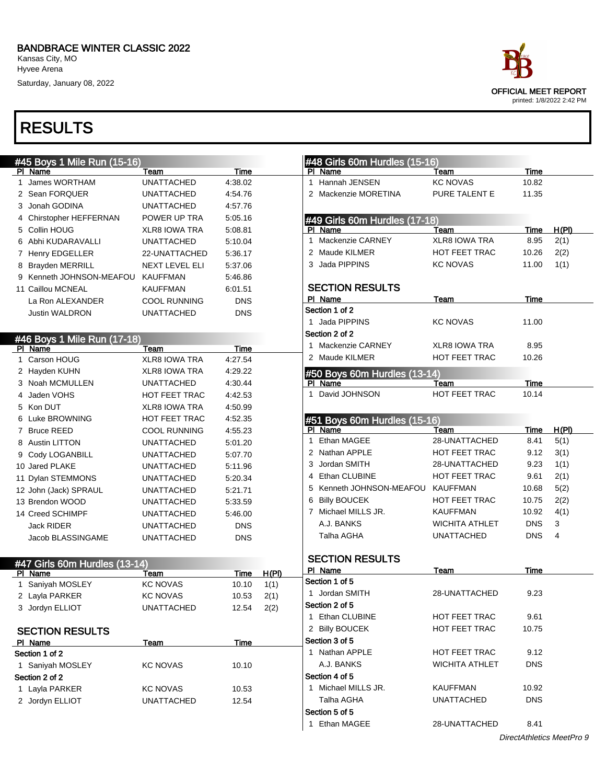Kansas City, MO Hyvee Arena

Saturday, January 08, 2022

### RESULTS

|                | #45 Boys 1 Mile Run (15-16)   |                       |             |              |
|----------------|-------------------------------|-----------------------|-------------|--------------|
|                | PI Name                       | <b>Team</b>           | <u>Time</u> |              |
| 1              | <b>James WORTHAM</b>          | <b>UNATTACHED</b>     | 4:38.02     |              |
| $\overline{2}$ | Sean FORQUER                  | <b>UNATTACHED</b>     | 4:54.76     |              |
| 3              | Jonah GODINA                  | <b>UNATTACHED</b>     | 4:57.76     |              |
| 4              | Chirstopher HEFFERNAN         | POWER UP TRA          | 5:05.16     |              |
| 5              | Collin HOUG                   | <b>XLR8 IOWA TRA</b>  | 5:08.81     |              |
| 6              | Abhi KUDARAVALLI              | <b>UNATTACHED</b>     | 5:10.04     |              |
| 7              | <b>Henry EDGELLER</b>         | 22-UNATTACHED         | 5:36.17     |              |
| 8              | <b>Brayden MERRILL</b>        | <b>NEXT LEVEL ELI</b> | 5:37.06     |              |
| 9              | Kenneth JOHNSON-MEAFOU        | <b>KAUFFMAN</b>       | 5:46.86     |              |
|                | 11 Caillou MCNEAL             | <b>KAUFFMAN</b>       | 6:01.51     |              |
|                | La Ron ALEXANDER              | <b>COOL RUNNING</b>   | <b>DNS</b>  |              |
|                | <b>Justin WALDRON</b>         | <b>UNATTACHED</b>     | <b>DNS</b>  |              |
|                |                               |                       |             |              |
|                | #46 Boys 1 Mile Run (17-18)   |                       |             |              |
|                | PI Name                       | Team                  | <u>Time</u> |              |
| 1              | Carson HOUG                   | <b>XLR8 IOWA TRA</b>  | 4:27.54     |              |
|                | 2 Hayden KUHN                 | <b>XLR8 IOWA TRA</b>  | 4:29.22     |              |
| 3              | Noah MCMULLEN                 | <b>UNATTACHED</b>     | 4:30.44     |              |
| 4              | Jaden VOHS                    | <b>HOT FEET TRAC</b>  | 4:42.53     |              |
|                | 5 Kon DUT                     | XLR8 IOWA TRA         | 4:50.99     |              |
|                | 6 Luke BROWNING               | <b>HOT FEET TRAC</b>  | 4:52.35     |              |
|                | 7 Bruce REED                  | <b>COOL RUNNING</b>   | 4:55.23     |              |
|                | 8 Austin LITTON               | <b>UNATTACHED</b>     | 5:01.20     |              |
| 9              | Cody LOGANBILL                | <b>UNATTACHED</b>     | 5:07.70     |              |
|                | 10 Jared PLAKE                | <b>UNATTACHED</b>     | 5:11.96     |              |
|                | 11 Dylan STEMMONS             | <b>UNATTACHED</b>     | 5.20.34     |              |
|                | 12 John (Jack) SPRAUL         | <b>UNATTACHED</b>     | 5:21.71     |              |
|                | 13 Brendon WOOD               | <b>UNATTACHED</b>     | 5:33.59     |              |
|                | 14 Creed SCHIMPF              | <b>UNATTACHED</b>     | 5:46.00     |              |
|                | <b>Jack RIDER</b>             | <b>UNATTACHED</b>     | <b>DNS</b>  |              |
|                | Jacob BLASSINGAME             | <b>UNATTACHED</b>     | <b>DNS</b>  |              |
|                |                               |                       |             |              |
|                | #47 Girls 60m Hurdles (13-14) |                       |             |              |
|                | PI Name                       | Team                  | Time        | <b>H(PI)</b> |
| 1              | Saniyah MOSLEY                | <b>KC NOVAS</b>       | 10.10       | 1(1)         |
| 2              | Layla PARKER                  | <b>KC NOVAS</b>       | 10.53       | 2(1)         |
|                | 3 Jordyn ELLIOT               | <b>UNATTACHED</b>     | 12.54       | 2(2)         |
|                |                               |                       |             |              |
|                | CEATIAN DECLILTE              |                       |             |              |

| <b>SECTION RESULTS</b> |                   |       |  |
|------------------------|-------------------|-------|--|
| PI Name                | Team              | Time  |  |
| Section 1 of 2         |                   |       |  |
| 1 Saniyah MOSLEY       | <b>KC NOVAS</b>   | 10.10 |  |
| Section 2 of 2         |                   |       |  |
| 1 Layla PARKER         | <b>KC NOVAS</b>   | 10.53 |  |
| 2 Jordyn ELLIOT        | <b>UNATTACHED</b> | 12.54 |  |
|                        |                   |       |  |

### #48 Girls 60m Hurdles (15-16) PI Name Team Team Time 1 Hannah JENSEN KC NOVAS 10.82 2 Mackenzie MORETINA PURE TALENT E 11.35 #49 Girls 60m Hurdles (17-18) PI Name Team Team Time H(PI) 1 Mackenzie CARNEY XLR8 IOWA TRA 8.95 2(1) 2 Maude KILMER HOT FEET TRAC 10.26 2(2) 3 Jada PIPPINS KC NOVAS 11.00 1(1) SECTION RESULTS PI Name Team Team Time Section 1 of 2 1 Jada PIPPINS KC NOVAS 11.00 Section 2 of 2 1 Mackenzie CARNEY XLR8 IOWA TRA 8.95 2 Maude KILMER **HOT FEET TRAC** 10.26 #50 Boys 60m Hurdles (13-14) PI Name Team Team Time 1 David JOHNSON HOT FEET TRAC 10.14 #51 Boys 60m Hurdles (15-16) PI Name Team Team Team Time H(PI) 1 Ethan MAGEE 28-UNATTACHED 8.41 5(1) 2 Nathan APPLE HOT FEET TRAC 9.12 3(1) 3 Jordan SMITH 28-UNATTACHED 9.23 1(1) 4 Ethan CLUBINE HOT FEET TRAC 9.61 2(1) 5 Kenneth JOHNSON-MEAFOU KAUFFMAN 10.68 5(2) 6 Billy BOUCEK HOT FEET TRAC 10.75 2(2) 7 Michael MILLS JR. KAUFFMAN 10.92 4(1) A.J. BANKS WICHITA ATHLET DNS 3 Talha AGHA UNATTACHED DNS 4 SECTION RESULTS PI Name Team Team Time Section 1 of 5 1 Jordan SMITH 28-UNATTACHED 9.23

|                     | <u>ZU UNATIAUTILU</u> | J.LU       |  |
|---------------------|-----------------------|------------|--|
| Section 2 of 5      |                       |            |  |
| 1 Ethan CLUBINE     | <b>HOT FEET TRAC</b>  | 9.61       |  |
| 2 Billy BOUCEK      | <b>HOT FEET TRAC</b>  | 10.75      |  |
| Section 3 of 5      |                       |            |  |
| 1 Nathan APPLE      | <b>HOT FEET TRAC</b>  | 9.12       |  |
| A.J. BANKS          | <b>WICHITA ATHLET</b> | <b>DNS</b> |  |
| Section 4 of 5      |                       |            |  |
| 1 Michael MILLS JR. | <b>KAUFFMAN</b>       | 10.92      |  |
| Talha AGHA          | <b>UNATTACHED</b>     | <b>DNS</b> |  |
| Section 5 of 5      |                       |            |  |
| 1 Ethan MAGEE       | 28-UNATTACHED         | 8.41       |  |

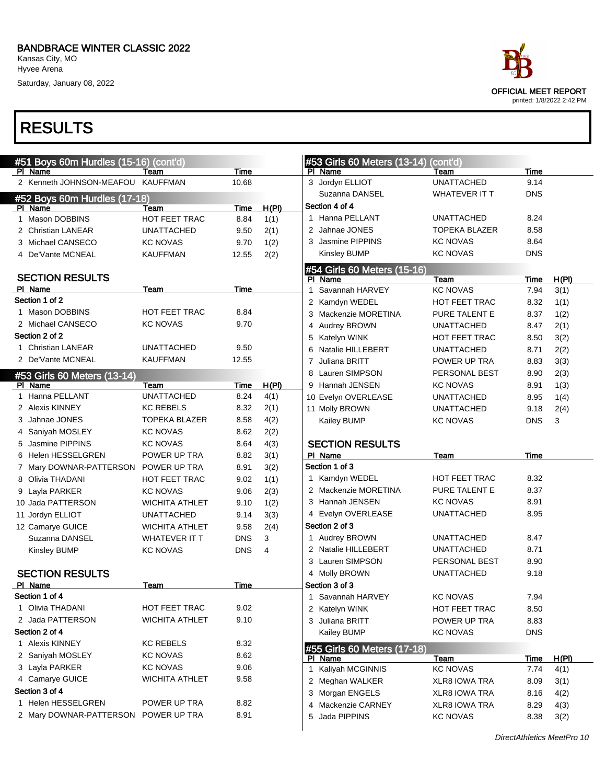Kansas City, MO Hyvee Arena

Saturday, January 08, 2022

| ace.                                                     |
|----------------------------------------------------------|
| <b>OFFICIAL MEET REPORT</b><br>printed: 1/8/2022 2:42 PM |
|                                                          |

| Time<br>PI Name<br>PI Name<br>Team<br>Team<br>Time<br>2 Kenneth JOHNSON-MEAFOU KAUFFMAN<br>10.68<br>3 Jordyn ELLIOT<br><b>UNATTACHED</b><br>9.14<br>Suzanna DANSEL<br><b>WHATEVER IT T</b><br><b>DNS</b><br>#52 Boys 60m Hurdles (17-18)<br>Section 4 of 4<br>H(PI)<br>PI Name<br><b>Team</b><br>Time<br>1 Hanna PELLANT<br><b>UNATTACHED</b><br>8.24<br>1 Mason DOBBINS<br>HOT FEET TRAC<br>1(1)<br>8.84<br>2 Jahnae JONES<br><b>TOPEKA BLAZER</b><br>8.58<br>2(1)<br>2 Christian LANEAR<br><b>UNATTACHED</b><br>9.50<br>3 Jasmine PIPPINS<br><b>KC NOVAS</b><br>8.64<br>1(2)<br>3 Michael CANSECO<br>9.70<br><b>KC NOVAS</b><br>Kinsley BUMP<br><b>KC NOVAS</b><br><b>DNS</b><br>2(2)<br>4 De'Vante MCNEAL<br><b>KAUFFMAN</b><br>12.55<br>#54 Girls 60 Meters (15-16)<br><b>SECTION RESULTS</b><br>H(PI)<br>PI Name<br>Team<br>Time<br>PI Name<br>Time<br>Team<br>1 Savannah HARVEY<br><b>KC NOVAS</b><br>3(1)<br>7.94<br>Section 1 of 2<br>2 Kamdyn WEDEL<br>8.32<br>1(1)<br><b>HOT FEET TRAC</b><br>1 Mason DOBBINS<br><b>HOT FEET TRAC</b><br>8.84<br>3 Mackenzie MORETINA<br>PURE TALENT E<br>8.37<br>1(2)<br>9.70<br>2 Michael CANSECO<br><b>KC NOVAS</b><br>4 Audrey BROWN<br>2(1)<br><b>UNATTACHED</b><br>8.47<br>Section 2 of 2<br>HOT FEET TRAC<br>8.50<br>3(2)<br>5 Katelyn WINK<br>1 Christian LANEAR<br><b>UNATTACHED</b><br>9.50<br>6 Natalie HILLEBERT<br><b>UNATTACHED</b><br>8.71<br>2(2)<br>2 De'Vante MCNEAL<br><b>KAUFFMAN</b><br>12.55<br>Juliana BRITT<br>POWER UP TRA<br>3(3)<br>7<br>8.83<br>8 Lauren SIMPSON<br>PERSONAL BEST<br>8.90<br>#53 Girls 60 Meters (13-14)<br>H(PI)<br>9 Hannah JENSEN<br><b>KC NOVAS</b><br>PI Name<br>Team<br>8.91<br>Time<br>1 Hanna PELLANT<br><b>UNATTACHED</b><br>4(1)<br>8.24<br>10 Evelyn OVERLEASE<br><b>UNATTACHED</b><br>8.95<br>2 Alexis KINNEY<br><b>KC REBELS</b><br>8.32<br>2(1)<br>11 Molly BROWN<br><b>UNATTACHED</b><br>9.18<br>3 Jahnae JONES<br><b>TOPEKA BLAZER</b><br>8.58<br>4(2)<br><b>DNS</b><br>3<br>Kailey BUMP<br><b>KC NOVAS</b><br>4 Saniyah MOSLEY<br><b>KC NOVAS</b><br>8.62<br>2(2)<br>4(3)<br><b>SECTION RESULTS</b><br>5 Jasmine PIPPINS<br><b>KC NOVAS</b><br>8.64<br>PI Name<br>6 Helen HESSELGREN<br>POWER UP TRA<br>8.82<br>3(1)<br>Team<br>Time<br>Section 1 of 3<br>3(2)<br>7 Mary DOWNAR-PATTERSON POWER UP TRA<br>8.91<br>1 Kamdyn WEDEL<br>HOT FEET TRAC<br>8.32<br>1(1)<br>8 Olivia THADANI<br>HOT FEET TRAC<br>9.02<br>2 Mackenzie MORETINA<br>PURE TALENT E<br>8.37<br>2(3)<br>9 Layla PARKER<br><b>KC NOVAS</b><br>9.06<br>3 Hannah JENSEN<br><b>KC NOVAS</b><br>8.91<br>1(2)<br>10 Jada PATTERSON<br><b>WICHITA ATHLET</b><br>9.10<br>4 Evelyn OVERLEASE<br><b>UNATTACHED</b><br>8.95<br>3(3)<br><b>UNATTACHED</b><br>9.14<br>11 Jordyn ELLIOT<br>Section 2 of 3<br>2(4)<br>12 Camarye GUICE<br>9.58<br><b>WICHITA ATHLET</b><br>1 Audrey BROWN<br><b>UNATTACHED</b><br>8.47<br>3<br>Suzanna DANSEL<br><b>WHATEVER IT T</b><br><b>DNS</b><br>2 Natalie HILLEBERT<br><b>UNATTACHED</b><br>8.71<br><b>DNS</b><br>Kinsley BUMP<br><b>KC NOVAS</b><br>4<br>3 Lauren SIMPSON<br>PERSONAL BEST<br>8.90<br><b>SECTION RESULTS</b><br>4 Molly BROWN<br><b>UNATTACHED</b><br>9.18<br>PI Name<br>Time<br>Section 3 of 3<br>Team<br>Section 1 of 4<br>1 Savannah HARVEY<br><b>KC NOVAS</b><br>7.94<br>1 Olivia THADANI<br>9.02<br><b>HOT FEET TRAC</b><br>2 Katelyn WINK<br>HOT FEET TRAC<br>8.50<br>2 Jada PATTERSON<br>9.10<br><b>WICHITA ATHLET</b><br>3 Juliana BRITT<br>POWER UP TRA<br>8.83<br>Section 2 of 4<br>Kailey BUMP<br><b>KC NOVAS</b><br><b>DNS</b><br>1 Alexis KINNEY<br>8.32<br><b>KC REBELS</b><br>#55 Girls 60 Meters (17-18)<br>8.62<br>2 Saniyah MOSLEY<br><b>KC NOVAS</b><br>PI Name<br><u>H(PI)</u><br>Team<br><u>Time</u><br><b>KC NOVAS</b><br>9.06<br>3 Layla PARKER<br>1 Kaliyah MCGINNIS<br><b>KC NOVAS</b><br>4(1)<br>7.74<br>9.58<br>4 Camarye GUICE<br><b>WICHITA ATHLET</b><br>2 Meghan WALKER<br><b>XLR8 IOWA TRA</b><br>8.09<br>3(1)<br>Section 3 of 4<br>3 Morgan ENGELS<br><b>XLR8 IOWA TRA</b><br>8.16<br>4(2)<br>1 Helen HESSELGREN<br>8.82<br>POWER UP TRA<br>4 Mackenzie CARNEY<br><b>XLR8 IOWA TRA</b><br>8.29<br>8.91<br>2 Mary DOWNAR-PATTERSON POWER UP TRA<br>5 Jada PIPPINS<br><b>KC NOVAS</b><br>8.38 | #51 Boys 60m Hurdles (15-16) (cont'd) |  | #53 Girls 60 Meters (13-14) | $\overline{(cont'd)}$ |      |
|-------------------------------------------------------------------------------------------------------------------------------------------------------------------------------------------------------------------------------------------------------------------------------------------------------------------------------------------------------------------------------------------------------------------------------------------------------------------------------------------------------------------------------------------------------------------------------------------------------------------------------------------------------------------------------------------------------------------------------------------------------------------------------------------------------------------------------------------------------------------------------------------------------------------------------------------------------------------------------------------------------------------------------------------------------------------------------------------------------------------------------------------------------------------------------------------------------------------------------------------------------------------------------------------------------------------------------------------------------------------------------------------------------------------------------------------------------------------------------------------------------------------------------------------------------------------------------------------------------------------------------------------------------------------------------------------------------------------------------------------------------------------------------------------------------------------------------------------------------------------------------------------------------------------------------------------------------------------------------------------------------------------------------------------------------------------------------------------------------------------------------------------------------------------------------------------------------------------------------------------------------------------------------------------------------------------------------------------------------------------------------------------------------------------------------------------------------------------------------------------------------------------------------------------------------------------------------------------------------------------------------------------------------------------------------------------------------------------------------------------------------------------------------------------------------------------------------------------------------------------------------------------------------------------------------------------------------------------------------------------------------------------------------------------------------------------------------------------------------------------------------------------------------------------------------------------------------------------------------------------------------------------------------------------------------------------------------------------------------------------------------------------------------------------------------------------------------------------------------------------------------------------------------------------------------------------------------------------------------------------------------------------------------------------------------------------------------------------------------------------------------------------------------------------------------------------------------------------------------------------------------------------------------------------------------------------------------------------------------------------------------------------------------------------------------------------------------------------------------------------------------------------------------------------------------------------------------------------------------------------------|---------------------------------------|--|-----------------------------|-----------------------|------|
|                                                                                                                                                                                                                                                                                                                                                                                                                                                                                                                                                                                                                                                                                                                                                                                                                                                                                                                                                                                                                                                                                                                                                                                                                                                                                                                                                                                                                                                                                                                                                                                                                                                                                                                                                                                                                                                                                                                                                                                                                                                                                                                                                                                                                                                                                                                                                                                                                                                                                                                                                                                                                                                                                                                                                                                                                                                                                                                                                                                                                                                                                                                                                                                                                                                                                                                                                                                                                                                                                                                                                                                                                                                                                                                                                                                                                                                                                                                                                                                                                                                                                                                                                                                                                                                 |                                       |  |                             |                       |      |
|                                                                                                                                                                                                                                                                                                                                                                                                                                                                                                                                                                                                                                                                                                                                                                                                                                                                                                                                                                                                                                                                                                                                                                                                                                                                                                                                                                                                                                                                                                                                                                                                                                                                                                                                                                                                                                                                                                                                                                                                                                                                                                                                                                                                                                                                                                                                                                                                                                                                                                                                                                                                                                                                                                                                                                                                                                                                                                                                                                                                                                                                                                                                                                                                                                                                                                                                                                                                                                                                                                                                                                                                                                                                                                                                                                                                                                                                                                                                                                                                                                                                                                                                                                                                                                                 |                                       |  |                             |                       |      |
|                                                                                                                                                                                                                                                                                                                                                                                                                                                                                                                                                                                                                                                                                                                                                                                                                                                                                                                                                                                                                                                                                                                                                                                                                                                                                                                                                                                                                                                                                                                                                                                                                                                                                                                                                                                                                                                                                                                                                                                                                                                                                                                                                                                                                                                                                                                                                                                                                                                                                                                                                                                                                                                                                                                                                                                                                                                                                                                                                                                                                                                                                                                                                                                                                                                                                                                                                                                                                                                                                                                                                                                                                                                                                                                                                                                                                                                                                                                                                                                                                                                                                                                                                                                                                                                 |                                       |  |                             |                       |      |
|                                                                                                                                                                                                                                                                                                                                                                                                                                                                                                                                                                                                                                                                                                                                                                                                                                                                                                                                                                                                                                                                                                                                                                                                                                                                                                                                                                                                                                                                                                                                                                                                                                                                                                                                                                                                                                                                                                                                                                                                                                                                                                                                                                                                                                                                                                                                                                                                                                                                                                                                                                                                                                                                                                                                                                                                                                                                                                                                                                                                                                                                                                                                                                                                                                                                                                                                                                                                                                                                                                                                                                                                                                                                                                                                                                                                                                                                                                                                                                                                                                                                                                                                                                                                                                                 |                                       |  |                             |                       |      |
|                                                                                                                                                                                                                                                                                                                                                                                                                                                                                                                                                                                                                                                                                                                                                                                                                                                                                                                                                                                                                                                                                                                                                                                                                                                                                                                                                                                                                                                                                                                                                                                                                                                                                                                                                                                                                                                                                                                                                                                                                                                                                                                                                                                                                                                                                                                                                                                                                                                                                                                                                                                                                                                                                                                                                                                                                                                                                                                                                                                                                                                                                                                                                                                                                                                                                                                                                                                                                                                                                                                                                                                                                                                                                                                                                                                                                                                                                                                                                                                                                                                                                                                                                                                                                                                 |                                       |  |                             |                       |      |
|                                                                                                                                                                                                                                                                                                                                                                                                                                                                                                                                                                                                                                                                                                                                                                                                                                                                                                                                                                                                                                                                                                                                                                                                                                                                                                                                                                                                                                                                                                                                                                                                                                                                                                                                                                                                                                                                                                                                                                                                                                                                                                                                                                                                                                                                                                                                                                                                                                                                                                                                                                                                                                                                                                                                                                                                                                                                                                                                                                                                                                                                                                                                                                                                                                                                                                                                                                                                                                                                                                                                                                                                                                                                                                                                                                                                                                                                                                                                                                                                                                                                                                                                                                                                                                                 |                                       |  |                             |                       |      |
|                                                                                                                                                                                                                                                                                                                                                                                                                                                                                                                                                                                                                                                                                                                                                                                                                                                                                                                                                                                                                                                                                                                                                                                                                                                                                                                                                                                                                                                                                                                                                                                                                                                                                                                                                                                                                                                                                                                                                                                                                                                                                                                                                                                                                                                                                                                                                                                                                                                                                                                                                                                                                                                                                                                                                                                                                                                                                                                                                                                                                                                                                                                                                                                                                                                                                                                                                                                                                                                                                                                                                                                                                                                                                                                                                                                                                                                                                                                                                                                                                                                                                                                                                                                                                                                 |                                       |  |                             |                       |      |
|                                                                                                                                                                                                                                                                                                                                                                                                                                                                                                                                                                                                                                                                                                                                                                                                                                                                                                                                                                                                                                                                                                                                                                                                                                                                                                                                                                                                                                                                                                                                                                                                                                                                                                                                                                                                                                                                                                                                                                                                                                                                                                                                                                                                                                                                                                                                                                                                                                                                                                                                                                                                                                                                                                                                                                                                                                                                                                                                                                                                                                                                                                                                                                                                                                                                                                                                                                                                                                                                                                                                                                                                                                                                                                                                                                                                                                                                                                                                                                                                                                                                                                                                                                                                                                                 |                                       |  |                             |                       |      |
|                                                                                                                                                                                                                                                                                                                                                                                                                                                                                                                                                                                                                                                                                                                                                                                                                                                                                                                                                                                                                                                                                                                                                                                                                                                                                                                                                                                                                                                                                                                                                                                                                                                                                                                                                                                                                                                                                                                                                                                                                                                                                                                                                                                                                                                                                                                                                                                                                                                                                                                                                                                                                                                                                                                                                                                                                                                                                                                                                                                                                                                                                                                                                                                                                                                                                                                                                                                                                                                                                                                                                                                                                                                                                                                                                                                                                                                                                                                                                                                                                                                                                                                                                                                                                                                 |                                       |  |                             |                       |      |
|                                                                                                                                                                                                                                                                                                                                                                                                                                                                                                                                                                                                                                                                                                                                                                                                                                                                                                                                                                                                                                                                                                                                                                                                                                                                                                                                                                                                                                                                                                                                                                                                                                                                                                                                                                                                                                                                                                                                                                                                                                                                                                                                                                                                                                                                                                                                                                                                                                                                                                                                                                                                                                                                                                                                                                                                                                                                                                                                                                                                                                                                                                                                                                                                                                                                                                                                                                                                                                                                                                                                                                                                                                                                                                                                                                                                                                                                                                                                                                                                                                                                                                                                                                                                                                                 |                                       |  |                             |                       |      |
|                                                                                                                                                                                                                                                                                                                                                                                                                                                                                                                                                                                                                                                                                                                                                                                                                                                                                                                                                                                                                                                                                                                                                                                                                                                                                                                                                                                                                                                                                                                                                                                                                                                                                                                                                                                                                                                                                                                                                                                                                                                                                                                                                                                                                                                                                                                                                                                                                                                                                                                                                                                                                                                                                                                                                                                                                                                                                                                                                                                                                                                                                                                                                                                                                                                                                                                                                                                                                                                                                                                                                                                                                                                                                                                                                                                                                                                                                                                                                                                                                                                                                                                                                                                                                                                 |                                       |  |                             |                       |      |
|                                                                                                                                                                                                                                                                                                                                                                                                                                                                                                                                                                                                                                                                                                                                                                                                                                                                                                                                                                                                                                                                                                                                                                                                                                                                                                                                                                                                                                                                                                                                                                                                                                                                                                                                                                                                                                                                                                                                                                                                                                                                                                                                                                                                                                                                                                                                                                                                                                                                                                                                                                                                                                                                                                                                                                                                                                                                                                                                                                                                                                                                                                                                                                                                                                                                                                                                                                                                                                                                                                                                                                                                                                                                                                                                                                                                                                                                                                                                                                                                                                                                                                                                                                                                                                                 |                                       |  |                             |                       |      |
|                                                                                                                                                                                                                                                                                                                                                                                                                                                                                                                                                                                                                                                                                                                                                                                                                                                                                                                                                                                                                                                                                                                                                                                                                                                                                                                                                                                                                                                                                                                                                                                                                                                                                                                                                                                                                                                                                                                                                                                                                                                                                                                                                                                                                                                                                                                                                                                                                                                                                                                                                                                                                                                                                                                                                                                                                                                                                                                                                                                                                                                                                                                                                                                                                                                                                                                                                                                                                                                                                                                                                                                                                                                                                                                                                                                                                                                                                                                                                                                                                                                                                                                                                                                                                                                 |                                       |  |                             |                       |      |
|                                                                                                                                                                                                                                                                                                                                                                                                                                                                                                                                                                                                                                                                                                                                                                                                                                                                                                                                                                                                                                                                                                                                                                                                                                                                                                                                                                                                                                                                                                                                                                                                                                                                                                                                                                                                                                                                                                                                                                                                                                                                                                                                                                                                                                                                                                                                                                                                                                                                                                                                                                                                                                                                                                                                                                                                                                                                                                                                                                                                                                                                                                                                                                                                                                                                                                                                                                                                                                                                                                                                                                                                                                                                                                                                                                                                                                                                                                                                                                                                                                                                                                                                                                                                                                                 |                                       |  |                             |                       |      |
|                                                                                                                                                                                                                                                                                                                                                                                                                                                                                                                                                                                                                                                                                                                                                                                                                                                                                                                                                                                                                                                                                                                                                                                                                                                                                                                                                                                                                                                                                                                                                                                                                                                                                                                                                                                                                                                                                                                                                                                                                                                                                                                                                                                                                                                                                                                                                                                                                                                                                                                                                                                                                                                                                                                                                                                                                                                                                                                                                                                                                                                                                                                                                                                                                                                                                                                                                                                                                                                                                                                                                                                                                                                                                                                                                                                                                                                                                                                                                                                                                                                                                                                                                                                                                                                 |                                       |  |                             |                       |      |
|                                                                                                                                                                                                                                                                                                                                                                                                                                                                                                                                                                                                                                                                                                                                                                                                                                                                                                                                                                                                                                                                                                                                                                                                                                                                                                                                                                                                                                                                                                                                                                                                                                                                                                                                                                                                                                                                                                                                                                                                                                                                                                                                                                                                                                                                                                                                                                                                                                                                                                                                                                                                                                                                                                                                                                                                                                                                                                                                                                                                                                                                                                                                                                                                                                                                                                                                                                                                                                                                                                                                                                                                                                                                                                                                                                                                                                                                                                                                                                                                                                                                                                                                                                                                                                                 |                                       |  |                             |                       |      |
|                                                                                                                                                                                                                                                                                                                                                                                                                                                                                                                                                                                                                                                                                                                                                                                                                                                                                                                                                                                                                                                                                                                                                                                                                                                                                                                                                                                                                                                                                                                                                                                                                                                                                                                                                                                                                                                                                                                                                                                                                                                                                                                                                                                                                                                                                                                                                                                                                                                                                                                                                                                                                                                                                                                                                                                                                                                                                                                                                                                                                                                                                                                                                                                                                                                                                                                                                                                                                                                                                                                                                                                                                                                                                                                                                                                                                                                                                                                                                                                                                                                                                                                                                                                                                                                 |                                       |  |                             |                       |      |
|                                                                                                                                                                                                                                                                                                                                                                                                                                                                                                                                                                                                                                                                                                                                                                                                                                                                                                                                                                                                                                                                                                                                                                                                                                                                                                                                                                                                                                                                                                                                                                                                                                                                                                                                                                                                                                                                                                                                                                                                                                                                                                                                                                                                                                                                                                                                                                                                                                                                                                                                                                                                                                                                                                                                                                                                                                                                                                                                                                                                                                                                                                                                                                                                                                                                                                                                                                                                                                                                                                                                                                                                                                                                                                                                                                                                                                                                                                                                                                                                                                                                                                                                                                                                                                                 |                                       |  |                             |                       | 2(3) |
|                                                                                                                                                                                                                                                                                                                                                                                                                                                                                                                                                                                                                                                                                                                                                                                                                                                                                                                                                                                                                                                                                                                                                                                                                                                                                                                                                                                                                                                                                                                                                                                                                                                                                                                                                                                                                                                                                                                                                                                                                                                                                                                                                                                                                                                                                                                                                                                                                                                                                                                                                                                                                                                                                                                                                                                                                                                                                                                                                                                                                                                                                                                                                                                                                                                                                                                                                                                                                                                                                                                                                                                                                                                                                                                                                                                                                                                                                                                                                                                                                                                                                                                                                                                                                                                 |                                       |  |                             |                       | 1(3) |
|                                                                                                                                                                                                                                                                                                                                                                                                                                                                                                                                                                                                                                                                                                                                                                                                                                                                                                                                                                                                                                                                                                                                                                                                                                                                                                                                                                                                                                                                                                                                                                                                                                                                                                                                                                                                                                                                                                                                                                                                                                                                                                                                                                                                                                                                                                                                                                                                                                                                                                                                                                                                                                                                                                                                                                                                                                                                                                                                                                                                                                                                                                                                                                                                                                                                                                                                                                                                                                                                                                                                                                                                                                                                                                                                                                                                                                                                                                                                                                                                                                                                                                                                                                                                                                                 |                                       |  |                             |                       | 1(4) |
|                                                                                                                                                                                                                                                                                                                                                                                                                                                                                                                                                                                                                                                                                                                                                                                                                                                                                                                                                                                                                                                                                                                                                                                                                                                                                                                                                                                                                                                                                                                                                                                                                                                                                                                                                                                                                                                                                                                                                                                                                                                                                                                                                                                                                                                                                                                                                                                                                                                                                                                                                                                                                                                                                                                                                                                                                                                                                                                                                                                                                                                                                                                                                                                                                                                                                                                                                                                                                                                                                                                                                                                                                                                                                                                                                                                                                                                                                                                                                                                                                                                                                                                                                                                                                                                 |                                       |  |                             |                       | 2(4) |
|                                                                                                                                                                                                                                                                                                                                                                                                                                                                                                                                                                                                                                                                                                                                                                                                                                                                                                                                                                                                                                                                                                                                                                                                                                                                                                                                                                                                                                                                                                                                                                                                                                                                                                                                                                                                                                                                                                                                                                                                                                                                                                                                                                                                                                                                                                                                                                                                                                                                                                                                                                                                                                                                                                                                                                                                                                                                                                                                                                                                                                                                                                                                                                                                                                                                                                                                                                                                                                                                                                                                                                                                                                                                                                                                                                                                                                                                                                                                                                                                                                                                                                                                                                                                                                                 |                                       |  |                             |                       |      |
|                                                                                                                                                                                                                                                                                                                                                                                                                                                                                                                                                                                                                                                                                                                                                                                                                                                                                                                                                                                                                                                                                                                                                                                                                                                                                                                                                                                                                                                                                                                                                                                                                                                                                                                                                                                                                                                                                                                                                                                                                                                                                                                                                                                                                                                                                                                                                                                                                                                                                                                                                                                                                                                                                                                                                                                                                                                                                                                                                                                                                                                                                                                                                                                                                                                                                                                                                                                                                                                                                                                                                                                                                                                                                                                                                                                                                                                                                                                                                                                                                                                                                                                                                                                                                                                 |                                       |  |                             |                       |      |
|                                                                                                                                                                                                                                                                                                                                                                                                                                                                                                                                                                                                                                                                                                                                                                                                                                                                                                                                                                                                                                                                                                                                                                                                                                                                                                                                                                                                                                                                                                                                                                                                                                                                                                                                                                                                                                                                                                                                                                                                                                                                                                                                                                                                                                                                                                                                                                                                                                                                                                                                                                                                                                                                                                                                                                                                                                                                                                                                                                                                                                                                                                                                                                                                                                                                                                                                                                                                                                                                                                                                                                                                                                                                                                                                                                                                                                                                                                                                                                                                                                                                                                                                                                                                                                                 |                                       |  |                             |                       |      |
|                                                                                                                                                                                                                                                                                                                                                                                                                                                                                                                                                                                                                                                                                                                                                                                                                                                                                                                                                                                                                                                                                                                                                                                                                                                                                                                                                                                                                                                                                                                                                                                                                                                                                                                                                                                                                                                                                                                                                                                                                                                                                                                                                                                                                                                                                                                                                                                                                                                                                                                                                                                                                                                                                                                                                                                                                                                                                                                                                                                                                                                                                                                                                                                                                                                                                                                                                                                                                                                                                                                                                                                                                                                                                                                                                                                                                                                                                                                                                                                                                                                                                                                                                                                                                                                 |                                       |  |                             |                       |      |
|                                                                                                                                                                                                                                                                                                                                                                                                                                                                                                                                                                                                                                                                                                                                                                                                                                                                                                                                                                                                                                                                                                                                                                                                                                                                                                                                                                                                                                                                                                                                                                                                                                                                                                                                                                                                                                                                                                                                                                                                                                                                                                                                                                                                                                                                                                                                                                                                                                                                                                                                                                                                                                                                                                                                                                                                                                                                                                                                                                                                                                                                                                                                                                                                                                                                                                                                                                                                                                                                                                                                                                                                                                                                                                                                                                                                                                                                                                                                                                                                                                                                                                                                                                                                                                                 |                                       |  |                             |                       |      |
|                                                                                                                                                                                                                                                                                                                                                                                                                                                                                                                                                                                                                                                                                                                                                                                                                                                                                                                                                                                                                                                                                                                                                                                                                                                                                                                                                                                                                                                                                                                                                                                                                                                                                                                                                                                                                                                                                                                                                                                                                                                                                                                                                                                                                                                                                                                                                                                                                                                                                                                                                                                                                                                                                                                                                                                                                                                                                                                                                                                                                                                                                                                                                                                                                                                                                                                                                                                                                                                                                                                                                                                                                                                                                                                                                                                                                                                                                                                                                                                                                                                                                                                                                                                                                                                 |                                       |  |                             |                       |      |
|                                                                                                                                                                                                                                                                                                                                                                                                                                                                                                                                                                                                                                                                                                                                                                                                                                                                                                                                                                                                                                                                                                                                                                                                                                                                                                                                                                                                                                                                                                                                                                                                                                                                                                                                                                                                                                                                                                                                                                                                                                                                                                                                                                                                                                                                                                                                                                                                                                                                                                                                                                                                                                                                                                                                                                                                                                                                                                                                                                                                                                                                                                                                                                                                                                                                                                                                                                                                                                                                                                                                                                                                                                                                                                                                                                                                                                                                                                                                                                                                                                                                                                                                                                                                                                                 |                                       |  |                             |                       |      |
|                                                                                                                                                                                                                                                                                                                                                                                                                                                                                                                                                                                                                                                                                                                                                                                                                                                                                                                                                                                                                                                                                                                                                                                                                                                                                                                                                                                                                                                                                                                                                                                                                                                                                                                                                                                                                                                                                                                                                                                                                                                                                                                                                                                                                                                                                                                                                                                                                                                                                                                                                                                                                                                                                                                                                                                                                                                                                                                                                                                                                                                                                                                                                                                                                                                                                                                                                                                                                                                                                                                                                                                                                                                                                                                                                                                                                                                                                                                                                                                                                                                                                                                                                                                                                                                 |                                       |  |                             |                       |      |
|                                                                                                                                                                                                                                                                                                                                                                                                                                                                                                                                                                                                                                                                                                                                                                                                                                                                                                                                                                                                                                                                                                                                                                                                                                                                                                                                                                                                                                                                                                                                                                                                                                                                                                                                                                                                                                                                                                                                                                                                                                                                                                                                                                                                                                                                                                                                                                                                                                                                                                                                                                                                                                                                                                                                                                                                                                                                                                                                                                                                                                                                                                                                                                                                                                                                                                                                                                                                                                                                                                                                                                                                                                                                                                                                                                                                                                                                                                                                                                                                                                                                                                                                                                                                                                                 |                                       |  |                             |                       |      |
|                                                                                                                                                                                                                                                                                                                                                                                                                                                                                                                                                                                                                                                                                                                                                                                                                                                                                                                                                                                                                                                                                                                                                                                                                                                                                                                                                                                                                                                                                                                                                                                                                                                                                                                                                                                                                                                                                                                                                                                                                                                                                                                                                                                                                                                                                                                                                                                                                                                                                                                                                                                                                                                                                                                                                                                                                                                                                                                                                                                                                                                                                                                                                                                                                                                                                                                                                                                                                                                                                                                                                                                                                                                                                                                                                                                                                                                                                                                                                                                                                                                                                                                                                                                                                                                 |                                       |  |                             |                       |      |
|                                                                                                                                                                                                                                                                                                                                                                                                                                                                                                                                                                                                                                                                                                                                                                                                                                                                                                                                                                                                                                                                                                                                                                                                                                                                                                                                                                                                                                                                                                                                                                                                                                                                                                                                                                                                                                                                                                                                                                                                                                                                                                                                                                                                                                                                                                                                                                                                                                                                                                                                                                                                                                                                                                                                                                                                                                                                                                                                                                                                                                                                                                                                                                                                                                                                                                                                                                                                                                                                                                                                                                                                                                                                                                                                                                                                                                                                                                                                                                                                                                                                                                                                                                                                                                                 |                                       |  |                             |                       |      |
|                                                                                                                                                                                                                                                                                                                                                                                                                                                                                                                                                                                                                                                                                                                                                                                                                                                                                                                                                                                                                                                                                                                                                                                                                                                                                                                                                                                                                                                                                                                                                                                                                                                                                                                                                                                                                                                                                                                                                                                                                                                                                                                                                                                                                                                                                                                                                                                                                                                                                                                                                                                                                                                                                                                                                                                                                                                                                                                                                                                                                                                                                                                                                                                                                                                                                                                                                                                                                                                                                                                                                                                                                                                                                                                                                                                                                                                                                                                                                                                                                                                                                                                                                                                                                                                 |                                       |  |                             |                       |      |
|                                                                                                                                                                                                                                                                                                                                                                                                                                                                                                                                                                                                                                                                                                                                                                                                                                                                                                                                                                                                                                                                                                                                                                                                                                                                                                                                                                                                                                                                                                                                                                                                                                                                                                                                                                                                                                                                                                                                                                                                                                                                                                                                                                                                                                                                                                                                                                                                                                                                                                                                                                                                                                                                                                                                                                                                                                                                                                                                                                                                                                                                                                                                                                                                                                                                                                                                                                                                                                                                                                                                                                                                                                                                                                                                                                                                                                                                                                                                                                                                                                                                                                                                                                                                                                                 |                                       |  |                             |                       |      |
|                                                                                                                                                                                                                                                                                                                                                                                                                                                                                                                                                                                                                                                                                                                                                                                                                                                                                                                                                                                                                                                                                                                                                                                                                                                                                                                                                                                                                                                                                                                                                                                                                                                                                                                                                                                                                                                                                                                                                                                                                                                                                                                                                                                                                                                                                                                                                                                                                                                                                                                                                                                                                                                                                                                                                                                                                                                                                                                                                                                                                                                                                                                                                                                                                                                                                                                                                                                                                                                                                                                                                                                                                                                                                                                                                                                                                                                                                                                                                                                                                                                                                                                                                                                                                                                 |                                       |  |                             |                       |      |
|                                                                                                                                                                                                                                                                                                                                                                                                                                                                                                                                                                                                                                                                                                                                                                                                                                                                                                                                                                                                                                                                                                                                                                                                                                                                                                                                                                                                                                                                                                                                                                                                                                                                                                                                                                                                                                                                                                                                                                                                                                                                                                                                                                                                                                                                                                                                                                                                                                                                                                                                                                                                                                                                                                                                                                                                                                                                                                                                                                                                                                                                                                                                                                                                                                                                                                                                                                                                                                                                                                                                                                                                                                                                                                                                                                                                                                                                                                                                                                                                                                                                                                                                                                                                                                                 |                                       |  |                             |                       |      |
|                                                                                                                                                                                                                                                                                                                                                                                                                                                                                                                                                                                                                                                                                                                                                                                                                                                                                                                                                                                                                                                                                                                                                                                                                                                                                                                                                                                                                                                                                                                                                                                                                                                                                                                                                                                                                                                                                                                                                                                                                                                                                                                                                                                                                                                                                                                                                                                                                                                                                                                                                                                                                                                                                                                                                                                                                                                                                                                                                                                                                                                                                                                                                                                                                                                                                                                                                                                                                                                                                                                                                                                                                                                                                                                                                                                                                                                                                                                                                                                                                                                                                                                                                                                                                                                 |                                       |  |                             |                       |      |
|                                                                                                                                                                                                                                                                                                                                                                                                                                                                                                                                                                                                                                                                                                                                                                                                                                                                                                                                                                                                                                                                                                                                                                                                                                                                                                                                                                                                                                                                                                                                                                                                                                                                                                                                                                                                                                                                                                                                                                                                                                                                                                                                                                                                                                                                                                                                                                                                                                                                                                                                                                                                                                                                                                                                                                                                                                                                                                                                                                                                                                                                                                                                                                                                                                                                                                                                                                                                                                                                                                                                                                                                                                                                                                                                                                                                                                                                                                                                                                                                                                                                                                                                                                                                                                                 |                                       |  |                             |                       |      |
|                                                                                                                                                                                                                                                                                                                                                                                                                                                                                                                                                                                                                                                                                                                                                                                                                                                                                                                                                                                                                                                                                                                                                                                                                                                                                                                                                                                                                                                                                                                                                                                                                                                                                                                                                                                                                                                                                                                                                                                                                                                                                                                                                                                                                                                                                                                                                                                                                                                                                                                                                                                                                                                                                                                                                                                                                                                                                                                                                                                                                                                                                                                                                                                                                                                                                                                                                                                                                                                                                                                                                                                                                                                                                                                                                                                                                                                                                                                                                                                                                                                                                                                                                                                                                                                 |                                       |  |                             |                       |      |
|                                                                                                                                                                                                                                                                                                                                                                                                                                                                                                                                                                                                                                                                                                                                                                                                                                                                                                                                                                                                                                                                                                                                                                                                                                                                                                                                                                                                                                                                                                                                                                                                                                                                                                                                                                                                                                                                                                                                                                                                                                                                                                                                                                                                                                                                                                                                                                                                                                                                                                                                                                                                                                                                                                                                                                                                                                                                                                                                                                                                                                                                                                                                                                                                                                                                                                                                                                                                                                                                                                                                                                                                                                                                                                                                                                                                                                                                                                                                                                                                                                                                                                                                                                                                                                                 |                                       |  |                             |                       |      |
|                                                                                                                                                                                                                                                                                                                                                                                                                                                                                                                                                                                                                                                                                                                                                                                                                                                                                                                                                                                                                                                                                                                                                                                                                                                                                                                                                                                                                                                                                                                                                                                                                                                                                                                                                                                                                                                                                                                                                                                                                                                                                                                                                                                                                                                                                                                                                                                                                                                                                                                                                                                                                                                                                                                                                                                                                                                                                                                                                                                                                                                                                                                                                                                                                                                                                                                                                                                                                                                                                                                                                                                                                                                                                                                                                                                                                                                                                                                                                                                                                                                                                                                                                                                                                                                 |                                       |  |                             |                       |      |
|                                                                                                                                                                                                                                                                                                                                                                                                                                                                                                                                                                                                                                                                                                                                                                                                                                                                                                                                                                                                                                                                                                                                                                                                                                                                                                                                                                                                                                                                                                                                                                                                                                                                                                                                                                                                                                                                                                                                                                                                                                                                                                                                                                                                                                                                                                                                                                                                                                                                                                                                                                                                                                                                                                                                                                                                                                                                                                                                                                                                                                                                                                                                                                                                                                                                                                                                                                                                                                                                                                                                                                                                                                                                                                                                                                                                                                                                                                                                                                                                                                                                                                                                                                                                                                                 |                                       |  |                             |                       |      |
|                                                                                                                                                                                                                                                                                                                                                                                                                                                                                                                                                                                                                                                                                                                                                                                                                                                                                                                                                                                                                                                                                                                                                                                                                                                                                                                                                                                                                                                                                                                                                                                                                                                                                                                                                                                                                                                                                                                                                                                                                                                                                                                                                                                                                                                                                                                                                                                                                                                                                                                                                                                                                                                                                                                                                                                                                                                                                                                                                                                                                                                                                                                                                                                                                                                                                                                                                                                                                                                                                                                                                                                                                                                                                                                                                                                                                                                                                                                                                                                                                                                                                                                                                                                                                                                 |                                       |  |                             |                       |      |
|                                                                                                                                                                                                                                                                                                                                                                                                                                                                                                                                                                                                                                                                                                                                                                                                                                                                                                                                                                                                                                                                                                                                                                                                                                                                                                                                                                                                                                                                                                                                                                                                                                                                                                                                                                                                                                                                                                                                                                                                                                                                                                                                                                                                                                                                                                                                                                                                                                                                                                                                                                                                                                                                                                                                                                                                                                                                                                                                                                                                                                                                                                                                                                                                                                                                                                                                                                                                                                                                                                                                                                                                                                                                                                                                                                                                                                                                                                                                                                                                                                                                                                                                                                                                                                                 |                                       |  |                             |                       |      |
|                                                                                                                                                                                                                                                                                                                                                                                                                                                                                                                                                                                                                                                                                                                                                                                                                                                                                                                                                                                                                                                                                                                                                                                                                                                                                                                                                                                                                                                                                                                                                                                                                                                                                                                                                                                                                                                                                                                                                                                                                                                                                                                                                                                                                                                                                                                                                                                                                                                                                                                                                                                                                                                                                                                                                                                                                                                                                                                                                                                                                                                                                                                                                                                                                                                                                                                                                                                                                                                                                                                                                                                                                                                                                                                                                                                                                                                                                                                                                                                                                                                                                                                                                                                                                                                 |                                       |  |                             |                       |      |
|                                                                                                                                                                                                                                                                                                                                                                                                                                                                                                                                                                                                                                                                                                                                                                                                                                                                                                                                                                                                                                                                                                                                                                                                                                                                                                                                                                                                                                                                                                                                                                                                                                                                                                                                                                                                                                                                                                                                                                                                                                                                                                                                                                                                                                                                                                                                                                                                                                                                                                                                                                                                                                                                                                                                                                                                                                                                                                                                                                                                                                                                                                                                                                                                                                                                                                                                                                                                                                                                                                                                                                                                                                                                                                                                                                                                                                                                                                                                                                                                                                                                                                                                                                                                                                                 |                                       |  |                             |                       |      |
|                                                                                                                                                                                                                                                                                                                                                                                                                                                                                                                                                                                                                                                                                                                                                                                                                                                                                                                                                                                                                                                                                                                                                                                                                                                                                                                                                                                                                                                                                                                                                                                                                                                                                                                                                                                                                                                                                                                                                                                                                                                                                                                                                                                                                                                                                                                                                                                                                                                                                                                                                                                                                                                                                                                                                                                                                                                                                                                                                                                                                                                                                                                                                                                                                                                                                                                                                                                                                                                                                                                                                                                                                                                                                                                                                                                                                                                                                                                                                                                                                                                                                                                                                                                                                                                 |                                       |  |                             |                       | 4(3) |
|                                                                                                                                                                                                                                                                                                                                                                                                                                                                                                                                                                                                                                                                                                                                                                                                                                                                                                                                                                                                                                                                                                                                                                                                                                                                                                                                                                                                                                                                                                                                                                                                                                                                                                                                                                                                                                                                                                                                                                                                                                                                                                                                                                                                                                                                                                                                                                                                                                                                                                                                                                                                                                                                                                                                                                                                                                                                                                                                                                                                                                                                                                                                                                                                                                                                                                                                                                                                                                                                                                                                                                                                                                                                                                                                                                                                                                                                                                                                                                                                                                                                                                                                                                                                                                                 |                                       |  |                             |                       | 3(2) |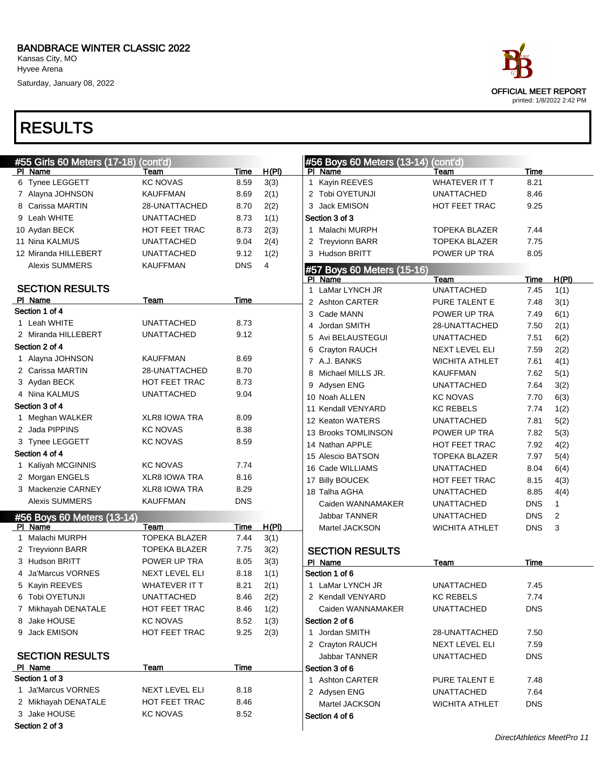Kansas City, MO Hyvee Arena

Saturday, January 08, 2022

| #55 Girls 60 Meters (17-18)<br>PI Name | (cont'd)<br>Team             | Time       | H(PI) | #56 Boys 60 Meters (13-14)<br>PI Name | $($ cont'd)<br>Team                 | <b>Time</b>  |               |
|----------------------------------------|------------------------------|------------|-------|---------------------------------------|-------------------------------------|--------------|---------------|
| 6 Tynee LEGGETT                        | <b>KC NOVAS</b>              | 8.59       | 3(3)  | 1 Kayin REEVES                        | <b>WHATEVER IT T</b>                | 8.21         |               |
| 7 Alayna JOHNSON                       | <b>KAUFFMAN</b>              | 8.69       | 2(1)  | 2 Tobi OYETUNJI                       | <b>UNATTACHED</b>                   | 8.46         |               |
| 8 Carissa MARTIN                       | 28-UNATTACHED                | 8.70       | 2(2)  | 3 Jack EMISON                         | HOT FEET TRAC                       | 9.25         |               |
| 9 Leah WHITE                           | <b>UNATTACHED</b>            | 8.73       | 1(1)  | Section 3 of 3                        |                                     |              |               |
| 10 Aydan BECK                          | HOT FEET TRAC                | 8.73       | 2(3)  | 1 Malachi MURPH                       | <b>TOPEKA BLAZER</b>                | 7.44         |               |
| 11 Nina KALMUS                         | <b>UNATTACHED</b>            | 9.04       | 2(4)  | 2 Treyvionn BARR                      | <b>TOPEKA BLAZER</b>                | 7.75         |               |
| 12 Miranda HILLEBERT                   | <b>UNATTACHED</b>            | 9.12       | 1(2)  | 3 Hudson BRITT                        | POWER UP TRA                        | 8.05         |               |
| <b>Alexis SUMMERS</b>                  | <b>KAUFFMAN</b>              | <b>DNS</b> | 4     |                                       |                                     |              |               |
|                                        |                              |            |       | #57 Boys 60 Meters (15-16)            |                                     |              |               |
| <b>SECTION RESULTS</b>                 |                              |            |       | PI Name<br>1 LaMar LYNCH JR           | Team<br><b>UNATTACHED</b>           | Time<br>7.45 | H(PI)<br>1(1) |
| PI Name                                | Team                         | Time       |       | 2 Ashton CARTER                       | PURE TALENT E                       | 7.48         | 3(1)          |
| Section 1 of 4                         |                              |            |       | 3 Cade MANN                           | POWER UP TRA                        | 7.49         | 6(1)          |
| 1 Leah WHITE                           | <b>UNATTACHED</b>            | 8.73       |       | Jordan SMITH<br>4                     | 28-UNATTACHED                       |              |               |
| 2 Miranda HILLEBERT                    | <b>UNATTACHED</b>            | 9.12       |       |                                       |                                     | 7.50         | 2(1)          |
| Section 2 of 4                         |                              |            |       | 5 Avi BELAUSTEGUI<br>6 Crayton RAUCH  | <b>UNATTACHED</b><br>NEXT LEVEL ELI | 7.51<br>7.59 | 6(2)          |
| 1 Alayna JOHNSON                       | <b>KAUFFMAN</b>              | 8.69       |       | 7 A.J. BANKS                          |                                     |              | 2(2)          |
| 2 Carissa MARTIN                       | 28-UNATTACHED                | 8.70       |       |                                       | <b>WICHITA ATHLET</b>               | 7.61         | 4(1)          |
| 3 Aydan BECK                           | <b>HOT FEET TRAC</b>         | 8.73       |       | 8 Michael MILLS JR.                   | <b>KAUFFMAN</b>                     | 7.62         | 5(1)          |
| 4 Nina KALMUS                          | <b>UNATTACHED</b>            | 9.04       |       | Adysen ENG<br>9                       | <b>UNATTACHED</b>                   | 7.64         | 3(2)          |
| Section 3 of 4                         |                              |            |       | 10 Noah ALLEN                         | <b>KC NOVAS</b>                     | 7.70         | 6(3)          |
| 1 Meghan WALKER                        | <b>XLR8 IOWA TRA</b>         | 8.09       |       | 11 Kendall VENYARD                    | <b>KC REBELS</b>                    | 7.74         | 1(2)          |
| 2 Jada PIPPINS                         | <b>KC NOVAS</b>              | 8.38       |       | 12 Keaton WATERS                      | <b>UNATTACHED</b>                   | 7.81         | 5(2)          |
| 3 Tynee LEGGETT                        | <b>KC NOVAS</b>              | 8.59       |       | 13 Brooks TOMLINSON                   | POWER UP TRA                        | 7.82         | 5(3)          |
| Section 4 of 4                         |                              |            |       | 14 Nathan APPLE                       | HOT FEET TRAC                       | 7.92         | 4(2)          |
| 1 Kaliyah MCGINNIS                     | <b>KC NOVAS</b>              | 7.74       |       | 15 Alescio BATSON                     | TOPEKA BLAZER                       | 7.97         | 5(4)          |
| 2 Morgan ENGELS                        | <b>XLR8 IOWA TRA</b>         | 8.16       |       | 16 Cade WILLIAMS                      | <b>UNATTACHED</b>                   | 8.04         | 6(4)          |
| 3 Mackenzie CARNEY                     | <b>XLR8 IOWA TRA</b>         | 8.29       |       | 17 Billy BOUCEK                       | <b>HOT FEET TRAC</b>                | 8.15         | 4(3)          |
| <b>Alexis SUMMERS</b>                  | <b>KAUFFMAN</b>              | <b>DNS</b> |       | 18 Talha AGHA                         | <b>UNATTACHED</b>                   | 8.85         | 4(4)          |
|                                        |                              |            |       | Caiden WANNAMAKER                     | <b>UNATTACHED</b>                   | <b>DNS</b>   | 1             |
| #56 Boys 60 Meters (13-14)             |                              |            |       | <b>Jabbar TANNER</b>                  | <b>UNATTACHED</b>                   | <b>DNS</b>   | 2             |
| PI Name                                | Team<br><b>TOPEKA BLAZER</b> | Time       | H(PI) | Martel JACKSON                        | <b>WICHITA ATHLET</b>               | <b>DNS</b>   | 3             |
| 1 Malachi MURPH                        |                              | 7.44       | 3(1)  |                                       |                                     |              |               |
| 2 Treyvionn BARR<br>3 Hudson BRITT     | <b>TOPEKA BLAZER</b>         | 7.75       | 3(2)  | <b>SECTION RESULTS</b>                |                                     |              |               |
|                                        | POWER UP TRA                 | 8.05       | 3(3)  | PI Name                               | Team                                | <b>Time</b>  |               |
| 4 Ja'Marcus VORNES                     | <b>NEXT LEVEL ELI</b>        | 8.18       | 1(1)  | Section 1 of 6                        |                                     |              |               |
| 5 Kayin REEVES                         | <b>WHATEVER IT T</b>         | 8.21       | 2(1)  | 1 LaMar LYNCH JR                      | UNATTACHED                          | 7.45         |               |
| 6 Tobi OYETUNJI                        | UNATTACHED                   | 8.46       | 2(2)  | 2 Kendall VENYARD                     | KC REBELS                           | 7.74         |               |
| 7 Mikhayah DENATALE                    | HOT FEET TRAC                | 8.46       | 1(2)  | Caiden WANNAMAKER                     | <b>UNATTACHED</b>                   | <b>DNS</b>   |               |
| 8 Jake HOUSE                           | <b>KC NOVAS</b>              | 8.52       | 1(3)  | Section 2 of 6                        |                                     |              |               |
| 9 Jack EMISON                          | HOT FEET TRAC                | 9.25       | 2(3)  | 1 Jordan SMITH                        | 28-UNATTACHED                       | 7.50         |               |
|                                        |                              |            |       | 2 Crayton RAUCH                       | NEXT LEVEL ELI                      | 7.59         |               |
| <b>SECTION RESULTS</b>                 |                              |            |       | Jabbar TANNER                         | <b>UNATTACHED</b>                   | <b>DNS</b>   |               |
| PI Name<br>Section 1 of 3              | Team                         | Time       |       | Section 3 of 6                        |                                     |              |               |
|                                        | <b>NEXT LEVEL ELI</b>        |            |       | 1 Ashton CARTER                       | PURE TALENT E                       | 7.48         |               |
| 1 Ja'Marcus VORNES                     |                              | 8.18       |       | 2 Adysen ENG                          | <b>UNATTACHED</b>                   | 7.64         |               |
| 2 Mikhayah DENATALE                    | HOT FEET TRAC                | 8.46       |       | Martel JACKSON                        | <b>WICHITA ATHLET</b>               | <b>DNS</b>   |               |
| 3 Jake HOUSE                           | <b>KC NOVAS</b>              | 8.52       |       | Section 4 of 6                        |                                     |              |               |
| Section 2 of 3                         |                              |            |       |                                       |                                     |              |               |

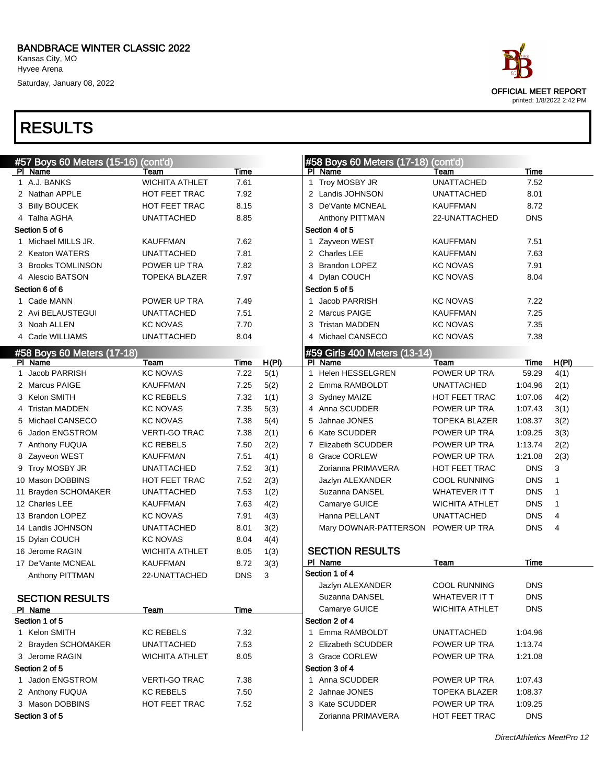Hyvee Arena Saturday, January 08, 2022

RESULTS



#### #57 Boys 60 Meters (15-16) (cont'd) PI Name Team Team Time 1 A.J. BANKS WICHITA ATHLET 7.61 2 Nathan APPLE HOT FEET TRAC 7.92 3 Billy BOUCEK HOT FEET TRAC 8.15 4 Talha AGHA UNATTACHED 8.85 Section 5 of 6 1 Michael MILLS JR. KAUFFMAN 7.62 2 Keaton WATERS UNATTACHED 7.81 3 Brooks TOMLINSON POWER UP TRA 7.82 Alescio BATSON TOPEKA BLAZER 7.97 Section 6 of 6 1 Cade MANN POWER UP TRA 7.49 2 Avi BELAUSTEGUI UNATTACHED 7.51 3 Noah ALLEN KC NOVAS 7.70 4 Cade WILLIAMS UNATTACHED 8.04 #58 Boys 60 Meters (17-18) PI Name  $\qquad \qquad$  Team  $\qquad \qquad$  Time  $H(P)$ 1 Jacob PARRISH KC NOVAS 7.22 5(1) 2 Marcus PAIGE **KAUFFMAN** 7.25 5(2) 3 Kelon SMITH KC REBELS 7.32 1(1) 4 Tristan MADDEN KC NOVAS 7.35 5(3) 5 Michael CANSECO KC NOVAS 7.38 5(4) 6 Jadon ENGSTROM VERTI-GO TRAC 7.38 2(1) 7 Anthony FUQUA KC REBELS 7.50 2(2) 8 Zayveon WEST KAUFFMAN 7.51 4(1) 9 Troy MOSBY JR UNATTACHED 7.52 3(1) 10 Mason DOBBINS HOT FEET TRAC 7.52 2(3) 11 Brayden SCHOMAKER UNATTACHED 7.53 1(2) 12 Charles LEE KAUFFMAN 7.63 4(2) 13 Brandon LOPEZ KC NOVAS 7.91 4(3) 14 Landis JOHNSON UNATTACHED 8.01 3(2) 15 Dylan COUCH KC NOVAS 8.04 4(4) 16 Jerome RAGIN WICHITA ATHLET 8.05 1(3) 17 De'Vante MCNEAL KAUFFMAN 8.72 3(3) Anthony PITTMAN 22-UNATTACHED DNS 3 SECTION RESULTS PI Name Team Team Time Section 1 of 5 1 Kelon SMITH KC REBELS 7.32 2 Brayden SCHOMAKER UNATTACHED 7.53 3 Jerome RAGIN WICHITA ATHLET 8.05 Section 2 of 5 1 Jadon ENGSTROM VERTI-GO TRAC 7.38 2 Anthony FUQUA KC REBELS 7.50 3 Mason DOBBINS HOT FEET TRAC 7.52 Section 3 of 5 #58 Boys 60 Meters (17-18) (cont'd) Pl Name Team Team Time 1 Troy MOSBY JR UNATTACHED 7.52 2 Landis JOHNSON UNATTACHED 8.01 3 De'Vante MCNEAL KAUFFMAN 8.72 Anthony PITTMAN 22-UNATTACHED DNS Section 4 of 5 1 Zayveon WEST KAUFFMAN 7.51 2 Charles LEE KAUFFMAN 7.63 3 Brandon LOPEZ KC NOVAS 7.91 4 Dylan COUCH KC NOVAS 8.04 Section 5 of 5 1 Jacob PARRISH KC NOVAS 7.22 2 Marcus PAIGE KAUFFMAN 7.25 3 Tristan MADDEN KC NOVAS 7.35 4 Michael CANSECO KC NOVAS 7.38 59 Girls 400 Meters (13-14) PI Name  $\qquad \qquad$  Team  $\qquad \qquad$  Time  $H(P)$ 1 Helen HESSELGREN POWER UP TRA 59.29 4(1) 2 Emma RAMBOLDT UNATTACHED 1:04.96 2(1) 3 Sydney MAIZE HOT FEET TRAC 1:07.06 4(2) 4 Anna SCUDDER POWER UP TRA 1:07.43 3(1) 5 Jahnae JONES TOPEKA BLAZER 1:08.37 3(2) 6 Kate SCUDDER POWER UP TRA 1:09.25 3(3) 7 Elizabeth SCUDDER POWER UP TRA 1:13.74 2(2) 8 Grace CORLEW POWER UP TRA 1:21.08 2(3) Zorianna PRIMAVERA HOT FEET TRAC DNS 3 Jazlyn ALEXANDER COOL RUNNING DNS 1 Suzanna DANSEL WHATEVER IT T DNS 1 Camarye GUICE **WICHITA ATHLET** DNS 1 Hanna PELLANT UNATTACHED DNS 4 Mary DOWNAR-PATTERSON POWER UP TRA DNS 4 SECTION RESULTS PI Name Team Team Time Section 1 of 4 Jazlyn ALEXANDER COOL RUNNING DNS Suzanna DANSEL WHATEVER IT T Camarye GUICE WICHITA ATHLET DNS Section 2 of 4 1 Emma RAMBOLDT UNATTACHED 1:04.96 2 Elizabeth SCUDDER POWER UP TRA 1:13.74 3 Grace CORLEW POWER UP TRA 1:21.08 Section 3 of 4 1 Anna SCUDDER POWER UP TRA 1:07.43 2 Jahnae JONES TOPEKA BLAZER 1:08.37 3 Kate SCUDDER POWER UP TRA 1:09.25 Zorianna PRIMAVERA HOT FEET TRAC DNS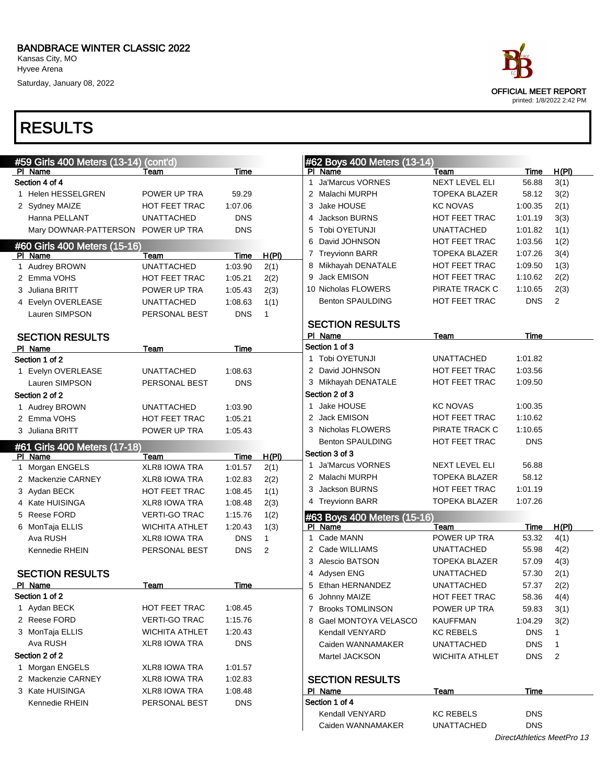Saturday, January 08, 2022

| race                                                     |  |
|----------------------------------------------------------|--|
| <b>OFFICIAL MEET REPORT</b><br>printed: 1/8/2022 2:42 PM |  |

|                        | #59 Girls 400 Meters (13-14) (cont'd) |                       |             |              | #62 Boys 400 Meters (13-14)  |                       |                            |                |
|------------------------|---------------------------------------|-----------------------|-------------|--------------|------------------------------|-----------------------|----------------------------|----------------|
| PI Name                |                                       | Team                  | Time        |              | PI Name                      | Team                  | Time                       | H(PI)          |
| Section 4 of 4         |                                       |                       |             |              | <b>Ja'Marcus VORNES</b><br>1 | <b>NEXT LEVEL ELI</b> | 56.88                      | 3(1)           |
| 1 Helen HESSELGREN     |                                       | POWER UP TRA          | 59.29       |              | 2 Malachi MURPH              | <b>TOPEKA BLAZER</b>  | 58.12                      | 3(2)           |
| 2 Sydney MAIZE         |                                       | <b>HOT FEET TRAC</b>  | 1:07.06     |              | 3 Jake HOUSE                 | <b>KC NOVAS</b>       | 1:00.35                    | 2(1)           |
| Hanna PELLANT          |                                       | <b>UNATTACHED</b>     | <b>DNS</b>  |              | 4 Jackson BURNS              | <b>HOT FEET TRAC</b>  | 1:01.19                    | 3(3)           |
|                        | Mary DOWNAR-PATTERSON POWER UP TRA    |                       | <b>DNS</b>  |              | 5 Tobi OYETUNJI              | <b>UNATTACHED</b>     | 1:01.82                    | 1(1)           |
|                        | #60 Girls 400 Meters (15-16)          |                       |             |              | 6 David JOHNSON              | HOT FEET TRAC         | 1:03.56                    | 1(2)           |
| PI Name                |                                       | Team                  | Time        | H(PI)        | 7 Treyvionn BARR             | <b>TOPEKA BLAZER</b>  | 1:07.26                    | 3(4)           |
| 1 Audrey BROWN         |                                       | <b>UNATTACHED</b>     | 1:03.90     | 2(1)         | 8 Mikhayah DENATALE          | HOT FEET TRAC         | 1:09.50                    | 1(3)           |
| 2 Emma VOHS            |                                       | HOT FEET TRAC         | 1:05.21     | 2(2)         | 9 Jack EMISON                | HOT FEET TRAC         | 1:10.62                    | 2(2)           |
| 3 Juliana BRITT        |                                       | POWER UP TRA          | 1:05.43     | 2(3)         | 10 Nicholas FLOWERS          | PIRATE TRACK C        | 1:10.65                    | 2(3)           |
| 4 Evelyn OVERLEASE     |                                       | <b>UNATTACHED</b>     | 1:08.63     | 1(1)         | <b>Benton SPAULDING</b>      | <b>HOT FEET TRAC</b>  | <b>DNS</b>                 | $\overline{2}$ |
| Lauren SIMPSON         |                                       | PERSONAL BEST         | <b>DNS</b>  | $\mathbf{1}$ |                              |                       |                            |                |
|                        |                                       |                       |             |              | <b>SECTION RESULTS</b>       |                       |                            |                |
| <b>SECTION RESULTS</b> |                                       |                       |             |              | PI Name                      | Team                  | Time                       |                |
| PI Name                |                                       | Team                  | <b>Time</b> |              | Section 1 of 3               |                       |                            |                |
| Section 1 of 2         |                                       |                       |             |              | 1 Tobi OYETUNJI              | <b>UNATTACHED</b>     | 1:01.82                    |                |
| 1 Evelyn OVERLEASE     |                                       | <b>UNATTACHED</b>     | 1:08.63     |              | 2 David JOHNSON              | HOT FEET TRAC         | 1:03.56                    |                |
| Lauren SIMPSON         |                                       | PERSONAL BEST         | <b>DNS</b>  |              | 3 Mikhayah DENATALE          | HOT FEET TRAC         | 1:09.50                    |                |
| Section 2 of 2         |                                       |                       |             |              | Section 2 of 3               |                       |                            |                |
| 1 Audrey BROWN         |                                       | <b>UNATTACHED</b>     | 1:03.90     |              | Jake HOUSE<br>1.             | <b>KC NOVAS</b>       | 1:00.35                    |                |
| 2 Emma VOHS            |                                       | <b>HOT FEET TRAC</b>  | 1:05.21     |              | 2 Jack EMISON                | HOT FEET TRAC         | 1:10.62                    |                |
| 3 Juliana BRITT        |                                       | POWER UP TRA          | 1:05.43     |              | 3 Nicholas FLOWERS           | PIRATE TRACK C        | 1:10.65                    |                |
|                        |                                       |                       |             |              | <b>Benton SPAULDING</b>      | HOT FEET TRAC         | <b>DNS</b>                 |                |
|                        | #61 Girls 400 Meters (17-18)          |                       |             |              | Section 3 of 3               |                       |                            |                |
| PI Name                |                                       | Team                  | Time        | H(PI)        | 1 Ja'Marcus VORNES           | NEXT LEVEL ELI        | 56.88                      |                |
| 1 Morgan ENGELS        |                                       | <b>XLR8 IOWA TRA</b>  | 1:01.57     | 2(1)         | 2 Malachi MURPH              | <b>TOPEKA BLAZER</b>  | 58.12                      |                |
| 2 Mackenzie CARNEY     |                                       | <b>XLR8 IOWA TRA</b>  | 1:02.83     | 2(2)         | 3 Jackson BURNS              | HOT FEET TRAC         | 1:01.19                    |                |
| 3 Aydan BECK           |                                       | <b>HOT FEET TRAC</b>  | 1:08.45     | 1(1)         | 4 Treyvionn BARR             | <b>TOPEKA BLAZER</b>  | 1:07.26                    |                |
| 4 Kate HUISINGA        |                                       | <b>XLR8 IOWA TRA</b>  | 1:08.48     | 2(3)         |                              |                       |                            |                |
| 5 Reese FORD           |                                       | <b>VERTI-GO TRAC</b>  | 1:15.76     | 1(2)         | #63 Boys 400 Meters (15-16)  |                       |                            |                |
| 6 MonTaja ELLIS        |                                       | <b>WICHITA ATHLET</b> | 1:20.43     | 1(3)         | PI Name                      | Team                  | <b>Time</b>                | H(PI)          |
| Ava RUSH               |                                       | <b>XLR8 IOWA TRA</b>  | <b>DNS</b>  | $\mathbf{1}$ | Cade MANN<br>$\mathbf{1}$    | POWER UP TRA          | 53.32                      | 4(1)           |
| Kennedie RHEIN         |                                       | PERSONAL BEST         | <b>DNS</b>  | 2            | 2 Cade WILLIAMS              | <b>UNATTACHED</b>     | 55.98                      | 4(2)           |
|                        |                                       |                       |             |              | 3 Alescio BATSON             | <b>TOPEKA BLAZER</b>  | 57.09                      | 4(3)           |
| <b>SECTION RESULTS</b> |                                       |                       |             |              | 4 Adysen ENG                 | <b>UNATTACHED</b>     | 57.30                      | 2(1)           |
| PI Name                |                                       | Team                  | Time        |              | 5 Ethan HERNANDEZ            | <b>UNATTACHED</b>     | 57.37                      | 2(2)           |
| Section 1 of 2         |                                       |                       |             |              | 6 Johnny MAIZE               | HOT FEET TRAC         | 58.36                      | 4(4)           |
| 1 Aydan BECK           |                                       | HOT FEET TRAC         | 1:08.45     |              | 7 Brooks TOMLINSON           | POWER UP TRA          | 59.83                      | 3(1)           |
| 2 Reese FORD           |                                       | <b>VERTI-GO TRAC</b>  | 1:15.76     |              | 8 Gael MONTOYA VELASCO       | <b>KAUFFMAN</b>       | 1:04.29                    | 3(2)           |
| 3 MonTaja ELLIS        |                                       | <b>WICHITA ATHLET</b> | 1:20.43     |              | Kendall VENYARD              | <b>KC REBELS</b>      | <b>DNS</b>                 | $\mathbf{1}$   |
| Ava RUSH               |                                       | XLR8 IOWA TRA         | <b>DNS</b>  |              | Caiden WANNAMAKER            | <b>UNATTACHED</b>     | <b>DNS</b>                 | $\mathbf{1}$   |
| Section 2 of 2         |                                       |                       |             |              | Martel JACKSON               | <b>WICHITA ATHLET</b> | <b>DNS</b>                 | $\overline{2}$ |
| 1 Morgan ENGELS        |                                       | XLR8 IOWA TRA         | 1:01.57     |              |                              |                       |                            |                |
| 2 Mackenzie CARNEY     |                                       | XLR8 IOWA TRA         | 1:02.83     |              | <b>SECTION RESULTS</b>       |                       |                            |                |
| 3 Kate HUISINGA        |                                       | XLR8 IOWA TRA         | 1:08.48     |              | PI Name                      | <u>Team</u>           | Time                       |                |
| Kennedie RHEIN         |                                       | PERSONAL BEST         | <b>DNS</b>  |              | Section 1 of 4               |                       |                            |                |
|                        |                                       |                       |             |              | Kendall VENYARD              | <b>KC REBELS</b>      | <b>DNS</b>                 |                |
|                        |                                       |                       |             |              | Caiden WANNAMAKER            | <b>UNATTACHED</b>     | <b>DNS</b>                 |                |
|                        |                                       |                       |             |              |                              |                       | DirectAthletics MeetPro 13 |                |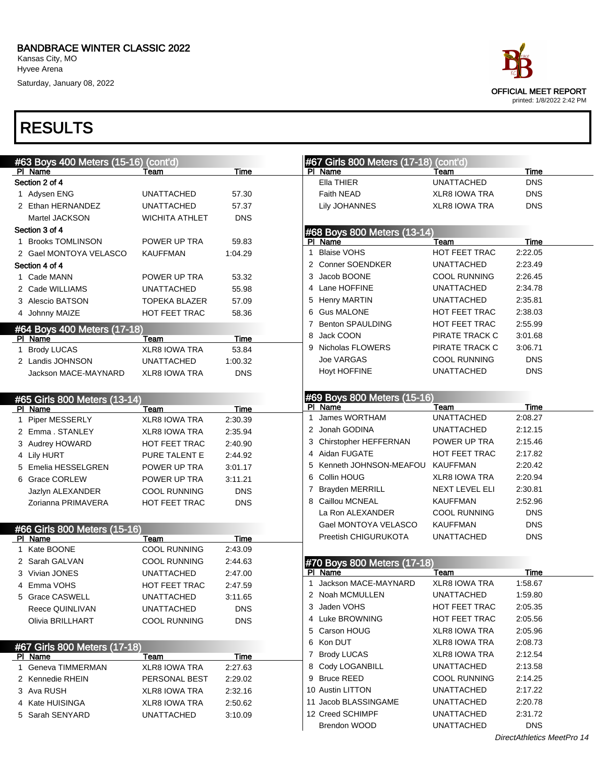Hyvee Arena

Saturday, January 08, 2022



| #63 Boys 400 Meters (15-16) (cont'd)   |                              |            |   | #67 Girls 800 Meters (17-18) (cont'd)  |                      |                            |
|----------------------------------------|------------------------------|------------|---|----------------------------------------|----------------------|----------------------------|
| PI Name                                | Team                         | Time       |   | PI Name                                | Team                 | Time                       |
| Section 2 of 4                         |                              |            |   | Ella THIER                             | <b>UNATTACHED</b>    | <b>DNS</b>                 |
| 1 Adysen ENG                           | UNATTACHED                   | 57.30      |   | <b>Faith NEAD</b>                      | <b>XLR8 IOWA TRA</b> | <b>DNS</b>                 |
| 2 Ethan HERNANDEZ                      | <b>UNATTACHED</b>            | 57.37      |   | <b>Lily JOHANNES</b>                   | <b>XLR8 IOWA TRA</b> | <b>DNS</b>                 |
| Martel JACKSON                         | WICHITA ATHLET               | <b>DNS</b> |   |                                        |                      |                            |
| Section 3 of 4                         |                              |            |   | #68 Boys 800 Meters (13-14)            |                      |                            |
| 1 Brooks TOMLINSON                     | POWER UP TRA                 | 59.83      |   | PI Name                                | Team                 | Time                       |
| 2 Gael MONTOYA VELASCO                 | <b>KAUFFMAN</b>              | 1:04.29    | 1 | <b>Blaise VOHS</b>                     | HOT FEET TRAC        | 2:22.05                    |
| Section 4 of 4                         |                              |            |   | 2 Conner SOENDKER                      | <b>UNATTACHED</b>    | 2:23.49                    |
| 1 Cade MANN                            | POWER UP TRA                 | 53.32      | 3 | Jacob BOONE                            | <b>COOL RUNNING</b>  | 2:26.45                    |
| 2 Cade WILLIAMS                        | UNATTACHED                   | 55.98      |   | 4 Lane HOFFINE                         | <b>UNATTACHED</b>    | 2:34.78                    |
| 3 Alescio BATSON                       | TOPEKA BLAZER                | 57.09      | 5 | <b>Henry MARTIN</b>                    | <b>UNATTACHED</b>    | 2:35.81                    |
| 4 Johnny MAIZE                         | HOT FEET TRAC                | 58.36      | 6 | <b>Gus MALONE</b>                      | <b>HOT FEET TRAC</b> | 2:38.03                    |
|                                        |                              |            | 7 | <b>Benton SPAULDING</b>                | <b>HOT FEET TRAC</b> | 2:55.99                    |
| #64 Boys 400 Meters (17-18)<br>PI Name | Team                         | Time       | 8 | Jack COON                              | PIRATE TRACK C       | 3:01.68                    |
| 1 Brody LUCAS                          | XLR8 IOWA TRA                | 53.84      |   | 9 Nicholas FLOWERS                     | PIRATE TRACK C       | 3:06.71                    |
| 2 Landis JOHNSON                       | <b>UNATTACHED</b>            | 1:00.32    |   | <b>Joe VARGAS</b>                      | <b>COOL RUNNING</b>  | <b>DNS</b>                 |
| Jackson MACE-MAYNARD                   | <b>XLR8 IOWA TRA</b>         | <b>DNS</b> |   | <b>Hoyt HOFFINE</b>                    | <b>UNATTACHED</b>    | <b>DNS</b>                 |
|                                        |                              |            |   |                                        |                      |                            |
|                                        |                              |            |   |                                        |                      |                            |
| #65 Girls 800 Meters (13-14)           |                              | Time       |   | #69 Boys 800 Meters (15-16)<br>PI Name | Team                 | <b>Time</b>                |
| PI Name<br>1 Piper MESSERLY            | Team<br><b>XLR8 IOWA TRA</b> | 2:30.39    | 1 | James WORTHAM                          | <b>UNATTACHED</b>    | 2:08.27                    |
| 2 Emma. STANLEY                        | <b>XLR8 IOWA TRA</b>         | 2:35.94    |   | 2 Jonah GODINA                         | <b>UNATTACHED</b>    | 2:12.15                    |
| 3 Audrey HOWARD                        | HOT FEET TRAC                | 2:40.90    |   | 3 Chirstopher HEFFERNAN                | POWER UP TRA         | 2:15.46                    |
|                                        |                              |            |   | 4 Aidan FUGATE                         | HOT FEET TRAC        | 2:17.82                    |
| 4 Lily HURT                            | PURE TALENT E                | 2:44.92    |   | 5 Kenneth JOHNSON-MEAFOU               | <b>KAUFFMAN</b>      | 2:20.42                    |
| 5 Emelia HESSELGREN                    | POWER UP TRA                 | 3:01.17    |   | 6 Collin HOUG                          | <b>XLR8 IOWA TRA</b> | 2:20.94                    |
| 6 Grace CORLEW                         | POWER UP TRA                 | 3:11.21    | 7 | <b>Brayden MERRILL</b>                 | NEXT LEVEL ELI       | 2:30.81                    |
| Jazlyn ALEXANDER                       | <b>COOL RUNNING</b>          | <b>DNS</b> |   | 8 Caillou MCNEAL                       | <b>KAUFFMAN</b>      | 2:52.96                    |
| Zorianna PRIMAVERA                     | <b>HOT FEET TRAC</b>         | <b>DNS</b> |   | La Ron ALEXANDER                       | <b>COOL RUNNING</b>  | <b>DNS</b>                 |
|                                        |                              |            |   |                                        |                      | <b>DNS</b>                 |
| #66 Girls 800 Meters (15-16)           |                              |            |   | Gael MONTOYA VELASCO                   | <b>KAUFFMAN</b>      |                            |
| PI Name                                | <b>Team</b>                  | Time       |   | Preetish CHIGURUKOTA                   | <b>UNATTACHED</b>    | <b>DNS</b>                 |
| 1 Kate BOONE                           | <b>COOL RUNNING</b>          | 2:43.09    |   |                                        |                      |                            |
| 2 Sarah GALVAN                         | <b>COOL RUNNING</b>          | 2:44.63    |   | #70 Boys 800 Meters (17-18)            |                      |                            |
| 3 Vivian JONES                         | <b>UNATTACHED</b>            | 2:47.00    |   | PI Name                                | Team                 | Time                       |
| 4 Emma VOHS                            | <b>HOT FEET TRAC</b>         | 2:47.59    | 1 | Jackson MACE-MAYNARD                   | <b>XLR8 IOWA TRA</b> | 1:58.67                    |
| 5 Grace CASWELL                        | <b>UNATTACHED</b>            | 3:11.65    |   | 2 Noah MCMULLEN                        | <b>UNATTACHED</b>    | 1:59.80                    |
| Reece QUINLIVAN                        | <b>UNATTACHED</b>            | DNS.       |   | 3 Jaden VOHS                           | HOT FEET TRAC        | 2:05.35                    |
| Olivia BRILLHART                       | <b>COOL RUNNING</b>          | <b>DNS</b> |   | 4 Luke BROWNING                        | HOT FEET TRAC        | 2:05.56                    |
|                                        |                              |            |   | 5 Carson HOUG                          | <b>XLR8 IOWA TRA</b> | 2:05.96                    |
| #67 Girls 800 Meters (17-18)           |                              |            |   | 6 Kon DUT                              | <b>XLR8 IOWA TRA</b> | 2:08.73                    |
| PI Name                                | Team                         | Time       |   | 7 Brody LUCAS                          | <b>XLR8 IOWA TRA</b> | 2:12.54                    |
| 1 Geneva TIMMERMAN                     | <b>XLR8 IOWA TRA</b>         | 2:27.63    |   | 8 Cody LOGANBILL                       | <b>UNATTACHED</b>    | 2:13.58                    |
| 2 Kennedie RHEIN                       | PERSONAL BEST                | 2:29.02    |   | 9 Bruce REED                           | <b>COOL RUNNING</b>  | 2:14.25                    |
| 3 Ava RUSH                             | XLR8 IOWA TRA                | 2:32.16    |   | 10 Austin LITTON                       | <b>UNATTACHED</b>    | 2:17.22                    |
| 4 Kate HUISINGA                        | <b>XLR8 IOWA TRA</b>         | 2:50.62    |   | 11 Jacob BLASSINGAME                   | UNATTACHED           | 2:20.78                    |
| 5 Sarah SENYARD                        | <b>UNATTACHED</b>            | 3:10.09    |   | 12 Creed SCHIMPF                       | <b>UNATTACHED</b>    | 2:31.72                    |
|                                        |                              |            |   | Brendon WOOD                           | UNATTACHED           | <b>DNS</b>                 |
|                                        |                              |            |   |                                        |                      | DirectAthletics MeetPro 14 |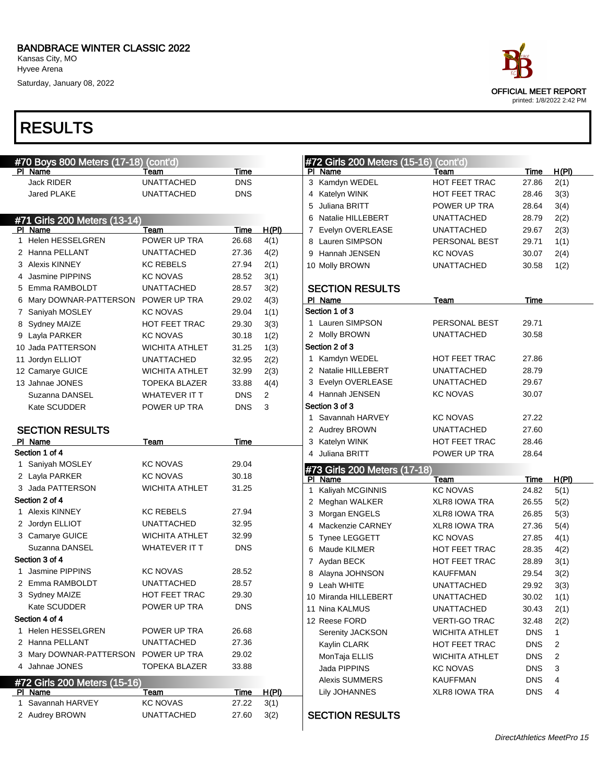Kansas City, MO Hyvee Arena

Saturday, January 08, 2022

# RESULTS

| race                                                     |
|----------------------------------------------------------|
| <b>OFFICIAL MEET REPORT</b><br>printed: 1/8/2022 2:42 PM |

| #70 Boys 800 Meters (17-18) (cont'd) |                                   |                        |                |              |  |  |  |  |
|--------------------------------------|-----------------------------------|------------------------|----------------|--------------|--|--|--|--|
|                                      | Name                              | Team                   | <b>Time</b>    |              |  |  |  |  |
|                                      | <b>Jack RIDER</b>                 | <b>UNATTACHED</b>      | <b>DNS</b>     |              |  |  |  |  |
|                                      | <b>Jared PLAKE</b>                | <b>UNATTACHED</b>      | <b>DNS</b>     |              |  |  |  |  |
|                                      |                                   |                        |                |              |  |  |  |  |
|                                      | #71 Girls 200 Meters (13-14)      |                        |                |              |  |  |  |  |
| PI.                                  | Name                              | Team                   | Time           | <u>H(PI)</u> |  |  |  |  |
| 1.                                   | <b>Helen HESSELGREN</b>           | POWER UP TRA           | 26.68          | 4(1)         |  |  |  |  |
|                                      | 2 Hanna PELLANT                   | <b>UNATTACHED</b>      | 27.36          | 4(2)         |  |  |  |  |
|                                      | 3 Alexis KINNEY                   | <b>KC REBELS</b>       | 27.94          | 2(1)         |  |  |  |  |
|                                      | 4 Jasmine PIPPINS                 | <b>KC NOVAS</b>        | 28.52          | 3(1)         |  |  |  |  |
|                                      | 5 Emma RAMBOLDT                   | <b>UNATTACHED</b>      | 28.57          | 3(2)         |  |  |  |  |
|                                      | 6 Mary DOWNAR-PATTERSON           | POWER UP TRA           | 29.02          | 4(3)         |  |  |  |  |
|                                      | 7 Saniyah MOSLEY                  | <b>KC NOVAS</b>        | 29.04          | 1(1)         |  |  |  |  |
| 8                                    | Sydney MAIZE                      | <b>HOT FEET TRAC</b>   | 29.30          | 3(3)         |  |  |  |  |
|                                      | 9 Layla PARKER                    | <b>KC NOVAS</b>        | 30.18          | 1(2)         |  |  |  |  |
|                                      | 10 Jada PATTERSON                 | <b>WICHITA ATHLET</b>  | 31.25          | 1(3)         |  |  |  |  |
|                                      | 11 Jordyn ELLIOT                  | <b>UNATTACHED</b>      | 32.95          | 2(2)         |  |  |  |  |
|                                      | 12 Camarye GUICE                  | <b>WICHITA ATHLET</b>  | 32.99          | 2(3)         |  |  |  |  |
|                                      | 13 Jahnae JONES                   | <b>TOPEKA BLAZER</b>   | 33.88          | 4(4)         |  |  |  |  |
|                                      | Suzanna DANSEL                    | <b>WHATEVER IT T</b>   | <b>DNS</b>     | 2            |  |  |  |  |
|                                      | Kate SCUDDER                      | POWER UP TRA           | <b>DNS</b>     | 3            |  |  |  |  |
|                                      |                                   |                        |                |              |  |  |  |  |
|                                      | <b>SECTION RESULTS</b>            |                        |                |              |  |  |  |  |
|                                      | PI Name                           | <b>Team</b>            | <b>Time</b>    |              |  |  |  |  |
|                                      |                                   |                        |                |              |  |  |  |  |
|                                      | Section 1 of 4                    |                        |                |              |  |  |  |  |
| 1                                    | Saniyah MOSLEY                    | <b>KC NOVAS</b>        | 29.04          |              |  |  |  |  |
|                                      | 2 Layla PARKER                    | <b>KC NOVAS</b>        | 30.18          |              |  |  |  |  |
|                                      | 3 Jada PATTERSON                  | <b>WICHITA ATHLET</b>  | 31.25          |              |  |  |  |  |
|                                      | Section 2 of 4                    |                        |                |              |  |  |  |  |
| 1.                                   | <b>Alexis KINNEY</b>              | <b>KC REBELS</b>       | 27.94          |              |  |  |  |  |
|                                      | 2 Jordyn ELLIOT                   | <b>UNATTACHED</b>      | 32.95          |              |  |  |  |  |
|                                      | 3 Camarye GUICE                   | <b>WICHITA ATHLET</b>  | 32.99          |              |  |  |  |  |
|                                      | Suzanna DANSEL                    | WHATEVER IT T          | <b>DNS</b>     |              |  |  |  |  |
|                                      | Section 3 of 4                    |                        |                |              |  |  |  |  |
| 1                                    | Jasmine PIPPINS                   | <b>KC NOVAS</b>        | 28.52          |              |  |  |  |  |
|                                      | 2 Emma RAMBOLDT                   | <b>UNATTACHED</b>      | 28.57          |              |  |  |  |  |
|                                      | 3 Sydney MAIZE                    | HOT FEET TRAC          | 29.30          |              |  |  |  |  |
|                                      | Kate SCUDDER                      | POWER UP TRA           | DNS            |              |  |  |  |  |
|                                      | Section 4 of 4                    |                        |                |              |  |  |  |  |
|                                      | 1 Helen HESSELGREN                | POWER UP TRA           | 26.68          |              |  |  |  |  |
|                                      | 2 Hanna PELLANT                   | UNATTACHED             | 27.36          |              |  |  |  |  |
| 3                                    | Mary DOWNAR-PATTERSON             | POWER UP TRA           | 29.02          |              |  |  |  |  |
| 4                                    | Jahnae JONES                      | TOPEKA BLAZER          | 33.88          |              |  |  |  |  |
|                                      | #72 Girls 200 Meters (15-16)      |                        |                |              |  |  |  |  |
| PI                                   | Name                              | <u>Team</u>            | <u>Time</u>    | <u>H(PI)</u> |  |  |  |  |
| 1                                    | Savannah HARVEY<br>2 Audrey BROWN | KC NOVAS<br>UNATTACHED | 27.22<br>27.60 | 3(1)<br>3(2) |  |  |  |  |

| #72 Girls 200 Meters (15-16) (cont'd)<br><u>H(PI)</u><br>PI Name<br>Time<br>Team<br>3 Kamdyn WEDEL<br><b>HOT FEET TRAC</b><br>27.86<br>2(1)<br>4 Katelyn WINK<br><b>HOT FEET TRAC</b><br>3(3)<br>28.46<br>5 Juliana BRITT<br>POWER UP TRA<br>3(4)<br>28.64<br>6 Natalie HILLEBERT<br><b>UNATTACHED</b><br>2(2)<br>28.79<br>7 Evelyn OVERLEASE<br><b>UNATTACHED</b><br>2(3)<br>29.67<br>8 Lauren SIMPSON<br>PERSONAL BEST<br>1(1)<br>29.71<br>9 Hannah JENSEN<br><b>KC NOVAS</b><br>2(4)<br>30.07<br>10 Molly BROWN<br>UNATTACHED<br>1(2)<br>30.58<br><b>SECTION RESULTS</b><br>PI Name<br><b>Team</b><br>Time<br>Section 1 of 3<br>1 Lauren SIMPSON<br>PERSONAL BEST<br>29.71<br>2 Molly BROWN<br><b>UNATTACHED</b><br>30.58<br>Section 2 of 3<br>1 Kamdyn WEDEL<br><b>HOT FEET TRAC</b><br>27.86<br>2 Natalie HILLEBERT<br><b>UNATTACHED</b><br>28.79<br>3 Evelyn OVERLEASE<br><b>UNATTACHED</b><br>29.67<br>4 Hannah JENSEN<br><b>KC NOVAS</b><br>30.07<br>Section 3 of 3<br>1 Savannah HARVEY<br><b>KC NOVAS</b><br>27.22<br><b>UNATTACHED</b><br>2 Audrey BROWN<br>27.60<br>3 Katelyn WINK<br><b>HOT FEET TRAC</b><br>28.46<br>4 Juliana BRITT<br>POWER UP TRA<br>28.64<br>#73 Girls 200 Meters (17-18)<br><u>H(PI)</u><br>PI Name<br><u>Team</u><br><u>Time</u><br>Kaliyah MCGINNIS<br><b>KC NOVAS</b><br>24.82<br>5(1)<br>1<br>2 Meghan WALKER<br><b>XLR8 IOWA TRA</b><br>26.55<br>5(2)<br>3 Morgan ENGELS<br><b>XLR8 IOWA TRA</b><br>26.85<br>5(3)<br>4 Mackenzie CARNEY<br><b>XLR8 IOWA TRA</b><br>27.36<br>5(4)<br><b>KC NOVAS</b><br>Tynee LEGGETT<br>27.85<br>4(1)<br>5<br>6 Maude KILMER<br><b>HOT FEET TRAC</b><br>28.35<br>4(2)<br>7 Aydan BECK<br><b>HOT FEET TRAC</b><br>3(1)<br>28.89<br>Alayna JOHNSON<br><b>KAUFFMAN</b><br>29.54<br>3(2)<br>8<br>Leah WHITE<br>UNATTACHED<br>3(3)<br>9<br>29.92<br>10 Miranda HILLEBERT<br><b>UNATTACHED</b><br>1(1)<br>30.02<br>11 Nina KALMUS<br><b>UNATTACHED</b><br>2(1)<br>30.43<br>12 Reese FORD<br><b>VERTI-GO TRAC</b><br>2(2)<br>32.48 |                  |                       |            |   |
|-----------------------------------------------------------------------------------------------------------------------------------------------------------------------------------------------------------------------------------------------------------------------------------------------------------------------------------------------------------------------------------------------------------------------------------------------------------------------------------------------------------------------------------------------------------------------------------------------------------------------------------------------------------------------------------------------------------------------------------------------------------------------------------------------------------------------------------------------------------------------------------------------------------------------------------------------------------------------------------------------------------------------------------------------------------------------------------------------------------------------------------------------------------------------------------------------------------------------------------------------------------------------------------------------------------------------------------------------------------------------------------------------------------------------------------------------------------------------------------------------------------------------------------------------------------------------------------------------------------------------------------------------------------------------------------------------------------------------------------------------------------------------------------------------------------------------------------------------------------------------------------------------------------------------------------------------------------------------------------------------------|------------------|-----------------------|------------|---|
|                                                                                                                                                                                                                                                                                                                                                                                                                                                                                                                                                                                                                                                                                                                                                                                                                                                                                                                                                                                                                                                                                                                                                                                                                                                                                                                                                                                                                                                                                                                                                                                                                                                                                                                                                                                                                                                                                                                                                                                                     |                  |                       |            |   |
|                                                                                                                                                                                                                                                                                                                                                                                                                                                                                                                                                                                                                                                                                                                                                                                                                                                                                                                                                                                                                                                                                                                                                                                                                                                                                                                                                                                                                                                                                                                                                                                                                                                                                                                                                                                                                                                                                                                                                                                                     |                  |                       |            |   |
|                                                                                                                                                                                                                                                                                                                                                                                                                                                                                                                                                                                                                                                                                                                                                                                                                                                                                                                                                                                                                                                                                                                                                                                                                                                                                                                                                                                                                                                                                                                                                                                                                                                                                                                                                                                                                                                                                                                                                                                                     |                  |                       |            |   |
|                                                                                                                                                                                                                                                                                                                                                                                                                                                                                                                                                                                                                                                                                                                                                                                                                                                                                                                                                                                                                                                                                                                                                                                                                                                                                                                                                                                                                                                                                                                                                                                                                                                                                                                                                                                                                                                                                                                                                                                                     |                  |                       |            |   |
|                                                                                                                                                                                                                                                                                                                                                                                                                                                                                                                                                                                                                                                                                                                                                                                                                                                                                                                                                                                                                                                                                                                                                                                                                                                                                                                                                                                                                                                                                                                                                                                                                                                                                                                                                                                                                                                                                                                                                                                                     |                  |                       |            |   |
|                                                                                                                                                                                                                                                                                                                                                                                                                                                                                                                                                                                                                                                                                                                                                                                                                                                                                                                                                                                                                                                                                                                                                                                                                                                                                                                                                                                                                                                                                                                                                                                                                                                                                                                                                                                                                                                                                                                                                                                                     |                  |                       |            |   |
|                                                                                                                                                                                                                                                                                                                                                                                                                                                                                                                                                                                                                                                                                                                                                                                                                                                                                                                                                                                                                                                                                                                                                                                                                                                                                                                                                                                                                                                                                                                                                                                                                                                                                                                                                                                                                                                                                                                                                                                                     |                  |                       |            |   |
|                                                                                                                                                                                                                                                                                                                                                                                                                                                                                                                                                                                                                                                                                                                                                                                                                                                                                                                                                                                                                                                                                                                                                                                                                                                                                                                                                                                                                                                                                                                                                                                                                                                                                                                                                                                                                                                                                                                                                                                                     |                  |                       |            |   |
|                                                                                                                                                                                                                                                                                                                                                                                                                                                                                                                                                                                                                                                                                                                                                                                                                                                                                                                                                                                                                                                                                                                                                                                                                                                                                                                                                                                                                                                                                                                                                                                                                                                                                                                                                                                                                                                                                                                                                                                                     |                  |                       |            |   |
|                                                                                                                                                                                                                                                                                                                                                                                                                                                                                                                                                                                                                                                                                                                                                                                                                                                                                                                                                                                                                                                                                                                                                                                                                                                                                                                                                                                                                                                                                                                                                                                                                                                                                                                                                                                                                                                                                                                                                                                                     |                  |                       |            |   |
|                                                                                                                                                                                                                                                                                                                                                                                                                                                                                                                                                                                                                                                                                                                                                                                                                                                                                                                                                                                                                                                                                                                                                                                                                                                                                                                                                                                                                                                                                                                                                                                                                                                                                                                                                                                                                                                                                                                                                                                                     |                  |                       |            |   |
|                                                                                                                                                                                                                                                                                                                                                                                                                                                                                                                                                                                                                                                                                                                                                                                                                                                                                                                                                                                                                                                                                                                                                                                                                                                                                                                                                                                                                                                                                                                                                                                                                                                                                                                                                                                                                                                                                                                                                                                                     |                  |                       |            |   |
|                                                                                                                                                                                                                                                                                                                                                                                                                                                                                                                                                                                                                                                                                                                                                                                                                                                                                                                                                                                                                                                                                                                                                                                                                                                                                                                                                                                                                                                                                                                                                                                                                                                                                                                                                                                                                                                                                                                                                                                                     |                  |                       |            |   |
|                                                                                                                                                                                                                                                                                                                                                                                                                                                                                                                                                                                                                                                                                                                                                                                                                                                                                                                                                                                                                                                                                                                                                                                                                                                                                                                                                                                                                                                                                                                                                                                                                                                                                                                                                                                                                                                                                                                                                                                                     |                  |                       |            |   |
|                                                                                                                                                                                                                                                                                                                                                                                                                                                                                                                                                                                                                                                                                                                                                                                                                                                                                                                                                                                                                                                                                                                                                                                                                                                                                                                                                                                                                                                                                                                                                                                                                                                                                                                                                                                                                                                                                                                                                                                                     |                  |                       |            |   |
|                                                                                                                                                                                                                                                                                                                                                                                                                                                                                                                                                                                                                                                                                                                                                                                                                                                                                                                                                                                                                                                                                                                                                                                                                                                                                                                                                                                                                                                                                                                                                                                                                                                                                                                                                                                                                                                                                                                                                                                                     |                  |                       |            |   |
|                                                                                                                                                                                                                                                                                                                                                                                                                                                                                                                                                                                                                                                                                                                                                                                                                                                                                                                                                                                                                                                                                                                                                                                                                                                                                                                                                                                                                                                                                                                                                                                                                                                                                                                                                                                                                                                                                                                                                                                                     |                  |                       |            |   |
|                                                                                                                                                                                                                                                                                                                                                                                                                                                                                                                                                                                                                                                                                                                                                                                                                                                                                                                                                                                                                                                                                                                                                                                                                                                                                                                                                                                                                                                                                                                                                                                                                                                                                                                                                                                                                                                                                                                                                                                                     |                  |                       |            |   |
|                                                                                                                                                                                                                                                                                                                                                                                                                                                                                                                                                                                                                                                                                                                                                                                                                                                                                                                                                                                                                                                                                                                                                                                                                                                                                                                                                                                                                                                                                                                                                                                                                                                                                                                                                                                                                                                                                                                                                                                                     |                  |                       |            |   |
|                                                                                                                                                                                                                                                                                                                                                                                                                                                                                                                                                                                                                                                                                                                                                                                                                                                                                                                                                                                                                                                                                                                                                                                                                                                                                                                                                                                                                                                                                                                                                                                                                                                                                                                                                                                                                                                                                                                                                                                                     |                  |                       |            |   |
|                                                                                                                                                                                                                                                                                                                                                                                                                                                                                                                                                                                                                                                                                                                                                                                                                                                                                                                                                                                                                                                                                                                                                                                                                                                                                                                                                                                                                                                                                                                                                                                                                                                                                                                                                                                                                                                                                                                                                                                                     |                  |                       |            |   |
|                                                                                                                                                                                                                                                                                                                                                                                                                                                                                                                                                                                                                                                                                                                                                                                                                                                                                                                                                                                                                                                                                                                                                                                                                                                                                                                                                                                                                                                                                                                                                                                                                                                                                                                                                                                                                                                                                                                                                                                                     |                  |                       |            |   |
|                                                                                                                                                                                                                                                                                                                                                                                                                                                                                                                                                                                                                                                                                                                                                                                                                                                                                                                                                                                                                                                                                                                                                                                                                                                                                                                                                                                                                                                                                                                                                                                                                                                                                                                                                                                                                                                                                                                                                                                                     |                  |                       |            |   |
|                                                                                                                                                                                                                                                                                                                                                                                                                                                                                                                                                                                                                                                                                                                                                                                                                                                                                                                                                                                                                                                                                                                                                                                                                                                                                                                                                                                                                                                                                                                                                                                                                                                                                                                                                                                                                                                                                                                                                                                                     |                  |                       |            |   |
|                                                                                                                                                                                                                                                                                                                                                                                                                                                                                                                                                                                                                                                                                                                                                                                                                                                                                                                                                                                                                                                                                                                                                                                                                                                                                                                                                                                                                                                                                                                                                                                                                                                                                                                                                                                                                                                                                                                                                                                                     |                  |                       |            |   |
|                                                                                                                                                                                                                                                                                                                                                                                                                                                                                                                                                                                                                                                                                                                                                                                                                                                                                                                                                                                                                                                                                                                                                                                                                                                                                                                                                                                                                                                                                                                                                                                                                                                                                                                                                                                                                                                                                                                                                                                                     |                  |                       |            |   |
|                                                                                                                                                                                                                                                                                                                                                                                                                                                                                                                                                                                                                                                                                                                                                                                                                                                                                                                                                                                                                                                                                                                                                                                                                                                                                                                                                                                                                                                                                                                                                                                                                                                                                                                                                                                                                                                                                                                                                                                                     |                  |                       |            |   |
|                                                                                                                                                                                                                                                                                                                                                                                                                                                                                                                                                                                                                                                                                                                                                                                                                                                                                                                                                                                                                                                                                                                                                                                                                                                                                                                                                                                                                                                                                                                                                                                                                                                                                                                                                                                                                                                                                                                                                                                                     |                  |                       |            |   |
|                                                                                                                                                                                                                                                                                                                                                                                                                                                                                                                                                                                                                                                                                                                                                                                                                                                                                                                                                                                                                                                                                                                                                                                                                                                                                                                                                                                                                                                                                                                                                                                                                                                                                                                                                                                                                                                                                                                                                                                                     |                  |                       |            |   |
|                                                                                                                                                                                                                                                                                                                                                                                                                                                                                                                                                                                                                                                                                                                                                                                                                                                                                                                                                                                                                                                                                                                                                                                                                                                                                                                                                                                                                                                                                                                                                                                                                                                                                                                                                                                                                                                                                                                                                                                                     |                  |                       |            |   |
|                                                                                                                                                                                                                                                                                                                                                                                                                                                                                                                                                                                                                                                                                                                                                                                                                                                                                                                                                                                                                                                                                                                                                                                                                                                                                                                                                                                                                                                                                                                                                                                                                                                                                                                                                                                                                                                                                                                                                                                                     |                  |                       |            |   |
|                                                                                                                                                                                                                                                                                                                                                                                                                                                                                                                                                                                                                                                                                                                                                                                                                                                                                                                                                                                                                                                                                                                                                                                                                                                                                                                                                                                                                                                                                                                                                                                                                                                                                                                                                                                                                                                                                                                                                                                                     |                  |                       |            |   |
|                                                                                                                                                                                                                                                                                                                                                                                                                                                                                                                                                                                                                                                                                                                                                                                                                                                                                                                                                                                                                                                                                                                                                                                                                                                                                                                                                                                                                                                                                                                                                                                                                                                                                                                                                                                                                                                                                                                                                                                                     |                  |                       |            |   |
|                                                                                                                                                                                                                                                                                                                                                                                                                                                                                                                                                                                                                                                                                                                                                                                                                                                                                                                                                                                                                                                                                                                                                                                                                                                                                                                                                                                                                                                                                                                                                                                                                                                                                                                                                                                                                                                                                                                                                                                                     |                  |                       |            |   |
|                                                                                                                                                                                                                                                                                                                                                                                                                                                                                                                                                                                                                                                                                                                                                                                                                                                                                                                                                                                                                                                                                                                                                                                                                                                                                                                                                                                                                                                                                                                                                                                                                                                                                                                                                                                                                                                                                                                                                                                                     |                  |                       |            |   |
|                                                                                                                                                                                                                                                                                                                                                                                                                                                                                                                                                                                                                                                                                                                                                                                                                                                                                                                                                                                                                                                                                                                                                                                                                                                                                                                                                                                                                                                                                                                                                                                                                                                                                                                                                                                                                                                                                                                                                                                                     |                  |                       |            |   |
|                                                                                                                                                                                                                                                                                                                                                                                                                                                                                                                                                                                                                                                                                                                                                                                                                                                                                                                                                                                                                                                                                                                                                                                                                                                                                                                                                                                                                                                                                                                                                                                                                                                                                                                                                                                                                                                                                                                                                                                                     |                  |                       |            |   |
|                                                                                                                                                                                                                                                                                                                                                                                                                                                                                                                                                                                                                                                                                                                                                                                                                                                                                                                                                                                                                                                                                                                                                                                                                                                                                                                                                                                                                                                                                                                                                                                                                                                                                                                                                                                                                                                                                                                                                                                                     |                  |                       |            |   |
|                                                                                                                                                                                                                                                                                                                                                                                                                                                                                                                                                                                                                                                                                                                                                                                                                                                                                                                                                                                                                                                                                                                                                                                                                                                                                                                                                                                                                                                                                                                                                                                                                                                                                                                                                                                                                                                                                                                                                                                                     |                  |                       |            |   |
|                                                                                                                                                                                                                                                                                                                                                                                                                                                                                                                                                                                                                                                                                                                                                                                                                                                                                                                                                                                                                                                                                                                                                                                                                                                                                                                                                                                                                                                                                                                                                                                                                                                                                                                                                                                                                                                                                                                                                                                                     |                  |                       |            |   |
|                                                                                                                                                                                                                                                                                                                                                                                                                                                                                                                                                                                                                                                                                                                                                                                                                                                                                                                                                                                                                                                                                                                                                                                                                                                                                                                                                                                                                                                                                                                                                                                                                                                                                                                                                                                                                                                                                                                                                                                                     | Serenity JACKSON | <b>WICHITA ATHLET</b> | <b>DNS</b> | 1 |
| Kaylin CLARK<br>HOT FEET TRAC<br><b>DNS</b><br>2                                                                                                                                                                                                                                                                                                                                                                                                                                                                                                                                                                                                                                                                                                                                                                                                                                                                                                                                                                                                                                                                                                                                                                                                                                                                                                                                                                                                                                                                                                                                                                                                                                                                                                                                                                                                                                                                                                                                                    |                  |                       |            |   |
| MonTaja ELLIS<br><b>WICHITA ATHLET</b><br><b>DNS</b><br>2                                                                                                                                                                                                                                                                                                                                                                                                                                                                                                                                                                                                                                                                                                                                                                                                                                                                                                                                                                                                                                                                                                                                                                                                                                                                                                                                                                                                                                                                                                                                                                                                                                                                                                                                                                                                                                                                                                                                           |                  |                       |            |   |
| Jada PIPPINS<br>3<br><b>KC NOVAS</b><br><b>DNS</b>                                                                                                                                                                                                                                                                                                                                                                                                                                                                                                                                                                                                                                                                                                                                                                                                                                                                                                                                                                                                                                                                                                                                                                                                                                                                                                                                                                                                                                                                                                                                                                                                                                                                                                                                                                                                                                                                                                                                                  |                  |                       |            |   |
| 4<br><b>Alexis SUMMERS</b><br><b>KAUFFMAN</b><br><b>DNS</b>                                                                                                                                                                                                                                                                                                                                                                                                                                                                                                                                                                                                                                                                                                                                                                                                                                                                                                                                                                                                                                                                                                                                                                                                                                                                                                                                                                                                                                                                                                                                                                                                                                                                                                                                                                                                                                                                                                                                         |                  |                       |            |   |
| <b>Lily JOHANNES</b><br>XLR8 IOWA TRA<br><b>DNS</b><br>4                                                                                                                                                                                                                                                                                                                                                                                                                                                                                                                                                                                                                                                                                                                                                                                                                                                                                                                                                                                                                                                                                                                                                                                                                                                                                                                                                                                                                                                                                                                                                                                                                                                                                                                                                                                                                                                                                                                                            |                  |                       |            |   |

### SECTION RESULTS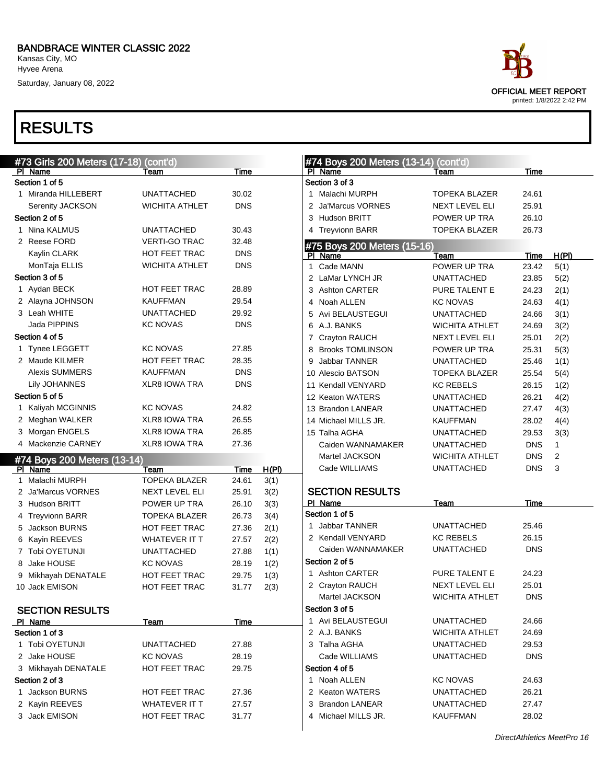Saturday, January 08, 2022

| #73 Girls 200 Meters (17-18) (cont'd)              |                              |               |       | #74 Boys 200 Meters (13-14) (cont'd) |                       |                          |       |
|----------------------------------------------------|------------------------------|---------------|-------|--------------------------------------|-----------------------|--------------------------|-------|
| PI Name                                            | Team                         | Time          |       | PI Name                              | Team                  | Time                     |       |
| Section 1 of 5                                     |                              |               |       | Section 3 of 3                       |                       |                          |       |
| 1 Miranda HILLEBERT                                | <b>UNATTACHED</b>            | 30.02         |       | 1 Malachi MURPH                      | TOPEKA BLAZER         | 24.61                    |       |
| Serenity JACKSON                                   | <b>WICHITA ATHLET</b>        | <b>DNS</b>    |       | Ja'Marcus VORNES                     | NEXT LEVEL ELI        | 25.91                    |       |
| Section 2 of 5                                     |                              |               |       | 3 Hudson BRITT                       | POWER UP TRA          | 26.10                    |       |
| 1 Nina KALMUS                                      | <b>UNATTACHED</b>            | 30.43         |       | 4 Treyvionn BARR                     | <b>TOPEKA BLAZER</b>  | 26.73                    |       |
| 2 Reese FORD                                       | <b>VERTI-GO TRAC</b>         | 32.48         |       | #75 Boys 200 Meters (15-16)          |                       |                          |       |
| Kaylin CLARK                                       | HOT FEET TRAC                | <b>DNS</b>    |       | PI Name                              | Team                  | Time                     | H(PI) |
| MonTaja ELLIS                                      | <b>WICHITA ATHLET</b>        | <b>DNS</b>    |       | 1 Cade MANN                          | POWER UP TRA          | 23.42                    | 5(1)  |
| Section 3 of 5                                     |                              |               |       | 2 LaMar LYNCH JR                     | <b>UNATTACHED</b>     | 23.85                    | 5(2)  |
| 1 Aydan BECK                                       | HOT FEET TRAC                | 28.89         |       | 3 Ashton CARTER                      | PURE TALENT E         | 24.23                    | 2(1)  |
| 2 Alayna JOHNSON                                   | <b>KAUFFMAN</b>              | 29.54         |       | Noah ALLEN<br>4                      | <b>KC NOVAS</b>       | 24.63                    | 4(1)  |
| 3 Leah WHITE                                       | <b>UNATTACHED</b>            | 29.92         |       | Avi BELAUSTEGUI<br>5                 | <b>UNATTACHED</b>     | 24.66                    | 3(1)  |
| Jada PIPPINS                                       | <b>KC NOVAS</b>              | <b>DNS</b>    |       | 6 A.J. BANKS                         | <b>WICHITA ATHLET</b> | 24.69                    | 3(2)  |
| Section 4 of 5                                     |                              |               |       | 7 Crayton RAUCH                      | NEXT LEVEL ELI        | 25.01                    | 2(2)  |
| 1 Tynee LEGGETT                                    | <b>KC NOVAS</b>              | 27.85         |       | 8 Brooks TOMLINSON                   | POWER UP TRA          | 25.31                    | 5(3)  |
| 2 Maude KILMER                                     | HOT FEET TRAC                | 28.35         |       | Jabbar TANNER<br>9                   | <b>UNATTACHED</b>     | 25.46                    | 1(1)  |
| <b>Alexis SUMMERS</b>                              | <b>KAUFFMAN</b>              | <b>DNS</b>    |       | 10 Alescio BATSON                    | <b>TOPEKA BLAZER</b>  | 25.54                    | 5(4)  |
| <b>Lily JOHANNES</b>                               | <b>XLR8 IOWA TRA</b>         | <b>DNS</b>    |       | 11 Kendall VENYARD                   | <b>KC REBELS</b>      | 26.15                    | 1(2)  |
| Section 5 of 5                                     |                              |               |       | 12 Keaton WATERS                     | <b>UNATTACHED</b>     | 26.21                    | 4(2)  |
| 1 Kaliyah MCGINNIS                                 | <b>KC NOVAS</b>              | 24.82         |       | 13 Brandon LANEAR                    | <b>UNATTACHED</b>     | 27.47                    | 4(3)  |
| 2 Meghan WALKER                                    | <b>XLR8 IOWA TRA</b>         | 26.55         |       | 14 Michael MILLS JR.                 | <b>KAUFFMAN</b>       | 28.02                    | 4(4)  |
| 3 Morgan ENGELS                                    | <b>XLR8 IOWA TRA</b>         | 26.85         |       | 15 Talha AGHA                        | <b>UNATTACHED</b>     | 29.53                    | 3(3)  |
| 4 Mackenzie CARNEY                                 | <b>XLR8 IOWA TRA</b>         | 27.36         |       | Caiden WANNAMAKER                    | <b>UNATTACHED</b>     | <b>DNS</b>               | 1     |
|                                                    |                              |               |       |                                      |                       |                          | 2     |
| #74 Boys 200 Meters (13-14)                        |                              |               |       | Martel JACKSON                       | WICHITA ATHLET        | <b>DNS</b><br><b>DNS</b> | 3     |
| PI Name<br>1 Malachi MURPH                         | Team<br><b>TOPEKA BLAZER</b> | Time<br>24.61 | H(PI) | Cade WILLIAMS                        | <b>UNATTACHED</b>     |                          |       |
| 2 Ja'Marcus VORNES                                 |                              | 25.91         | 3(1)  | <b>SECTION RESULTS</b>               |                       |                          |       |
|                                                    | NEXT LEVEL ELI               |               | 3(2)  | PI Name                              | Team                  | Time                     |       |
| 3 Hudson BRITT                                     | POWER UP TRA                 | 26.10         | 3(3)  | Section 1 of 5                       |                       |                          |       |
| 4 Treyvionn BARR                                   | <b>TOPEKA BLAZER</b>         | 26.73         | 3(4)  | 1 Jabbar TANNER                      | <b>UNATTACHED</b>     | 25.46                    |       |
| 5 Jackson BURNS                                    | HOT FEET TRAC                | 27.36         | 2(1)  | 2 Kendall VENYARD                    | <b>KC REBELS</b>      | 26.15                    |       |
| 6 Kayin REEVES                                     | <b>WHATEVER IT T</b>         | 27.57         | 2(2)  | Caiden WANNAMAKER                    | <b>UNATTACHED</b>     | <b>DNS</b>               |       |
| 7 Tobi OYETUNJI                                    | <b>UNATTACHED</b>            | 27.88         | 1(1)  | Section 2 of 5                       |                       |                          |       |
| 8 Jake HOUSE                                       | <b>KC NOVAS</b>              | 28.19         | 1(2)  | 1 Ashton CARTER                      |                       | 24.23                    |       |
| 9 Mikhayah DENATALE                                | HOT FEET TRAC                | 29.75         | 1(3)  |                                      | PURE TALENT E         | 25.01                    |       |
| 10 Jack EMISON                                     | HOT FEET TRAC                | 31.77         | 2(3)  | 2 Crayton RAUCH                      | NEXT LEVEL ELI        |                          |       |
|                                                    |                              |               |       | Martel JACKSON                       | WICHITA ATHLET        | <b>DNS</b>               |       |
|                                                    |                              |               |       |                                      |                       |                          |       |
| <b>SECTION RESULTS</b>                             |                              |               |       | Section 3 of 5                       |                       |                          |       |
| PI Name                                            | <b>Team</b>                  | Time          |       | 1 Avi BELAUSTEGUI                    | <b>UNATTACHED</b>     | 24.66                    |       |
|                                                    |                              |               |       | 2 A.J. BANKS                         | WICHITA ATHLET        | 24.69                    |       |
| 1 Tobi OYETUNJI                                    | <b>UNATTACHED</b>            | 27.88         |       | 3 Talha AGHA                         | UNATTACHED            | 29.53                    |       |
| 2 Jake HOUSE                                       | <b>KC NOVAS</b>              | 28.19         |       | Cade WILLIAMS                        | UNATTACHED            | <b>DNS</b>               |       |
| 3 Mikhayah DENATALE                                | HOT FEET TRAC                | 29.75         |       | Section 4 of 5                       |                       |                          |       |
|                                                    |                              |               |       | 1 Noah ALLEN                         | <b>KC NOVAS</b>       | 24.63                    |       |
| 1 Jackson BURNS                                    | HOT FEET TRAC                | 27.36         |       | 2 Keaton WATERS                      | UNATTACHED            | 26.21                    |       |
| Section 1 of 3<br>Section 2 of 3<br>2 Kayin REEVES | WHATEVER IT T                | 27.57         |       | 3 Brandon LANEAR                     | UNATTACHED            | 27.47                    |       |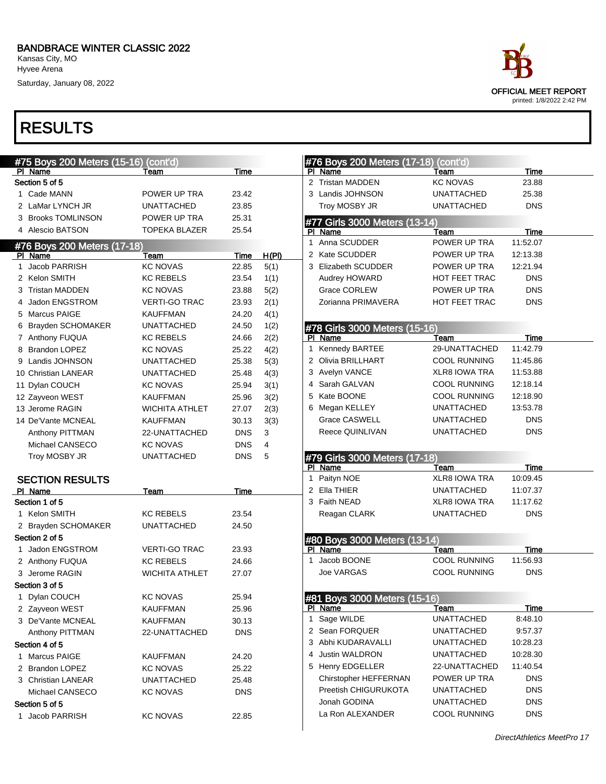Saturday, January 08, 2022

| #75 Boys 200 Meters (15-16) (cont'd) |                             |                       |             |              |  |  |  |  |
|--------------------------------------|-----------------------------|-----------------------|-------------|--------------|--|--|--|--|
| ΡI                                   | Name                        | Team                  | <b>Time</b> |              |  |  |  |  |
|                                      | Section 5 of 5              |                       |             |              |  |  |  |  |
| $\mathbf 1$                          | Cade MANN                   | POWER UP TRA          | 23.42       |              |  |  |  |  |
| 2                                    | LaMar LYNCH JR              | UNATTACHED            | 23.85       |              |  |  |  |  |
|                                      | 3 Brooks TOMLINSON          | POWER UP TRA          | 25.31       |              |  |  |  |  |
|                                      | 4 Alescio BATSON            | <b>TOPEKA BLAZER</b>  | 25.54       |              |  |  |  |  |
|                                      | #76 Boys 200 Meters (17-18) |                       |             |              |  |  |  |  |
| PI                                   | Name                        | Team                  | <u>Time</u> | <u>H(PI)</u> |  |  |  |  |
| 1                                    | <b>Jacob PARRISH</b>        | <b>KC NOVAS</b>       | 22.85       | 5(1)         |  |  |  |  |
|                                      | 2 Kelon SMITH               | <b>KC REBELS</b>      | 23.54       | 1(1)         |  |  |  |  |
|                                      | 3 Tristan MADDEN            | <b>KC NOVAS</b>       | 23.88       | 5(2)         |  |  |  |  |
|                                      | 4 Jadon ENGSTROM            | <b>VERTI-GO TRAC</b>  | 23.93       | 2(1)         |  |  |  |  |
|                                      | 5 Marcus PAIGE              | <b>KAUFFMAN</b>       | 24.20       | 4(1)         |  |  |  |  |
|                                      | 6 Brayden SCHOMAKER         | <b>UNATTACHED</b>     | 24.50       | 1(2)         |  |  |  |  |
|                                      | 7 Anthony FUQUA             | <b>KC REBELS</b>      | 24.66       | 2(2)         |  |  |  |  |
|                                      | 8 Brandon LOPEZ             | <b>KC NOVAS</b>       | 25.22       | 4(2)         |  |  |  |  |
|                                      | 9 Landis JOHNSON            | UNATTACHED            | 25.38       | 5(3)         |  |  |  |  |
|                                      | 10 Christian LANEAR         | UNATTACHED            | 25.48       | 4(3)         |  |  |  |  |
|                                      | 11 Dylan COUCH              | <b>KC NOVAS</b>       | 25.94       | 3(1)         |  |  |  |  |
|                                      | 12 Zayveon WEST             | <b>KAUFFMAN</b>       | 25.96       | 3(2)         |  |  |  |  |
|                                      | 13 Jerome RAGIN             | <b>WICHITA ATHLET</b> | 27.07       | 2(3)         |  |  |  |  |
|                                      | 14 De'Vante MCNEAL          | <b>KAUFFMAN</b>       | 30.13       | 3(3)         |  |  |  |  |
|                                      | Anthony PITTMAN             | 22-UNATTACHED         | <b>DNS</b>  | 3            |  |  |  |  |
|                                      | Michael CANSECO             | <b>KC NOVAS</b>       | <b>DNS</b>  | 4            |  |  |  |  |
|                                      | Troy MOSBY JR               | UNATTACHED            | DNS         | 5            |  |  |  |  |
|                                      | <b>SECTION RESULTS</b>      |                       |             |              |  |  |  |  |
|                                      | PI Name                     | <b>Team</b>           | <u>Time</u> |              |  |  |  |  |
|                                      | Section 1 of 5              |                       |             |              |  |  |  |  |
|                                      | 1 Kelon SMITH               | <b>KC REBELS</b>      | 23.54       |              |  |  |  |  |
|                                      | 2 Brayden SCHOMAKER         | UNATTACHED            | 24.50       |              |  |  |  |  |
|                                      | Section 2 of 5              |                       |             |              |  |  |  |  |
|                                      | 1 Jadon ENGSTROM            | <b>VERTI-GO TRAC</b>  | 23.93       |              |  |  |  |  |
|                                      | 2 Anthony FUQUA             | <b>KC REBELS</b>      | 24.66       |              |  |  |  |  |
|                                      | 3 Jerome RAGIN              | WICHITA ATHLET        | 27.07       |              |  |  |  |  |
|                                      | Section 3 of 5              |                       |             |              |  |  |  |  |
|                                      | 1 Dylan COUCH               | <b>KC NOVAS</b>       | 25.94       |              |  |  |  |  |
|                                      | 2 Zayveon WEST              | KAUFFMAN              | 25.96       |              |  |  |  |  |
|                                      | 3 De'Vante MCNEAL           | KAUFFMAN              | 30.13       |              |  |  |  |  |
|                                      | Anthony PITTMAN             | 22-UNATTACHED         | <b>DNS</b>  |              |  |  |  |  |
|                                      | Section 4 of 5              |                       |             |              |  |  |  |  |
|                                      | 1 Marcus PAIGE              | KAUFFMAN              | 24.20       |              |  |  |  |  |
|                                      | 2 Brandon LOPEZ             | <b>KC NOVAS</b>       | 25.22       |              |  |  |  |  |
|                                      | 3 Christian LANEAR          | UNATTACHED            | 25.48       |              |  |  |  |  |
|                                      | Michael CANSECO             | <b>KC NOVAS</b>       | <b>DNS</b>  |              |  |  |  |  |
|                                      | Section 5 of 5              |                       |             |              |  |  |  |  |
| 1                                    | Jacob PARRISH               | <b>KC NOVAS</b>       | 22.85       |              |  |  |  |  |
|                                      |                             |                       |             |              |  |  |  |  |



|    | #76 Boys 200 Meters (17-18) (cont'd)     |                                          |                          |  |
|----|------------------------------------------|------------------------------------------|--------------------------|--|
|    | PI Name                                  | Team                                     | <b>Time</b>              |  |
| 2  | <b>Tristan MADDEN</b>                    | <b>KC NOVAS</b>                          | 23.88                    |  |
|    | 3 Landis JOHNSON                         | <b>UNATTACHED</b>                        | 25.38                    |  |
|    | Troy MOSBY JR                            | <b>UNATTACHED</b>                        | <b>DNS</b>               |  |
|    | #77 Girls 3000 Meters (13-14)            |                                          |                          |  |
| ΡI | Name                                     | Team                                     | Time                     |  |
| 1  | Anna SCUDDER                             | POWER UP TRA                             | 11:52.07                 |  |
|    | 2 Kate SCUDDER                           | POWER UP TRA                             | 12:13.38                 |  |
|    | 3 Elizabeth SCUDDER                      | POWER UP TRA                             | 12:21.94                 |  |
|    | Audrey HOWARD                            | <b>HOT FEET TRAC</b>                     | <b>DNS</b>               |  |
|    | <b>Grace CORLEW</b>                      | POWER UP TRA                             | <b>DNS</b>               |  |
|    | Zorianna PRIMAVERA                       | <b>HOT FEET TRAC</b>                     | <b>DNS</b>               |  |
|    |                                          |                                          |                          |  |
|    | #78 Girls 3000 Meters (15-16)<br>PI Name | Team                                     | Time                     |  |
| 1  | Kennedy BARTEE                           | 29-UNATTACHED                            | 11:42.79                 |  |
|    | 2 Olivia BRILLHART                       | COOL RUNNING                             | 11:45.86                 |  |
|    | 3 Avelyn VANCE                           | <b>XLR8 IOWA TRA</b>                     | 11:53.88                 |  |
|    | 4 Sarah GALVAN                           | <b>COOL RUNNING</b>                      | 12:18.14                 |  |
|    | 5 Kate BOONE                             | <b>COOL RUNNING</b>                      | 12:18.90                 |  |
|    | 6 Megan KELLEY                           | <b>UNATTACHED</b>                        | 13:53.78                 |  |
|    | <b>Grace CASWELL</b>                     |                                          |                          |  |
|    |                                          | <b>UNATTACHED</b>                        | <b>DNS</b>               |  |
|    | Reece QUINLIVAN                          | <b>UNATTACHED</b>                        | <b>DNS</b>               |  |
|    |                                          |                                          |                          |  |
|    | #79 Girls 3000 Meters (17-18)            |                                          |                          |  |
|    | PI Name                                  | Team                                     | <u>Time</u>              |  |
|    | 1 Paityn NOE                             | <b>XLR8 IOWA TRA</b>                     | 10:09.45                 |  |
|    | 2 Ella THIER                             | <b>UNATTACHED</b>                        | 11:07.37                 |  |
|    | 3 Faith NEAD                             | <b>XLR8 IOWA TRA</b>                     | 11:17.62                 |  |
|    | Reagan CLARK                             | <b>UNATTACHED</b>                        | <b>DNS</b>               |  |
|    |                                          |                                          |                          |  |
|    | #80 Boys 3000 Meters (13-14)<br>PI Name  | Team                                     | Time                     |  |
| 1. | Jacob BOONE                              | <b>COOL RUNNING</b>                      | 11:56.93                 |  |
|    | <b>Joe VARGAS</b>                        | COOL RUNNING                             | <b>DNS</b>               |  |
|    |                                          |                                          |                          |  |
|    | #81 Boys 3000 Meters (15-16)             |                                          |                          |  |
| 1  | PI Name                                  | <b>Team</b><br>UNATTACHED                | <b>Time</b><br>8:48.10   |  |
|    | Sage WILDE<br>2 Sean FORQUER             | <b>UNATTACHED</b>                        | 9:57.37                  |  |
|    |                                          |                                          |                          |  |
|    | 3 Abhi KUDARAVALLI                       | <b>UNATTACHED</b>                        | 10:28.23                 |  |
|    | 4 Justin WALDRON                         | <b>UNATTACHED</b>                        | 10:28.30                 |  |
|    | 5 Henry EDGELLER                         | 22-UNATTACHED                            | 11:40.54                 |  |
|    | Chirstopher HEFFERNAN                    | POWER UP TRA                             | <b>DNS</b>               |  |
|    | Preetish CHIGURUKOTA                     | UNATTACHED                               | <b>DNS</b>               |  |
|    | Jonah GODINA<br>La Ron ALEXANDER         | <b>UNATTACHED</b><br><b>COOL RUNNING</b> | <b>DNS</b><br><b>DNS</b> |  |